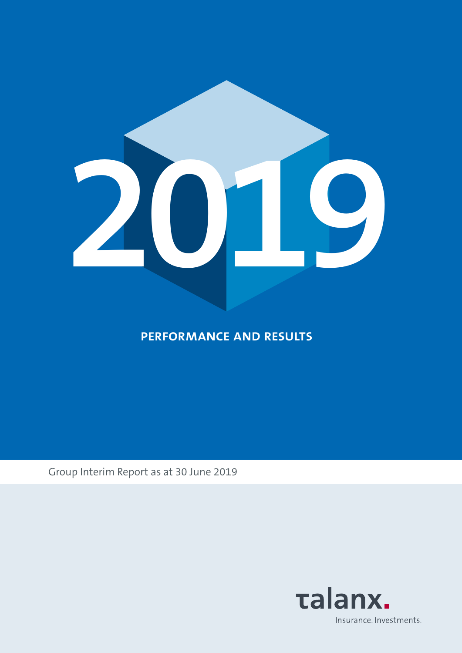

**performance and results**

Group Interim Report as at 30 June 2019

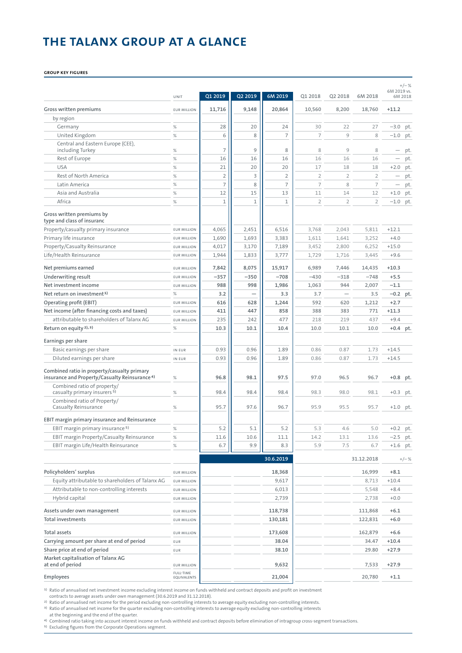# **THE TALANX GROUP AT A GLANCE**

### **Group key figures**

|                                                                        | UNIT               | Q1 2019        | Q2 2019 | 6M 2019        | 01 2018        | Q2 2018        | 6M 2018        | 6M 2019 vs.<br>6M 2018   | $+/- %$ |
|------------------------------------------------------------------------|--------------------|----------------|---------|----------------|----------------|----------------|----------------|--------------------------|---------|
| Gross written premiums                                                 | <b>EUR MILLION</b> | 11,716         | 9,148   | 20,864         | 10,560         | 8,200          | 18,760         | $+11.2$                  |         |
| by region                                                              |                    |                |         |                |                |                |                |                          |         |
| Germany                                                                | $\%$               | 28             | 20      | 24             | 30             | 22             | 27             | $-3.0$                   | pt.     |
| United Kingdom                                                         | $\%$               | 6              | 8       | $\overline{7}$ | 7              | 9              | 8              | $-1.0$                   | pt.     |
| Central and Eastern Europe (CEE),<br>including Turkey                  | $\%$               | 7              | 9       | 8              | 8              | 9              | 8              |                          | pt.     |
| Rest of Europe                                                         | $\%$               | 16             | 16      | 16             | 16             | 16             | 16             | $\overline{\phantom{0}}$ | pt.     |
| <b>USA</b>                                                             | $\%$               | 21             | 20      | 20             | 17             | 18             | 18             | $+2.0$                   | pt.     |
| Rest of North America                                                  | $\%$               | $\overline{2}$ | 3       | $\overline{2}$ | $\overline{2}$ | $\overline{2}$ | $\overline{2}$ |                          | pt.     |
| Latin America                                                          | $\%$               | $\overline{7}$ | 8       | $\overline{7}$ | 7              | 8              | 7              |                          | pt.     |
| Asia and Australia                                                     | $\%$               | 12             | 15      | 13             | 11             | 14             | 12             | $+1.0$                   | pt.     |
| Africa                                                                 | $\%$               | $\mathbf 1$    | 1       | $\mathbf{1}$   | $\overline{2}$ | $\overline{2}$ | $\overline{2}$ | $-1.0$                   | pt.     |
| Gross written premiums by<br>type and class of insuranc                |                    |                |         |                |                |                |                |                          |         |
| Property/casualty primary insurance                                    | <b>EUR MILLION</b> | 4,065          | 2,451   | 6,516          | 3,768          | 2,043          | 5,811          | $+12.1$                  |         |
| Primary life insurance                                                 | <b>EUR MILLION</b> | 1,690          | 1,693   | 3,383          | 1,611          | 1,641          | 3,252          | $+4.0$                   |         |
| Property/Casualty Reinsurance                                          | <b>EUR MILLION</b> | 4,017          | 3,170   | 7,189          | 3,452          | 2,800          | 6,252          | $+15.0$                  |         |
| Life/Health Reinsurance                                                | <b>EUR MILLION</b> | 1,944          | 1,833   | 3,777          | 1,729          | 1,716          | 3,445          | $+9.6$                   |         |
| Net premiums earned                                                    | <b>EUR MILLION</b> | 7,842          | 8,075   | 15,917         | 6,989          | 7,446          | 14,435         | $+10.3$                  |         |
| Underwriting result                                                    | <b>EUR MILLION</b> | $-357$         | $-350$  | $-708$         | $-430$         | $-318$         | $-748$         | $+5.5$                   |         |
| Net investment income                                                  | <b>EUR MILLION</b> | 988            | 998     | 1,986          | 1,063          | 944            | 2,007          | $-1.1$                   |         |
| Net return on investment <sup>1)</sup>                                 | $\%$               | 3.2            |         | 3.3            | 3.7            |                | 3.5            | $-0.2$ pt.               |         |
| Operating profit (EBIT)                                                | <b>EUR MILLION</b> | 616            | 628     | 1,244          | 592            | 620            | 1,212          | $+2.7$                   |         |
| Net income (after financing costs and taxes)                           | <b>EUR MILLION</b> | 411            | 447     | 858            | 388            | 383            | 771            | $+11.3$                  |         |
| attributable to shareholders of Talanx AG                              | <b>EUR MILLION</b> | 235            | 242     | 477            | 218            | 219            | 437            | $+9.4$                   |         |
| Return on equity <sup>2), 3)</sup>                                     | $\%$               | 10.3           | 10.1    | 10.4           | 10.0           | 10.1           | 10.0           | $+0.4$ pt.               |         |
| Earnings per share                                                     |                    |                |         |                |                |                |                |                          |         |
| Basic earnings per share                                               | IN EUR             | 0.93           | 0.96    | 1.89           | 0.86           | 0.87           | 1.73           | $+14.5$                  |         |
| Diluted earnings per share                                             | IN EUR             | 0.93           | 0.96    | 1.89           | 0.86           | 0.87           | 1.73           | $+14.5$                  |         |
| Combined ratio in property/casualty primary                            |                    |                |         |                |                |                |                |                          |         |
| insurance and Property/Casualty Reinsurance <sup>4)</sup>              | $\%$               | 96.8           | 98.1    | 97.5           | 97.0           | 96.5           | 96.7           | +0.8 pt.                 |         |
| Combined ratio of property/<br>casualty primary insurers <sup>5)</sup> | $\%$               | 98.4           | 98.4    | 98.4           | 98.3           | 98.0           | 98.1           | $+0.3$                   | pt.     |
| Combined ratio of Property/                                            |                    |                |         |                |                |                |                |                          |         |
| Casualty Reinsurance                                                   | $\%$               | 95.7           | 97.6    | 96.7           | 95.9           | 95.5           | 95.7           | $+1.0$                   | pt.     |
| EBIT margin primary insurance and Reinsurance                          |                    |                |         |                |                |                |                |                          |         |
| EBIT margin primary insurance <sup>5)</sup>                            | %                  | 5.2            | 5.1     | 5.2            | 5.3            | 4.6            | 5.0            | $+0.2$ pt.               |         |
| EBIT margin Property/Casualty Reinsurance                              | $\%$               | 11.6           | 10.6    | 11.1           | 14.2           | 13.1           | 13.6           | $-2.5$ pt.               |         |
| EBIT margin Life/Health Reinsurance                                    | $\%$               | 6.7            | 9.9     | 8.3            | 5.9            | 7.5            | 6.7            | $+1.6$ pt.               |         |
|                                                                        |                    |                |         | 30.6.2019      |                |                | 31.12.2018     |                          | $+/-%$  |
| Policyholders' surplus                                                 | <b>EUR MILLION</b> |                |         | 18,368         |                |                | 16,999         | $+8.1$                   |         |
| Equity attributable to shareholders of Talanx AG                       | <b>EUR MILLION</b> |                |         | 9,617          |                |                | 8,713          | $+10.4$                  |         |
| Attributable to non-controlling interests                              | <b>EUR MILLION</b> |                |         | 6,013          |                |                | 5,548          | $+8.4$                   |         |
| Hybrid capital                                                         | <b>EUR MILLION</b> |                |         | 2,739          |                |                | 2,738          | $+0.0$                   |         |
| Assets under own management                                            | <b>EUR MILLION</b> |                |         | 118,738        |                |                | 111,868        | $+6.1$                   |         |
| <b>Total investments</b>                                               | <b>EUR MILLION</b> |                |         | 130,181        |                |                | 122,831        | $+6.0$                   |         |
| <b>Total assets</b>                                                    | <b>EUR MILLION</b> |                |         | 173,608        |                |                | 162,879        | $+6.6$                   |         |
| Carrying amount per share at end of period                             | EUR                |                |         | 38.04          |                |                | 34.47          | $+10.4$                  |         |
| Share price at end of period                                           | EUR                |                |         | 38.10          |                |                | 29.80          | $+27.9$                  |         |
| Market capitalisation of Talanx AG<br>at end of period                 | <b>EUR MILLION</b> |                |         | 9,632          |                |                | 7,533          | $+27.9$                  |         |
| Employees                                                              | FULL-TIME          |                |         | 21,004         |                |                | 20,780         | $+1.1$                   |         |
|                                                                        | EQUIVALENTS        |                |         |                |                |                |                |                          |         |

1) Ratio of annualised net investment income excluding interest income on funds withheld and contract deposits and profit on investment

contracts to average assets under own management (30.6.2019 and 31.12.2018).

2) Ratio of annualised net income for the period excluding non-controlling interests to average equity excluding non-controlling interests.

<sup>3)</sup> Ratio of annualised net income for the quarter excluding non-controlling interests to average equity excluding non-controlling interests<br>1 to the beginning and the end of the quarter.<br><sup>4</sup>) Combined ratio taking into a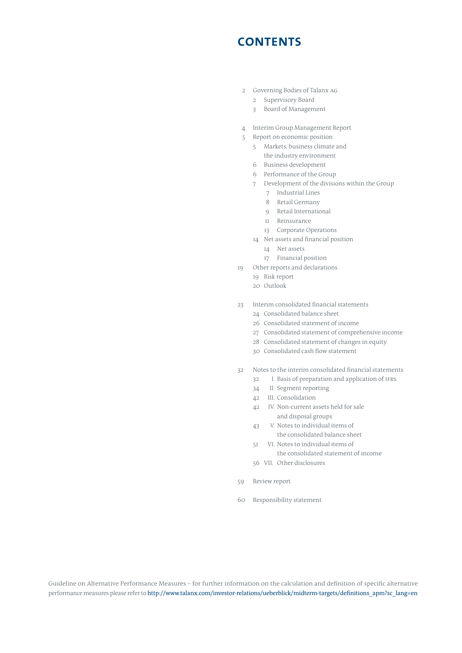# **CONTENTS**

- 2 Governing Bodies of Talanx AG
	- 2 Supervisory Board
	- 3 Board of Management
- 4 Interim Group Management Report
- 5 Report on economic position
	- 5 Markets, business climate and the industry environment
	- 6 Business development
	- 6 Performance of the Group
	- 7 Development of the divisions within the Group
		- 7 Industrial Lines
		- 8 Retail Germany
		- 9 Retail International
		- 11 Reinsurance
		- 13 Corporate Operations
	- 14 Net assets and financial position
		- 14 Net assets
		- 17 Financial position
- 19 Other reports and declarations
	- 19 Risk report
	- 20 Outlook
- 23 Interim consolidated financial statements
	- 24 Consolidated balance sheet
	- 26 Consolidated statement of income
	- 27 Consolidated statement of comprehensive income
	- 28 Consolidated statement of changes in equity
	- 30 Consolidated cash flow statement
- 32 Notes to the interim consolidated financial statements
	- 32 I. Basis of preparation and application of ifrs
	- 34 II. Segment reporting
	- 42 III. Consolidation
	- 42 IV. Non-current assets held for sale and disposal groups
	- 43 V. Notes to individual items of
	- the consolidated balance sheet 51 VI. Notes to individual items of
	- the consolidated statement of income
	- 56 VII. Other disclosures
- 59 Review report
- 60 Responsibility statement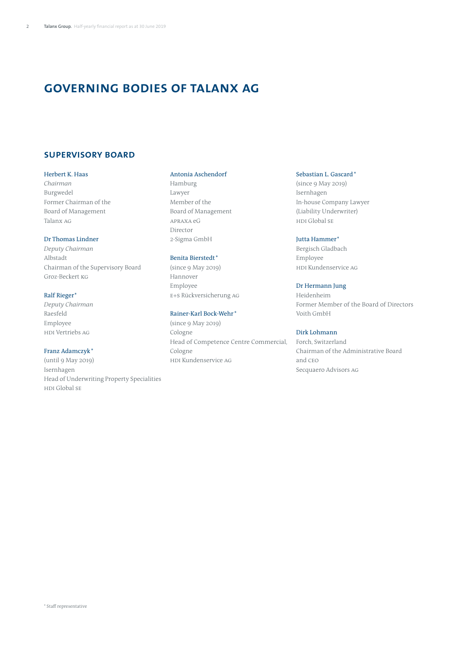# **governing bodies of Talanx AG**

# **Supervisory Board**

## Herbert K. Haas

*Chairman* Burgwedel Former Chairman of the Board of Management Talanx AG

### Dr Thomas Lindner

*Deputy Chairman*  Albstadt Chairman of the Supervisory Board Groz-Beckert KG

# Ralf Rieger\*

*Deputy Chairman* Raesfeld Employee HDI Vertriebs AG

# Franz Adamczyk\*

(until 9 May 2019) Isernhagen Head of Underwriting Property Specialities HDI Global SE

# Antonia Aschendorf

Hamburg Lawyer Member of the Board of Management APRAXA eG Director 2-Sigma GmbH

## Benita Bierstedt\*

(since 9 May 2019) Hannover Employee E+S Rückversicherung AG

# Rainer-Karl Bock-Wehr \*

(since 9 May 2019) Cologne Head of Competence Centre Commercial, Cologne HDI Kundenservice AG

# Sebastian L. Gascard\*

(since 9 May 2019) Isernhagen In-house Company Lawyer (Liability Underwriter) HDI Global SE

# Jutta Hammer\*

Bergisch Gladbach Employee HDI Kundenservice AG

# Dr Hermann Jung

Heidenheim Former Member of the Board of Directors Voith GmbH

# Dirk Lohmann

Forch, Switzerland Chairman of the Administrative Board and CEO Secquaero Advisors AG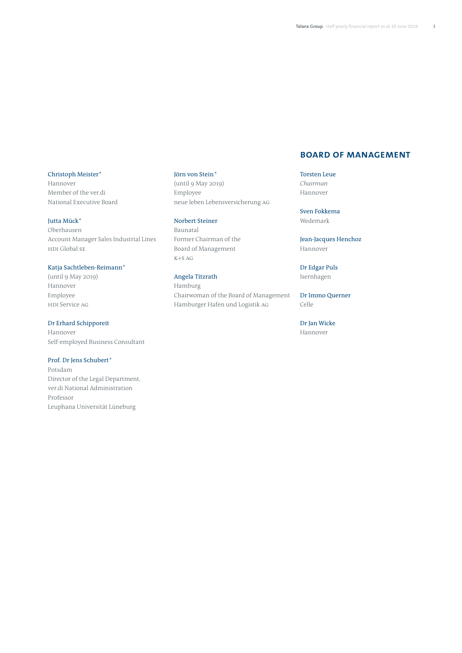## Christoph Meister\*

Hannover Member of the ver.di National Executive Board

# Jutta Mück\*

Oberhausen Account Manager Sales Industrial Lines HDI Global SE

# Katja Sachtleben-Reimann\*

(until 9 May 2019) Hannover Employee HDI Service AG

## Dr Erhard Schipporeit

Hannover Self-employed Business Consultant

# Prof. Dr Jens Schubert\*

Potsdam Director of the Legal Department, ver.di National Administration Professor Leuphana Universität Lüneburg

# Jörn von Stein\*

(until 9 May 2019) Employee neue leben Lebensversicherung AG

## Norbert Steiner

Baunatal Former Chairman of the Board of Management K+S AG

# Angela Titzrath

Hamburg Chairwoman of the Board of Management Hamburger Hafen und Logistik AG

# **Board of Management**

Torsten Leue *Chairman*  Hannover

Sven Fokkema Wedemark

Jean-Jacques Henchoz Hannover

Dr Edgar Puls Isernhagen

Dr Immo Querner Celle

Dr Jan Wicke Hannover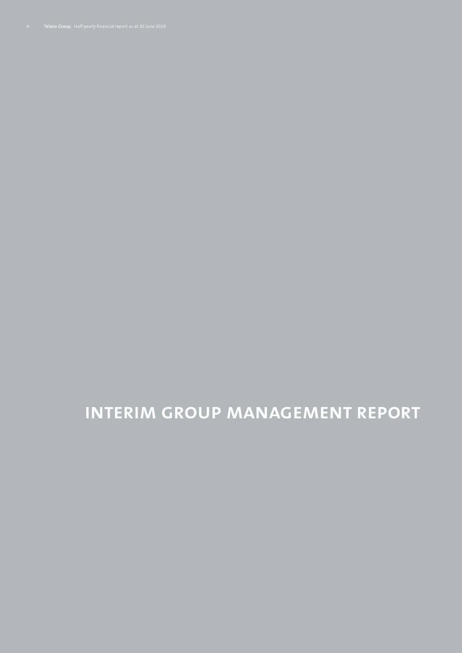**INTERIM GROUP MANAGEMENT REPORT**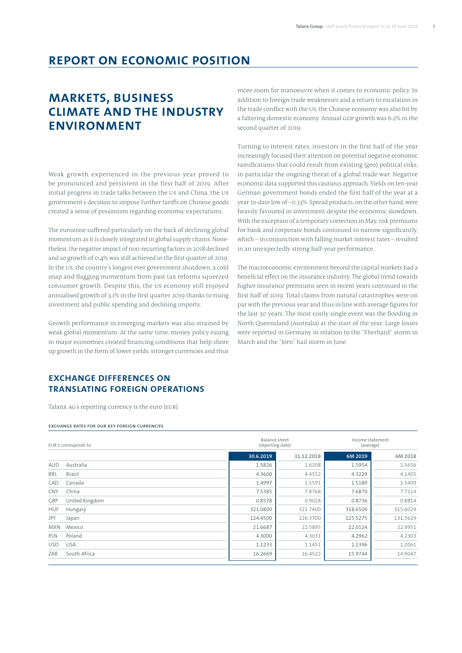# **Report on economic position**

# **Markets, business climate and the industry ENVIRONMENT**

Weak growth experienced in the previous year proved to be pronounced and persistent in the first half of 2019. After initial progress in trade talks between the US and China, the US government's decision to impose further tariffs on Chinese goods created a sense of pessimism regarding economic expectations.

The eurozone suffered particularly on the back of declining global momentum as it is closely integrated in global supply chains. Nonetheless, the negative impact of non-recurring factors in 2018 declined and so growth of 0.4% was still achieved in the first quarter of 2019. In the US, the country's longest ever government shutdown, a cold snap and flagging momentum from past tax reforms squeezed consumer growth. Despite this, the US economy still enjoyed annualised growth of 3.1% in the first quarter 2019 thanks to rising investment and public spending and declining imports.

Growth performance in emerging markets was also strained by weak global momentum. At the same time, money policy easing in major economies created financing conditions that help shore up growth in the form of lower yields, stronger currencies and thus

more room for manoeuvre when it comes to economic policy. In addition to foreign trade weaknesses and a return to escalation in the trade conflict with the US, the Chinese economy was also hit by a faltering domestic economy. Annual GDP growth was 6.2% in the second quarter of 2019.

Turning to interest rates, investors in the first half of the year increasingly focused their attention on potential negative economic ramifications that could result from existing (geo) political risks, in particular the ongoing threat of a global trade war. Negative economic data supported this cautious approach. Yields on ten-year German government bonds ended the first half of the year at a year-to-date low of –0.33%. Spread products, on the other hand, were heavily favoured in investment despite the economic slowdown. With the exception of a temporary correction in May, risk premiums for bank and corporate bonds continued to narrow significantly, which – in conjunction with falling market interest rates – resulted in an unexpectedly strong half-year performance.

The macroeconomic environment beyond the capital markets had a beneficial effect on the insurance industry. The global trend towards higher insurance premiums seen in recent years continued in the first half of 2019. Total claims from natural catastrophes were on par with the previous year and thus in line with average figures for the last 30 years. The most costly single event was the flooding in North Queensland (Australia) at the start of the year. Large losses were reported in Germany in relation to the "Eberhard" storm in March and the "Jörn" hail storm in June.

# **Exchange differences on translating foreign operations**

Talanx AG's reporting currency is the euro (EUR).

#### **Exchange rates for our key foreign currencies**

| EUR 1 corresponds to |                | <b>Balance sheet</b><br>(reporting date) |            | Income statement<br>(average) |          |  |
|----------------------|----------------|------------------------------------------|------------|-------------------------------|----------|--|
|                      |                | 30.6.2019                                | 31.12.2018 | 6M 2019                       | 6M 2018  |  |
| <b>AUD</b>           | Australia      | 1.5826                                   | 1.6208     | 1.5954                        | 1.5656   |  |
| <b>BRL</b>           | Brazil         | 4.3600                                   | 4.4552     | 4.3229                        | 4.1405   |  |
| CAD                  | Canada         | 1.4997                                   | 1.5591     | 1.5180                        | 1.5409   |  |
| <b>CNY</b>           | China          | 7.5385                                   | 7.8768     | 7.6870                        | 7.7114   |  |
| GBP                  | United Kingdom | 0.8578                                   | 0.9028     | 0.8736                        | 0.8814   |  |
| <b>HUF</b>           | Hungary        | 321.0800                                 | 321.7400   | 318,6500                      | 315.6029 |  |
| JPY                  | Japan          | 124.4500                                 | 126.3700   | 125.5275                      | 131.5629 |  |
| <b>MXN</b>           | Mexico         | 21.6687                                  | 22.5895    | 22.0124                       | 22.9951  |  |
| PLN                  | Poland         | 4.3000                                   | 4.3031     | 4.2962                        | 4.2303   |  |
| <b>USD</b>           | <b>USA</b>     | 1.1233                                   | 1.1451     | 1.1396                        | 1.2061   |  |
| ZAR                  | South Africa   | 16.2669                                  | 16.4522    | 15.9744                       | 14.9047  |  |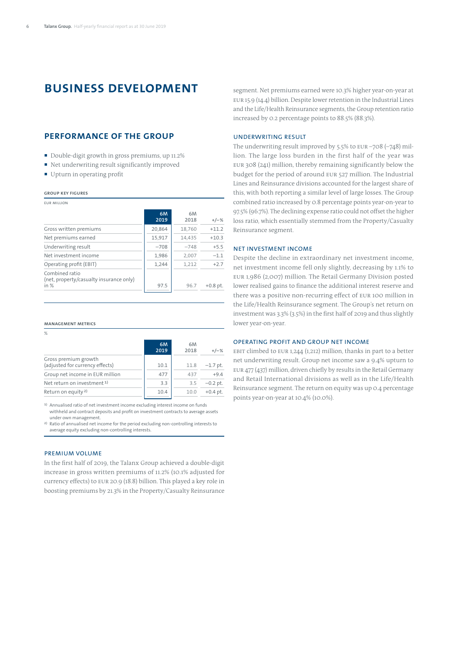# **Business development**

# **Performance of the Group**

- Double-digit growth in gross premiums, up 11.2%
- Net underwriting result significantly improved
- Upturn in operating profit

#### **Group key figures**

EUR million

|                                                                     | 6M<br>2019 | 6M<br>2018 | $+/-%$     |
|---------------------------------------------------------------------|------------|------------|------------|
| Gross written premiums                                              | 20,864     | 18,760     | $+11.2$    |
| Net premiums earned                                                 | 15,917     | 14,435     | $+10.3$    |
| Underwriting result                                                 | $-708$     | $-748$     | $+5.5$     |
| Net investment income                                               | 1,986      | 2,007      | $-1.1$     |
| Operating profit (EBIT)                                             | 1,244      | 1,212      | $+2.7$     |
| Combined ratio<br>(net, property/casualty insurance only)<br>in $%$ | 97.5       | 96.7       | $+0.8$ pt. |

#### **Management metrics**

| $\%$                                                    |            |            |            |
|---------------------------------------------------------|------------|------------|------------|
|                                                         | 6M<br>2019 | 6M<br>2018 | $+/-%$     |
| Gross premium growth<br>(adjusted for currency effects) | 10.1       | 11.8       | $-1.7$ pt. |
| Group net income in EUR million                         | 477        | 437        | $+9.4$     |
| Net return on investment <sup>1)</sup>                  | 3.3        | 3.5        | $-0.2$ pt. |
| Return on equity <sup>2)</sup>                          | 10.4       | 10.0       | $+0.4$ pt. |

1) Annualised ratio of net investment income excluding interest income on funds withheld and contract deposits and profit on investment contracts to average assets under own management.

2) Ratio of annualised net income for the period excluding non-controlling interests to average equity excluding non-controlling interests.

# Premium volume

In the first half of 2019, the Talanx Group achieved a double-digit increase in gross written premiums of 11.2% (10.1% adjusted for currency effects) to EUR 20.9 (18.8) billion. This played a key role in boosting premiums by 21.3% in the Property/Casualty Reinsurance

segment. Net premiums earned were 10.3% higher year-on-year at EUR 15.9 (14.4) billion. Despite lower retention in the Industrial Lines and the Life/Health Reinsurance segments, the Group retention ratio increased by 0.2 percentage points to 88.5% (88.3%).

#### Underwriting result

The underwriting result improved by 5.5% to EUR –708 (–748) million. The large loss burden in the first half of the year was EUR 308 (241) million, thereby remaining significantly below the budget for the period of around EUR 527 million. The Industrial Lines and Reinsurance divisions accounted for the largest share of this, with both reporting a similar level of large losses. The Group combined ratio increased by 0.8 percentage points year-on-year to 97.5% (96.7%). The declining expense ratio could not offset the higher loss ratio, which essentially stemmed from the Property/Casualty Reinsurance segment.

## Net investment income

Despite the decline in extraordinary net investment income, net investment income fell only slightly, decreasing by 1.1% to EUR 1,986 (2,007) million. The Retail Germany Division posted lower realised gains to finance the additional interest reserve and there was a positive non-recurring effect of EUR 100 million in the Life/Health Reinsurance segment. The Group's net return on investment was 3.3% (3.5%) in the first half of 2019 and thus slightly lower year-on-year.

### Operating profit and Group net income

EBIT climbed to EUR 1,244 (1,212) million, thanks in part to a better net underwriting result. Group net income saw a 9.4% upturn to EUR 477 (437) million, driven chiefly by results in the Retail Germany and Retail International divisions as well as in the Life/Health Reinsurance segment. The return on equity was up 0.4 percentage points year-on-year at 10.4% (10.0%).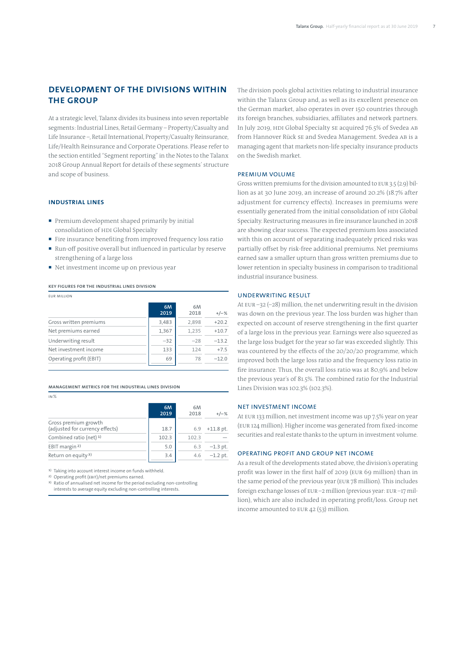# **Development of the Divisions within the Group**

At a strategic level, Talanx divides its business into seven reportable segments: Industrial Lines, Retail Germany – Property/Casualty and Life Insurance –, Retail International, Property/Casualty Reinsurance, Life/Health Reinsurance and Corporate Operations. Please refer to the section entitled "Segment reporting" in the Notes to the Talanx 2018 Group Annual Report for details of these segments' structure and scope of business.

### **Industrial Lines**

- Premium development shaped primarily by initial consolidation of HDI Global Specialty
- Fire insurance benefiting from improved frequency loss ratio
- Run-off positive overall but influenced in particular by reserve strengthening of a large loss
- Net investment income up on previous year

# **Key figures for the Industrial Lines DIVISION**

| <b>EUR MILLION</b>      |                   |            |         |
|-------------------------|-------------------|------------|---------|
|                         | <b>6M</b><br>2019 | 6M<br>2018 | $+/-%$  |
| Gross written premiums  | 3,483             | 2,898      | $+20.2$ |
| Net premiums earned     | 1,367             | 1,235      | $+10.7$ |
| Underwriting result     | $-32$             | $-28$      | $-13.2$ |
| Net investment income   | 133               | 124        | $+7.5$  |
| Operating profit (EBIT) | 69                | 78         | $-12.0$ |

**MANAGEMENT METRICS FOR THE INDUSTRIAL LINES DIVISION**

 $IN%$ 

|                                                         | 6M<br>2019 | 6M<br>2018 | $+/-%$      |
|---------------------------------------------------------|------------|------------|-------------|
| Gross premium growth<br>(adjusted for currency effects) | 18.7       | 6.9        | $+11.8$ pt. |
| Combined ratio (net) $1$ )                              | 102.3      | 102.3      |             |
| EBIT margin <sup>2)</sup>                               | 5.0        | 6.3        | $-1.3$ pt.  |
| Return on equity <sup>3)</sup>                          | 3.4        | 4.6        | $-1.2$ pt.  |

1) Taking into account interest income on funds withheld.

2) Operating profit (EBIT)/net premiums earned.

3) Ratio of annualised net income for the period excluding non-controlling interests to average equity excluding non-controlling interests.

The division pools global activities relating to industrial insurance within the Talanx Group and, as well as its excellent presence on the German market, also operates in over 150 countries through its foreign branches, subsidiaries, affiliates and network partners. In July 2019, HDI Global Specialty SE acquired 76.5% of Svedea AB from Hannover Rück SE and Svedea Management. Svedea AB is a managing agent that markets non-life specialty insurance products on the Swedish market.

### Premium volume

Gross written premiums for the division amounted to EUR 3.5 (2.9) billion as at 30 June 2019, an increase of around 20.2% (18.7% after adjustment for currency effects). Increases in premiums were essentially generated from the initial consolidation of HDI Global Specialty. Restructuring measures in fire insurance launched in 2018 are showing clear success. The expected premium loss associated with this on account of separating inadequately priced risks was partially offset by risk-free additional premiums. Net premiums earned saw a smaller upturn than gross written premiums due to lower retention in specialty business in comparison to traditional industrial insurance business.

# Underwriting result

At EUR –32 (–28) million, the net underwriting result in the division was down on the previous year. The loss burden was higher than expected on account of reserve strengthening in the first quarter of a large loss in the previous year. Earnings were also squeezed as the large loss budget for the year so far was exceeded slightly. This was countered by the effects of the 20/20/20 programme, which improved both the large loss ratio and the frequency loss ratio in fire insurance. Thus, the overall loss ratio was at 80,9% and below the previous year's of 81.5%. The combined ratio for the Industrial Lines Division was 102.3% (102.3%).

### Net investment income

At EUR 133 million, net investment income was up 7.5% year on year (EUR 124 million). Higher income was generated from fixed-income securities and real estate thanks to the upturn in investment volume.

# Operating profit and Group net income

As a result of the developments stated above, the division's operating profit was lower in the first half of 2019 (EUR 69 million) than in the same period of the previous year (EUR 78 million). This includes foreign exchange losses of EUR –2 million (previous year: EUR –17 million), which are also included in operating profit/loss. Group net income amounted to EUR 42 (53) million.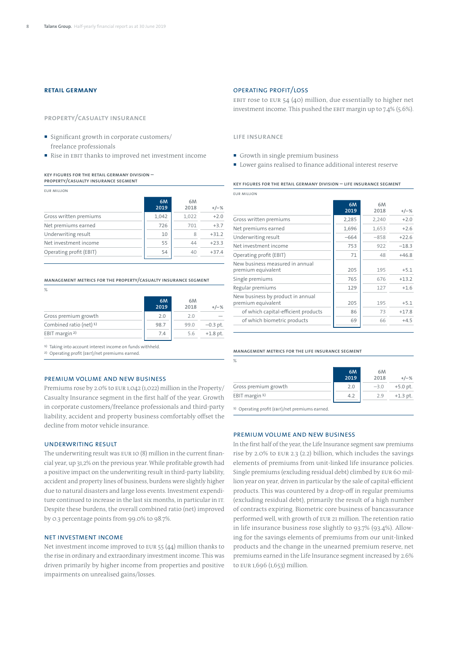# **Retail Germany**

**Property/Casualty Insurance**

- Significant growth in corporate customers/ freelance professionals
- Rise in EBIT thanks to improved net investment income

**Key figures for the Retail Germany Division – Property/Casualty Insurance segment** 

EUR million

|                         | 6M<br>2019 | 6M<br>2018 | $+/-%$  |
|-------------------------|------------|------------|---------|
| Gross written premiums  | 1.042      | 1.022      | $+2.0$  |
| Net premiums earned     | 726        | 701        | $+3.7$  |
| Underwriting result     | 10         | 8          | $+31.2$ |
| Net investment income   | 55         | 44         | $+23.3$ |
| Operating profit (EBIT) | 54         | 40         | $+37.4$ |

#### **Management metrics for the Property/Casualty Insurance Segment**

 $\frac{1}{2}$ 

|                           | 6M<br>2019 | 6M<br>2018 | $+/-%$     |
|---------------------------|------------|------------|------------|
| Gross premium growth      | 2.0        | 20         |            |
| Combined ratio (net) 1)   | 98.7       | 99.0       | $-0.3$ pt. |
| EBIT margin <sup>2)</sup> | 74         | 5.6        | $+1.8$ pt. |

1) Taking into account interest income on funds withheld.

2) Operating profit (EBIT)/net premiums earned.

## PREMIUM VOLUME AND NEW BUSINESS

Premiums rose by 2.0% to EUR 1,042 (1,022) million in the Property/ Casualty Insurance segment in the first half of the year. Growth in corporate customers/freelance professionals and third-party liability, accident and property business comfortably offset the decline from motor vehicle insurance.

### Underwriting result

The underwriting result was EUR 10 (8) million in the current financial year, up 31,2% on the previous year. While profitable growth had a positive impact on the underwriting result in third-party liability, accident and property lines of business, burdens were slightly higher due to natural disasters and large loss events. Investment expenditure continued to increase in the last six months, in particular in IT. Despite these burdens, the overall combined ratio (net) improved by 0.3 percentage points from 99.0% to 98.7%.

#### Net investment income

Net investment income improved to EUR 55 (44) million thanks to the rise in ordinary and extraordinary investment income. This was driven primarily by higher income from properties and positive impairments on unrealised gains/losses.

### OPERATING PROFIT/LOSS

EBIT rose to EUR 54 (40) million, due essentially to higher net investment income. This pushed the EBIT margin up to 7.4% (5.6%).

**Life insurance**

EUR million

- Growth in single premium business
- Lower gains realised to finance additional interest reserve

**Key figures for the Retail Germany Division – Life Insurance segment**

|                                                         | 6M<br>2019 | 6M<br>2018 | $+/-%$  |  |
|---------------------------------------------------------|------------|------------|---------|--|
| Gross written premiums                                  | 2,285      | 2,240      | $+2.0$  |  |
| Net premiums earned                                     | 1,696      | 1,653      | $+2.6$  |  |
| Underwriting result                                     | $-664$     | $-858$     | $+22.6$ |  |
| Net investment income                                   | 753        | 922        | $-18.3$ |  |
| Operating profit (EBIT)                                 | 71         | 48         | $+46.8$ |  |
| New business measured in annual<br>premium equivalent   | 205        | 195        | $+5.1$  |  |
| Single premiums                                         | 765        | 676        | $+13.2$ |  |
| Regular premiums                                        | 129        | 127        | $+1.6$  |  |
| New business by product in annual<br>premium equivalent | 205        | 195        | $+5.1$  |  |
| of which capital-efficient products                     | 86         | 73         | $+17.8$ |  |
| of which biometric products                             | 69         | 66         | $+4.5$  |  |
|                                                         |            |            |         |  |

#### **Management metrics for the Life Insurance segment**

%

|                          | 6M<br>2019 | 6M<br>2018 | $+/-%$     |
|--------------------------|------------|------------|------------|
| Gross premium growth     | 2.0        | $-3.0$     | $+5.0$ pt. |
| EBIT margin <sup>1</sup> | 4.2        | 2.9        | $+1.3$ pt. |

1) Operating profit (EBIT)/net premiums earned.

#### PREMIUM VOLUME AND NEW BUSINESS

In the first half of the year, the Life Insurance segment saw premiums rise by 2.0% to EUR 2.3 (2.2) billion, which includes the savings elements of premiums from unit-linked life insurance policies. Single premiums (excluding residual debt) climbed by EUR 60 million year on year, driven in particular by the sale of capital-efficient products. This was countered by a drop-off in regular premiums (excluding residual debt), primarily the result of a high number of contracts expiring. Biometric core business of bancassurance performed well, with growth of EUR 21 million. The retention ratio in life insurance business rose slightly to 93.7% (93.4%). Allowing for the savings elements of premiums from our unit-linked products and the change in the unearned premium reserve, net premiums earned in the Life Insurance segment increased by 2.6% to EUR 1,696 (1,653) million.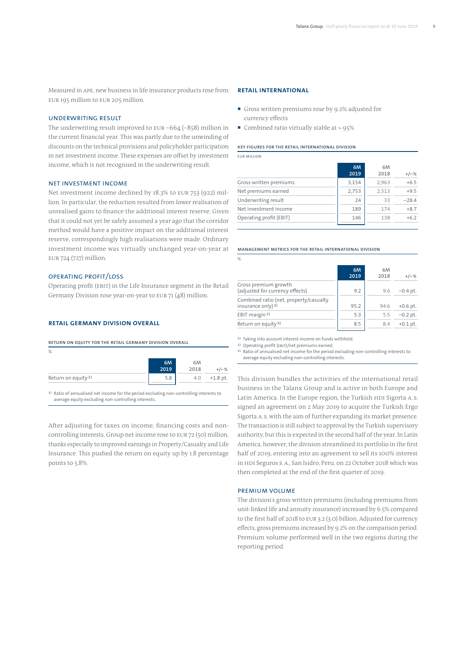Measured in APE, new business in life insurance products rose from EUR 195 million to EUR 205 million.

## Underwriting result

The underwriting result improved to EUR –664 (–858) million in the current financial year. This was partly due to the unwinding of discounts on the technical provisions and policyholder participation in net investment income. These expenses are offset by investment income, which is not recognised in the underwriting result.

### Net investment income

Net investment income declined by 18.3% to EUR 753 (922) million. In particular, the reduction resulted from lower realisation of unrealised gains to finance the additional interest reserve. Given that it could not yet be safely assumed a year ago that the corridor method would have a positive impact on the additional interest reserve, correspondingly high realisations were made. Ordinary investment income was virtually unchanged year-on-year at EUR 724 (727) million.

## OPERATING PROFIT/LOSS

Operating profit (EBIT) in the Life Insurance segment in the Retail Germany Division rose year-on-year to EUR 71 (48) million.

#### **Retail Germany Division overall**

**Return on equity for the Retail Germany Division overall**

| %                              |            |            |            |
|--------------------------------|------------|------------|------------|
|                                | 6M<br>2019 | 6M<br>2018 | $+/-%$     |
| Return on equity <sup>1)</sup> | 5.8        | 4.0        | $+1.8$ pt. |

1) Ratio of annualised net income for the period excluding non-controlling interests to average equity excluding non-controlling interests.

After adjusting for taxes on income, financing costs and noncontrolling interests, Group net income rose to EUR 72 (50) million, thanks especially to improved earnings in Property/Casualty and Life Insurance. This pushed the return on equity up by 1.8 percentage points to 5.8%.

# **Retail International**

- Gross written premiums rose by 9.2% adjusted for currency effects
- Combined ratio virtually stable at  $\sim$  95%

#### **KEY FIGURES FOR THE RETAIL INTERNATIONAL DIVISION**

EUR million

|                         | 6M<br>2019 | 6M<br>2018 | $+/-%$  |
|-------------------------|------------|------------|---------|
| Gross written premiums  | 3,154      | 2,963      | $+6.5$  |
| Net premiums earned     | 2,753      | 2.513      | $+9.5$  |
| Underwriting result     | 24         | 33         | $-28.4$ |
| Net investment income   | 189        | 174        | $+8.7$  |
| Operating profit (EBIT) | 146        | 138        | $+6.2$  |

#### **MANAGEMENT METRICS FOR THE RETAIL INTERNATIONAL DIVISION**

| $\%$                                                                    |            |            |            |
|-------------------------------------------------------------------------|------------|------------|------------|
|                                                                         | 6M<br>2019 | 6M<br>2018 | $+/-%$     |
| Gross premium growth<br>(adjusted for currency effects)                 | 9.2        | 9.6        | $-0.4$ pt. |
| Combined ratio (net, property/casualty<br>insurance only) <sup>1)</sup> | 95.2       | 94.6       | $+0.6$ pt. |
| EBIT margin <sup>2)</sup>                                               | 5.3        | 5.5        | $-0.2$ pt. |
| Return on equity <sup>3)</sup>                                          | 8.5        | 8.4        | $+0.1$ pt. |

1) Taking into account interest income on funds withheld.

2) Operating profit (EBIT)/net premiums earned.

3) Ratio of annualised net income for the period excluding non-controlling interests to average equity excluding non-controlling interests.

This division bundles the activities of the international retail business in the Talanx Group and is active in both Europe and Latin America. In the Europe region, the Turkish HDI Sigorta A. S. signed an agreement on 2 May 2019 to acquire the Turkish Ergo Sigorta A. S, with the aim of further expanding its market presence. The transaction is still subject to approval by the Turkish supervisory authority, but this is expected in the second half of the year. In Latin America, however, the division streamlined its portfolio in the first half of 2019, entering into an agreement to sell its 100% interest in HDI Seguros S.A., San Isidro, Peru, on 22 October 2018 which was then completed at the end of the first quarter of 2019.

### Premium volume

The division's gross written premiums (including premiums from unit-linked life and annuity insurance) increased by 6.5% compared to the first half of 2018 to EUR 3.2 (3.0) billion. Adjusted for currency effects, gross premiums increased by 9.2% on the comparison period. Premium volume performed well in the two regions during the reporting period.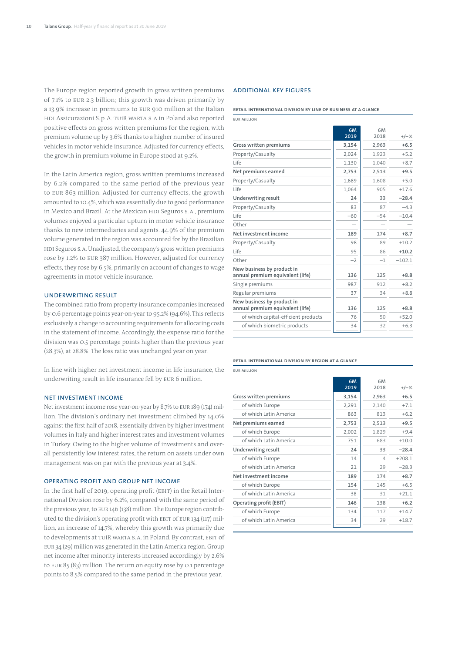The Europe region reported growth in gross written premiums of 7.1% to EUR 2.3 billion; this growth was driven primarily by a 13.9% increase in premiums to EUR 910 million at the Italian HDI Assicurazioni S.p.A. TUiR WARTA S.A in Poland also reported positive effects on gross written premiums for the region, with premium volume up by 3.6% thanks to a higher number of insured vehicles in motor vehicle insurance. Adjusted for currency effects, the growth in premium volume in Europe stood at 9.2%.

In the Latin America region, gross written premiums increased by 6.2% compared to the same period of the previous year to EUR 863 million. Adjusted for currency effects, the growth amounted to 10.4%, which was essentially due to good performance in Mexico and Brazil. At the Mexican HDI Seguros S.A., premium volumes enjoyed a particular upturn in motor vehicle insurance thanks to new intermediaries and agents. 44.9% of the premium volume generated in the region was accounted for by the Brazilian HDI Seguros S.A. Unadjusted, the company's gross written premiums rose by 1.2% to EUR 387 million. However, adjusted for currency effects, they rose by 6.5%, primarily on account of changes to wage agreements in motor vehicle insurance.

### Underwriting result

The combined ratio from property insurance companies increased by 0.6 percentage points year-on-year to 95.2% (94.6%). This reflects exclusively a change to accounting requirements for allocating costs in the statement of income. Accordingly, the expense ratio for the division was 0.5 percentage points higher than the previous year (28.3%), at 28.8%. The loss ratio was unchanged year on year.

In line with higher net investment income in life insurance, the underwriting result in life insurance fell by EUR 6 million.

#### Net investment income

Net investment income rose year-on-year by 8.7% to EUR 189 (174) million. The division's ordinary net investment climbed by 14.0% against the first half of 2018, essentially driven by higher investment volumes in Italy and higher interest rates and investment volumes in Turkey. Owing to the higher volume of investments and overall persistently low interest rates, the return on assets under own management was on par with the previous year at 3.4%.

### Operating profit and Group net income

In the first half of 2019, operating profit (EBIT) in the Retail International Division rose by 6.2%, compared with the same period of the previous year, to EUR 146 (138) million. The Europe region contributed to the division's operating profit with EBIT of EUR 134 (117) million, an increase of 14.7%, whereby this growth was primarily due to developments at TUiR WARTA S.A. in Poland. By contrast, EBIT of EUR 34 (29) million was generated in the Latin America region. Group net income after minority interests increased accordingly by 2.6% to EUR 85 (83) million. The return on equity rose by 0.1 percentage points to 8.5% compared to the same period in the previous year.

## Additional key figures

**Retail International Division by line of business at a glance**

**6M 2019** **6M**

**2018 +/–%**

EUR million **Gross written premiums 3,154 2,963 +6.5** Property/Casualty  $\begin{array}{|c|c|c|c|c|c|c|c|}\n\hline\n2,024 & 1,923 & +5.2 \\
\hline\n\end{array}$ Life 1,130 1,040 +8.7 **Net premiums earned 2,753 2,513 +9.5**

| Property/Casualty                                              | 1,689 | 1,608 | $+5.0$   |
|----------------------------------------------------------------|-------|-------|----------|
| Life                                                           | 1,064 | 905   | $+17.6$  |
| Underwriting result                                            | 24    | 33    | $-28.4$  |
| Property/Casualty                                              | 83    | 87    | $-4.3$   |
| Life                                                           | $-60$ | $-54$ | $-10.4$  |
| Other                                                          |       |       |          |
| Net investment income                                          | 189   | 174   | $+8.7$   |
| Property/Casualty                                              | 98    | 89    | $+10.2$  |
| Life                                                           | 95    | 86    | $+10.2$  |
| Other                                                          | $-2$  | $-1$  | $-102.1$ |
| New business by product in<br>annual premium equivalent (life) | 136   | 125   | $+8.8$   |
| Single premiums                                                | 987   | 912   | $+8.2$   |
| Regular premiums                                               | 37    | 34    | $+8.8$   |
| New business by product in<br>annual premium equivalent (life) | 136   | 125   | $+8.8$   |
| of which capital-efficient products                            | 76    | 50    | $+52.0$  |
| of which biometric products                                    | 34    | 32    | $+6.3$   |
|                                                                |       |       |          |

#### **Retail International Division by region at a glance**

EUR million

|                         | 6M<br>2019 | 6M<br>2018 | $+/-%$   |
|-------------------------|------------|------------|----------|
| Gross written premiums  | 3,154      | 2,963      | $+6.5$   |
| of which Europe         | 2,291      | 2,140      | $+7.1$   |
| of which Latin America  | 863        | 813        | $+6.2$   |
| Net premiums earned     | 2,753      | 2,513      | $+9.5$   |
| of which Europe         | 2,002      | 1,829      | $+9.4$   |
| of which Latin America  | 751        | 683        | $+10.0$  |
| Underwriting result     | 24         | 33         | $-28.4$  |
| of which Europe         | 14         | 4          | $+208.1$ |
| of which Latin America  | 21         | 29         | $-28.3$  |
| Net investment income   | 189        | 174        | $+8.7$   |
| of which Europe         | 154        | 145        | $+6.5$   |
| of which Latin America  | 38         | 31         | $+21.1$  |
| Operating profit (EBIT) | 146        | 138        | $+6.2$   |
| of which Europe         | 134        | 117        | $+14.7$  |
| of which Latin America  | 34         | 29         | $+18.7$  |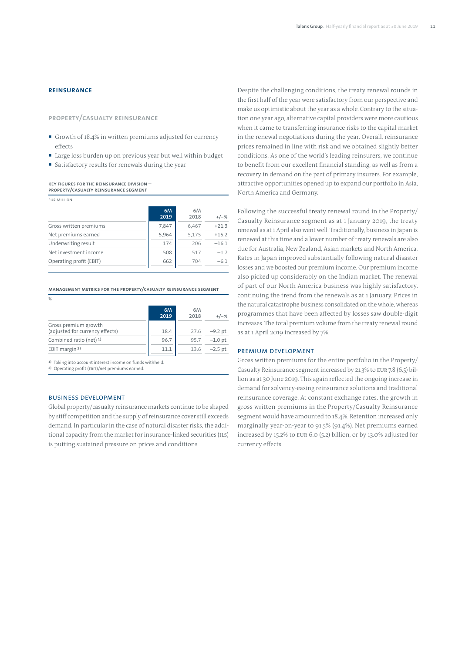# **Reinsurance**

**Property/Casualty Reinsurance**

- Growth of 18.4% in written premiums adjusted for currency effects
- Large loss burden up on previous year but well within budget
- satisfactory results for renewals during the year

**KEY FIGURES FOR THE REINSURANCE DIVISION – PROPERTY/CASUALTY REINSURANCE SEGMENT**

| <b>EUR MILLION</b>      |            |            |         |
|-------------------------|------------|------------|---------|
|                         | 6M<br>2019 | 6M<br>2018 | $+/-%$  |
| Gross written premiums  | 7.847      | 6,467      | $+21.3$ |
| Net premiums earned     | 5,964      | 5,175      | $+15.2$ |
| Underwriting result     | 174        | 206        | $-16.1$ |
| Net investment income   | 508        | 517        | $-1.7$  |
| Operating profit (EBIT) | 662        | 704        | $-6.1$  |

**MANAGEMENT METRICS FOR THE PROPERTY/CASUALTY REINSURANCE SEGMENT**

| %                                                       |            |            |            |
|---------------------------------------------------------|------------|------------|------------|
|                                                         | 6M<br>2019 | 6M<br>2018 | $+/-%$     |
| Gross premium growth<br>(adjusted for currency effects) | 18.4       | 27.6       | $-9.2$ pt. |
| Combined ratio (net) 1)                                 | 96.7       | 95.7       | $-1.0$ pt. |
| EBIT margin <sup>2)</sup>                               | 11.1       | 13.6       | $-2.5$ pt. |
|                                                         |            |            |            |

1) Taking into account interest income on funds withheld.

2) Operating profit (EBIT)/net premiums earned.

### Business development

Global property/casualty reinsurance markets continue to be shaped by stiff competition and the supply of reinsurance cover still exceeds demand. In particular in the case of natural disaster risks, the additional capacity from the market for insurance-linked securities (ILS) is putting sustained pressure on prices and conditions.

Despite the challenging conditions, the treaty renewal rounds in the first half of the year were satisfactory from our perspective and make us optimistic about the year as a whole. Contrary to the situation one year ago, alternative capital providers were more cautious when it came to transferring insurance risks to the capital market in the renewal negotiations during the year. Overall, reinsurance prices remained in line with risk and we obtained slightly better conditions. As one of the world's leading reinsurers, we continue to benefit from our excellent financial standing, as well as from a recovery in demand on the part of primary insurers. For example, attractive opportunities opened up to expand our portfolio in Asia, North America and Germany.

Following the successful treaty renewal round in the Property/ Casualty Reinsurance segment as at 1 January 2019, the treaty renewal as at 1 April also went well. Traditionally, business in Japan is renewed at this time and a lower number of treaty renewals are also due for Australia, New Zealand, Asian markets and North America. Rates in Japan improved substantially following natural disaster losses and we boosted our premium income. Our premium income also picked up considerably on the Indian market. The renewal of part of our North America business was highly satisfactory, continuing the trend from the renewals as at 1 January. Prices in the natural catastrophe business consolidated on the whole, whereas programmes that have been affected by losses saw double-digit increases. The total premium volume from the treaty renewal round as at 1 April 2019 increased by 7%.

# Premium development

Gross written premiums for the entire portfolio in the Property/ Casualty Reinsurance segment increased by 21.3% to EUR 7.8 (6.5) billion as at 30 June 2019. This again reflected the ongoing increase in demand for solvency-easing reinsurance solutions and traditional reinsurance coverage. At constant exchange rates, the growth in gross written premiums in the Property/Casualty Reinsurance segment would have amounted to 18.4%. Retention increased only marginally year-on-year to 91.5% (91.4%). Net premiums earned increased by 15.2% to EUR 6.0 (5.2) billion, or by 13.0% adjusted for currency effects.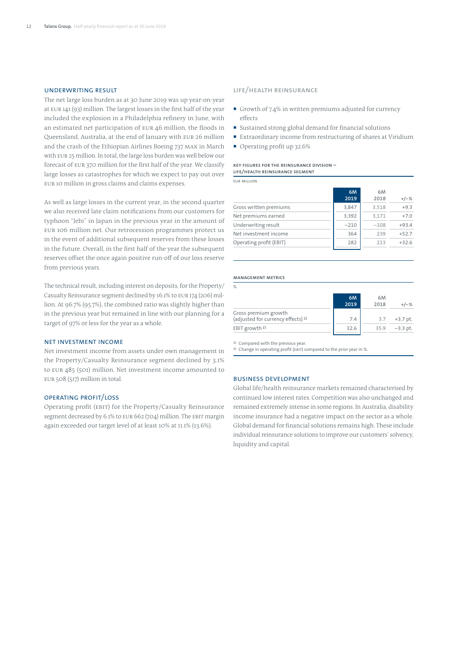# UNDERWRITING RESULT

The net large loss burden as at 30 June 2019 was up year-on-year at EUR 141 (93) million. The largest losses in the first half of the year included the explosion in a Philadelphia refinery in June, with an estimated net participation of EUR 46 million, the floods in Queensland, Australia, at the end of January with EUR 26 million and the crash of the Ethiopian Airlines Boeing 737 MAX in March with EUR 25 million. In total, the large loss burden was well below our forecast of EUR 370 million for the first half of the year. We classify large losses as catastrophes for which we expect to pay out over EUR 10 million in gross claims and claims expenses.

As well as large losses in the current year, in the second quarter we also received late claim notifications from our customers for typhoon "Jebi" in Japan in the previous year in the amount of EUR 106 million net. Our retrocession programmes protect us in the event of additional subsequent reserves from these losses in the future. Overall, in the first half of the year the subsequent reserves offset the once again positive run-off of our loss reserve from previous years.

The technical result, including interest on deposits, for the Property/ Casualty Reinsurance segment declined by 16.1% to EUR 174 (206) million. At 96.7% (95.7%), the combined ratio was slightly higher than in the previous year but remained in line with our planning for a target of 97% or less for the year as a whole.

#### NET INVESTMENT INCOME

Net investment income from assets under own management in the Property/Casualty Reinsurance segment declined by 3.1% to EUR 485 (501) million. Net investment income amounted to EUR 508 (517) million in total.

## Operating profit/loss

Operating profit (EBIT) for the Property/Casualty Reinsurance segment decreased by 6.1% to EUR 662 (704) million. The EBIT margin again exceeded our target level of at least 10% at 11.1% (13.6%).

## **Life/Health Reinsurance**

- Growth of 7.4% in written premiums adjusted for currency effects
- Sustained strong global demand for financial solutions
- Extraordinary income from restructuring of shares at Viridium
- Operating profit up 32.6%

#### **KEY FIGURES FOR THE REINSURANCE DIVISION – LIFE/HEALTH REINSURANCE SEGMENT**

EUR million

|                         | 6M<br>2019 | 6M<br>2018 | $+/-%$  |
|-------------------------|------------|------------|---------|
| Gross written premiums  | 3,847      | 3,518      | $+9.3$  |
| Net premiums earned     | 3,392      | 3,171      | $+7.0$  |
| Underwriting result     | $-210$     | $-108$     | $+93.4$ |
| Net investment income   | 364        | 239        | $+52.7$ |
| Operating profit (EBIT) | 282        | 213        | $+32.6$ |

#### **Management metrics**

| $\%$                                                                  |            |            |            |
|-----------------------------------------------------------------------|------------|------------|------------|
|                                                                       | 6M<br>2019 | 6M<br>2018 | $+/-\%$    |
| Gross premium growth<br>(adjusted for currency effects) <sup>1)</sup> | 7.4        | 3.7        | $+3.7$ pt. |
| EBIT growth <sup>2)</sup>                                             | 32.6       | 35.9       | $-3.3$ pt. |
|                                                                       |            |            |            |

1) Compared with the previous year.

2) Change in operating profit (EBIT) compared to the prior year in %.

## Business development

Global life/health reinsurance markets remained characterised by continued low interest rates. Competition was also unchanged and remained extremely intense in some regions. In Australia, disability income insurance had a negative impact on the sector as a whole. Global demand for financial solutions remains high. These include individual reinsurance solutions to improve our customers' solvency, liquidity and capital.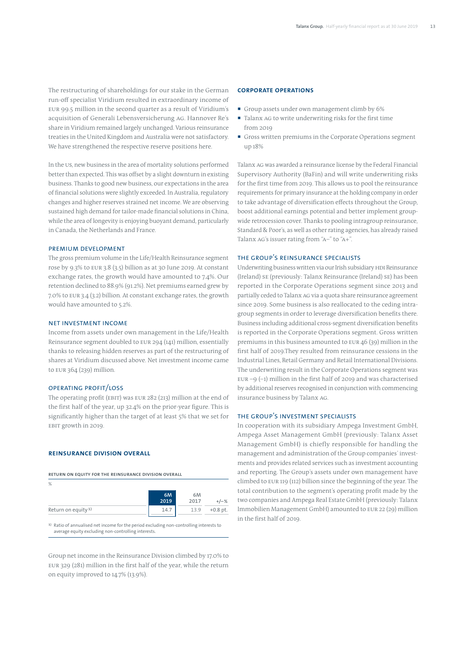The restructuring of shareholdings for our stake in the German run-off specialist Viridium resulted in extraordinary income of EUR 99.5 million in the second quarter as a result of Viridium's acquisition of Generali Lebensversicherung AG. Hannover Re's share in Viridium remained largely unchanged. Various reinsurance treaties in the United Kingdom and Australia were not satisfactory. We have strengthened the respective reserve positions here.

In the US, new business in the area of mortality solutions performed better than expected. This was offset by a slight downturn in existing business. Thanks to good new business, our expectations in the area of financial solutions were slightly exceeded. In Australia, regulatory changes and higher reserves strained net income. We are observing sustained high demand for tailor-made financial solutions in China, while the area of longevity is enjoying buoyant demand, particularly in Canada, the Netherlands and France.

#### Premium development

The gross premium volume in the Life/Health Reinsurance segment rose by 9.3% to EUR 3.8 (3.5) billion as at 30 June 2019. At constant exchange rates, the growth would have amounted to 7.4%. Our retention declined to 88.9% (91.2%). Net premiums earned grew by 7.0% to EUR 3.4 (3.2) billion. At constant exchange rates, the growth would have amounted to 5.2%.

### NET INVESTMENT INCOME

Income from assets under own management in the Life/Health Reinsurance segment doubled to EUR 294 (141) million, essentially thanks to releasing hidden reserves as part of the restructuring of shares at Viridium discussed above. Net investment income came to EUR 364 (239) million.

# OPERATING PROFIT/LOSS

The operating profit (EBIT) was EUR 282 (213) million at the end of the first half of the year, up 32.4% on the prior-year figure. This is significantly higher than the target of at least 5% that we set for EBIT growth in 2019.

# **REINSURANCE DIVISION OVERALL**

**Return on equity for the Reinsurance Division overall**

| %                              |      |      |            |
|--------------------------------|------|------|------------|
|                                | 6M   | 6M   |            |
|                                | 2019 | 2017 | $+/-%$     |
| Return on equity <sup>1)</sup> | 14.  | 13.9 | $+0.8$ pt. |

1) Ratio of annualised net income for the period excluding non-controlling interests to average equity excluding non-controlling interests.

Group net income in the Reinsurance Division climbed by 17.0% to EUR 329 (281) million in the first half of the year, while the return on equity improved to 14.7% (13.9%).

# **Corporate Operations**

- Group assets under own management climb by 6%
- Talanx AG to write underwriting risks for the first time  $from 2010$
- Gross written premiums in the Corporate Operations segment up 18%

Talanx AG was awarded a reinsurance license by the Federal Financial Supervisory Authority (BaFin) and will write underwriting risks for the first time from 2019. This allows us to pool the reinsurance requirements for primary insurance at the holding company in order to take advantage of diversification effects throughout the Group, boost additional earnings potential and better implement groupwide retrocession cover. Thanks to pooling intragroup reinsurance, Standard & Poor's, as well as other rating agencies, has already raised Talanx AG's issuer rating from "A–" to "A+".

### The Group's reinsurance specialists

Underwriting business written via our Irish subsidiary HDI Reinsurance (Ireland) SE (previously: Talanx Reinsurance (Ireland) SE) has been reported in the Corporate Operations segment since 2013 and partially ceded to Talanx AG via a quota share reinsurance agreement since 2019. Some business is also reallocated to the ceding intragroup segments in order to leverage diversification benefits there. Business including additional cross-segment diversification benefits is reported in the Corporate Operations segment. Gross written premiums in this business amounted to EUR 46 (39) million in the first half of 2019.They resulted from reinsurance cessions in the Industrial Lines, Retail Germany and Retail International Divisions. The underwriting result in the Corporate Operations segment was EUR  $-9$  ( $-1$ ) million in the first half of 2019 and was characterised by additional reserves recognised in conjunction with commencing insurance business by Talanx AG.

### The Group's investment specialists

In cooperation with its subsidiary Ampega Investment GmbH, Ampega Asset Management GmbH (previously: Talanx Asset Management GmbH) is chiefly responsible for handling the management and administration of the Group companies' investments and provides related services such as investment accounting and reporting. The Group's assets under own management have climbed to EUR 119 (112) billion since the beginning of the year. The total contribution to the segment's operating profit made by the two companies and Ampega Real Estate GmbH (previously: Talanx Immobilien Management GmbH) amounted to EUR 22 (29) million in the first half of 2019.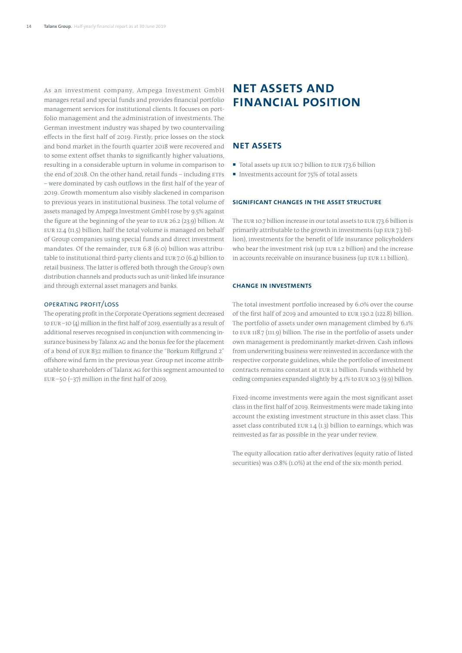As an investment company, Ampega Investment GmbH manages retail and special funds and provides financial portfolio management services for institutional clients. It focuses on portfolio management and the administration of investments. The German investment industry was shaped by two countervailing effects in the first half of 2019. Firstly, price losses on the stock and bond market in the fourth quarter 2018 were recovered and to some extent offset thanks to significantly higher valuations, resulting in a considerable upturn in volume in comparison to the end of 2018. On the other hand, retail funds – including ETFs – were dominated by cash outflows in the first half of the year of 2019. Growth momentum also visibly slackened in comparison to previous years in institutional business. The total volume of assets managed by Ampega Investment GmbH rose by 9.5% against the figure at the beginning of the year to EUR 26.2 (23.9) billion. At EUR 12.4 (11.5) billion, half the total volume is managed on behalf of Group companies using special funds and direct investment mandates. Of the remainder, EUR 6.8 (6.0) billion was attributable to institutional third-party clients and EUR 7.0 (6.4) billion to retail business. The latter is offered both through the Group's own distribution channels and products such as unit-linked life insurance and through external asset managers and banks.

# Operating profit/loss

The operating profit in the Corporate Operations segment decreased to EUR –10 (4) million in the first half of 2019, essentially as a result of additional reserves recognised in conjunction with commencing insurance business by Talanx AG and the bonus fee for the placement of a bond of EUR 832 million to finance the "Borkum Riffgrund 2" offshore wind farm in the previous year. Group net income attributable to shareholders of Talanx AG for this segment amounted to EUR –50 (–37) million in the first half of 2019

# **Net assets and financial position**

# **Net assets**

- Total assets up EUR 10.7 billion to EUR 173.6 billion
- Investments account for  $75%$  of total assets

## **SIGNIFICANT CHANGES IN THE ASSET STRUCTURE**

The EUR 10.7 billion increase in our total assets to EUR 173.6 billion is primarily attributable to the growth in investments (up EUR 7.3 billion), investments for the benefit of life insurance policyholders who bear the investment risk (up EUR 1.2 billion) and the increase in accounts receivable on insurance business (up EUR 1.1 billion).

## **Change in investments**

The total investment portfolio increased by 6.0% over the course of the first half of 2019 and amounted to EUR 130.2 (122.8) billion. The portfolio of assets under own management climbed by 6.1% to EUR 118.7 (111.9) billion. The rise in the portfolio of assets under own management is predominantly market-driven. Cash inflows from underwriting business were reinvested in accordance with the respective corporate guidelines, while the portfolio of investment contracts remains constant at EUR 1.1 billion. Funds withheld by ceding companies expanded slightly by 4.1% to EUR 10.3 (9.9) billion.

Fixed-income investments were again the most significant asset class in the first half of 2019. Reinvestments were made taking into account the existing investment structure in this asset class. This asset class contributed EUR 1.4 (1.3) billion to earnings, which was reinvested as far as possible in the year under review.

The equity allocation ratio after derivatives (equity ratio of listed securities) was 0.8% (1.0%) at the end of the six-month period.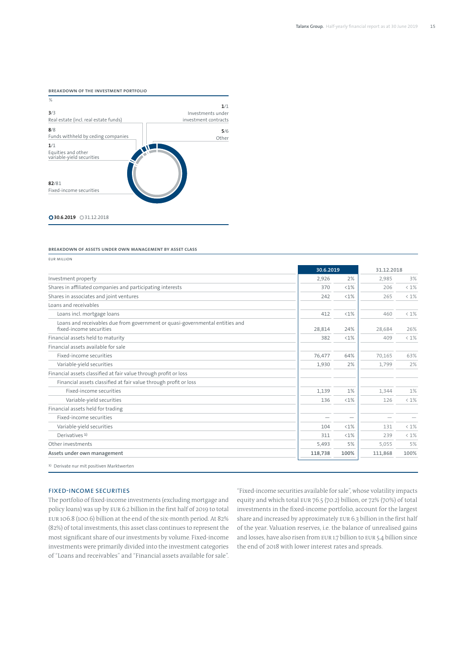

**Breakdown of assets under own management by asset class**

EUR million **30.6.2019 31.12.2018** Investment property 2,926 2% 2,985 3% Shares in affiliated companies and participating interests 370  $\left\{1\% \left|\right. 206 \right\}$  206 < 1% Shares in associates and joint ventures 242 <1% 265 < 1% Loans and receivables Loans incl. mortgage loans 412 data between the control of the control of the control of the control of the control of the control of the control of the control of the control of the control of the control of the control o Loans and receivables due from government or quasi-governmental entities and fixed-income securities 28,814 24% 28,684 26% Financial assets held to maturity 382 <1% 409 < 1% Financial assets available for sale Fixed-income securities 76,477 64% 70,165 63% Variable-yield securities and the securities of the securities of the securities of the securities of the securities of the securities of the securities of the securities of the securities of the securities of the securiti Financial assets classified at fair value through profit or loss Financial assets classified at fair value through profit or loss Fixed-income securities  $1,344$  1%  $1,344$  1%  $1,344$  1% Variable-yield securities and the securities of the securities of the securities of the securities of the securities of the securities of the securities of the securities of the securities of the securities of the securiti Financial assets held for trading Fixed-income securities Variable-yield securities and the securities of the securities of the securities of the securities of the securities of the securities of the securities of the securities of the securities of the securities of the securiti Derivatives 1) 311 <1% 239 < 1% Other investments 5% 5,493 5% 5,655 5% **Assets under own management 118,738 100% 111,868 100%** 1) Derivate nur mit positiven Marktwerten

# Fixed-income securities

The portfolio of fixed-income investments (excluding mortgage and policy loans) was up by EUR 6.2 billion in the first half of 2019 to total EUR 106.8 (100.6) billion at the end of the six-month period. At 82% (82%) of total investments, this asset class continues to represent the most significant share of our investments by volume. Fixed-income investments were primarily divided into the investment categories of "Loans and receivables" and "Financial assets available for sale".

"Fixed-income securities available for sale", whose volatility impacts equity and which total EUR 76.5 (70.2) billion, or 72% (70%) of total investments in the fixed-income portfolio, account for the largest share and increased by approximately EUR 6.3 billion in the first half of the year. Valuation reserves, i.e. the balance of unrealised gains and losses, have also risen from EUR 1.7 billion to EUR 5.4 billion since the end of 2018 with lower interest rates and spreads.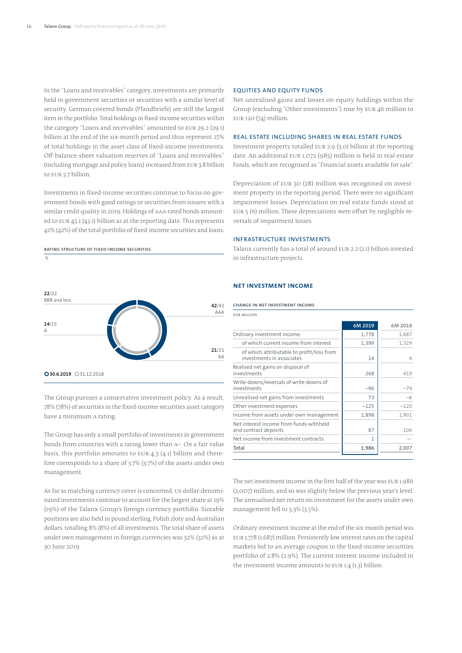In the "Loans and receivables" category, investments are primarily held in government securities or securities with a similar level of security. German covered bonds (Pfandbriefe) are still the largest item in the portfolio. Total holdings in fixed-income securities within the category "Loans and receivables" amounted to EUR 29.2 (29.1) billion at the end of the six-month period and thus represent 27% of total holdings in the asset class of fixed-income investments. Off-balance-sheet valuation reserves of "Loans and receivables" (including mortgage and policy loans) increased from EUR 3.8 billion to EUR 5.7 billion.

Investments in fixed-income securities continue to focus on government bonds with good ratings or securities from issuers with a similar credit quality in 2019. Holdings of AAA-rated bonds amounted to EUR 45.1 (43.1) billion as at the reporting date. This represents 42% (42%) of the total portfolio of fixed-income securities and loans.



The Group pursues a conservative investment policy. As a result, 78% (78%) of securities in the fixed-income securities asset category have a minimum A rating.

The Group has only a small portfolio of investments in government bonds from countries with a rating lower than A–. On a fair value basis, this portfolio amounts to EUR 4.3 (4.1) billion and therefore corresponds to a share of 3.7% (3.7%) of the assets under own management.

As far as matching currency cover is concerned, US dollar-denominated investments continue to account for the largest share at 19% (19%) of the Talanx Group's foreign currency portfolio. Sizeable positions are also held in pound sterling, Polish zloty and Australian dollars, totalling 8% (8%) of all investments. The total share of assets under own management in foreign currencies was 32% (32%) as at 30 June 2019.

# Equities and equity funds

Net unrealised gains and losses on equity holdings within the Group (excluding "Other investments") rose by EUR 46 million to EUR 120 (74) million.

## Real estate including shares in real estate funds

Investment property totalled EUR 2.9 (3.0) billion at the reporting date. An additional EUR 1,072 (985) million is held in real estate funds, which are recognised as "Financial assets available for sale".

Depreciation of EUR 30 (28) million was recognised on investment property in the reporting period. There were no significant impairment losses. Depreciation on real estate funds stood at EUR 5 (6) million. These depreciations were offset by negligible reversals of impairment losses.

#### Infrastructure investments

Talanx currently has a total of around EUR 2.2 (2.1) billion invested in infrastructure projects.

## **Net investment income**

#### **Change in net investment income**

| <b>FUR MILLION</b>                                                     |         |         |
|------------------------------------------------------------------------|---------|---------|
|                                                                        | 6M 2019 | 6M 2018 |
| Ordinary investment income                                             | 1,778   | 1,687   |
| of which current income from interest                                  | 1,399   | 1,329   |
| of which attributable to profit/loss from<br>investments in associates | 14      | 4       |
| Realised net gains on disposal of<br>investments                       | 268     | 419     |
| Write-downs/reversals of write-downs of<br>investments                 | $-96$   | $-79$   |
| Unrealised net gains from investments                                  | 73      | -6      |
| Other investment expenses                                              | $-125$  | $-120$  |
| Income from assets under own management                                | 1,898   | 1,901   |
| Net interest income from funds withheld<br>and contract deposits       | 87      | 106     |
| Net income from investment contracts                                   |         |         |
| Total                                                                  | 1,986   | 2,007   |
|                                                                        |         |         |

The net investment income in the first half of the year was EUR 1,986 (2,007) million, and so was slightly below the previous year's level. The annualised net return on investment for the assets under own management fell to 3.3% (3.5%).

Ordinary investment income at the end of the six-month period was EUR 1,778 (1,687) million. Persistently low interest rates on the capital markets led to an average coupon in the fixed-income securities portfolio of 2.8% (2.9%). The current interest income included in the investment income amounts to EUR 1.4 (1.3) billion.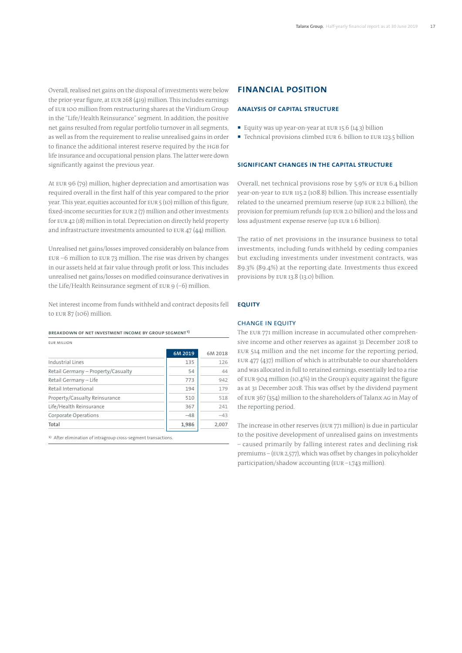Overall, realised net gains on the disposal of investments were below the prior-year figure, at EUR 268 (419) million. This includes earnings of EUR 100 million from restructuring shares at the Viridium Group in the "Life/Health Reinsurance" segment. In addition, the positive net gains resulted from regular portfolio turnover in all segments, as well as from the requirement to realise unrealised gains in order to finance the additional interest reserve required by the HGB for life insurance and occupational pension plans. The latter were down significantly against the previous year.

At EUR 96 (79) million, higher depreciation and amortisation was required overall in the first half of this year compared to the prior year. This year, equities accounted for EUR 5 (10) million of this figure, fixed-income securities for EUR 2 (7) million and other investments for EUR 42 (18) million in total. Depreciation on directly held property and infrastructure investments amounted to EUR 47 (44) million.

Unrealised net gains/losses improved considerably on balance from EUR –6 million to EUR 73 million. The rise was driven by changes in our assets held at fair value through profit or loss. This includes unrealised net gains/losses on modified coinsurance derivatives in the Life/Health Reinsurance segment of EUR 9 (–6) million.

Net interest income from funds withheld and contract deposits fell to EUR 87 (106) million.

**Breakdown of net investment income by Group segment 1)**

| <b>FUR MILLION</b>                 |         |         |
|------------------------------------|---------|---------|
|                                    | 6M 2019 | 6M 2018 |
| Industrial Lines                   | 135     | 126     |
| Retail Germany - Property/Casualty | 54      | 44      |
| Retail Germany - Life              | 773     | 942     |
| Retail International               | 194     | 179     |
| Property/Casualty Reinsurance      | 510     | 518     |
| Life/Health Reinsurance            | 367     | 241     |
| Corporate Operations               | $-48$   | $-43$   |
| Total                              | 1,986   | 2,007   |

1) After elimination of intragroup cross-segment transactions

# **Financial position**

## **Analysis of capital structure**

- Equity was up year-on-year at EUR 15.6  $(14.3)$  billion
- Technical provisions climbed EUR 6, billion to EUR 123.5 billion

### **SIGNIFICANT CHANGES IN THE CAPITAL STRUCTURE**

Overall, net technical provisions rose by 5.9% or EUR 6.4 billion year-on-year to EUR 115.2 (108.8) billion. This increase essentially related to the unearned premium reserve (up EUR 2.2 billion), the provision for premium refunds (up EUR 2.0 billion) and the loss and loss adjustment expense reserve (up EUR 1.6 billion).

The ratio of net provisions in the insurance business to total investments, including funds withheld by ceding companies but excluding investments under investment contracts, was 89.3% (89.4%) at the reporting date. Investments thus exceed provisions by EUR 13.8 (13.0) billion.

#### **Equity**

### Change in equity

The EUR 771 million increase in accumulated other comprehensive income and other reserves as against 31 December 2018 to EUR 514 million and the net income for the reporting period, EUR 477 (437) million of which is attributable to our shareholders and was allocated in full to retained earnings, essentially led to a rise of EUR 904 million (10.4%) in the Group's equity against the figure as at 31 December 2018. This was offset by the dividend payment of EUR 367 (354) million to the shareholders of Talanx AG in May of the reporting period.

The increase in other reserves (EUR 771 million) is due in particular to the positive development of unrealised gains on investments – caused primarily by falling interest rates and declining risk premiums – (EUR 2,577), which was offset by changes in policyholder participation/shadow accounting (EUR –1,743 million).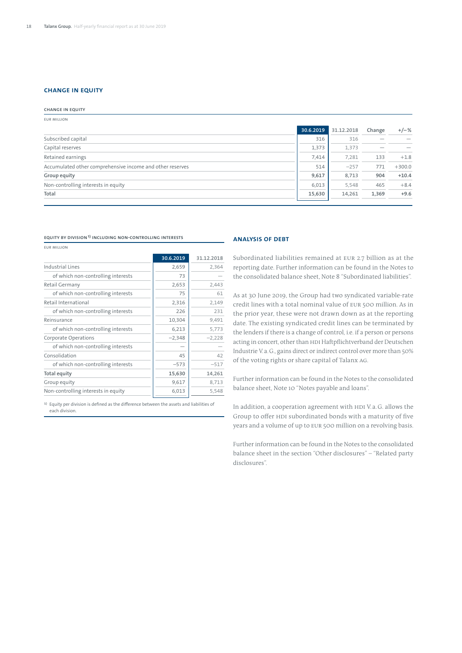# **Change in equity**

| <b>CHANGE IN EQUITY</b>                                   |           |            |        |          |
|-----------------------------------------------------------|-----------|------------|--------|----------|
| <b>EUR MILLION</b>                                        |           |            |        |          |
|                                                           | 30.6.2019 | 31.12.2018 | Change | $+/-%$   |
| Subscribed capital                                        | 316       | 316        |        |          |
| Capital reserves                                          | 1,373     | 1,373      |        |          |
| Retained earnings                                         | 7,414     | 7,281      | 133    | $+1.8$   |
| Accumulated other comprehensive income and other reserves | 514       | $-257$     | 771    | $+300.0$ |
| Group equity                                              | 9,617     | 8,713      | 904    | $+10.4$  |
| Non-controlling interests in equity                       | 6,013     | 5,548      | 465    | $+8.4$   |
| Total                                                     | 15,630    | 14,261     | 1,369  | $+9.6$   |
|                                                           |           |            |        |          |

**Equity by division1) including non-controlling interests**

EUR million

|                                     | 30.6.2019 | 31.12.2018 |
|-------------------------------------|-----------|------------|
| Industrial Lines                    | 2,659     | 2,364      |
| of which non-controlling interests  | 73        |            |
| Retail Germany                      | 2,653     | 2,443      |
| of which non-controlling interests  | 75        | 61         |
| Retail International                | 2,316     | 2,149      |
| of which non-controlling interests  | 226       | 231        |
| Reinsurance                         | 10,304    | 9,491      |
| of which non-controlling interests  | 6,213     | 5,773      |
| Corporate Operations                | $-2,348$  | $-2,228$   |
| of which non-controlling interests  |           |            |
| Consolidation                       | 45        | 42         |
| of which non-controlling interests  | $-573$    | $-517$     |
| Total equity                        | 15,630    | 14,261     |
| Group equity                        | 9,617     | 8,713      |
| Non-controlling interests in equity | 6,013     | 5,548      |

1) Equity per division is defined as the difference between the assets and liabilities of each division.

#### **ANALYSIS OF DEBT**

Subordinated liabilities remained at EUR 2.7 billion as at the reporting date. Further information can be found in the Notes to the consolidated balance sheet, Note 8 "Subordinated liabilities".

As at 30 June 2019, the Group had two syndicated variable-rate credit lines with a total nominal value of EUR 500 million. As in the prior year, these were not drawn down as at the reporting date. The existing syndicated credit lines can be terminated by the lenders if there is a change of control, i.e. if a person or persons acting in concert, other than HDI Haftpflichtverband der Deutschen Industrie V.a.G., gains direct or indirect control over more than 50% of the voting rights or share capital of Talanx AG.

Further information can be found in the Notes to the consolidated balance sheet, Note 10 "Notes payable and loans".

In addition, a cooperation agreement with HDI V. a.G. allows the Group to offer HDI subordinated bonds with a maturity of five years and a volume of up to EUR 500 million on a revolving basis.

Further information can be found in the Notes to the consolidated balance sheet in the section "Other disclosures" – "Related party disclosures".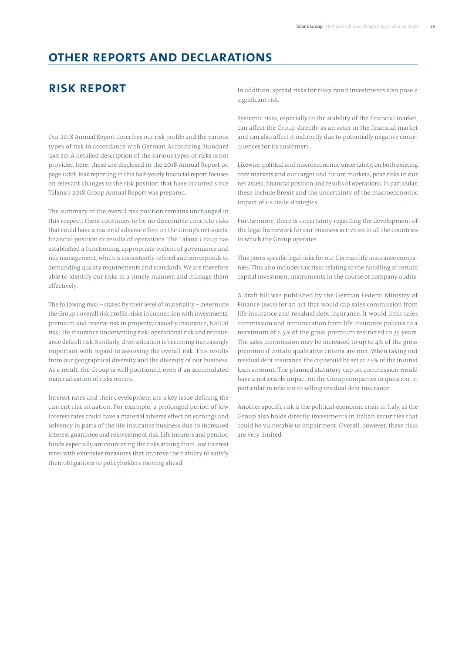# **Other reports and declarations**

# **Risk report**

Our 2018 Annual Report describes our risk profile and the various types of risk in accordance with German Accounting Standard GAS 20. A detailed description of the various types of risks is not provided here; these are disclosed in the 2018 Annual Report on page 108ff. Risk reporting in this half-yearly financial report focuses on relevant changes to the risk position that have occurred since Talanx's 2018 Group Annual Report was prepared.

The summary of the overall risk position remains unchanged in this respect; there continues to be no discernible concrete risks that could have a material adverse effect on the Group's net assets, financial position or results of operations. The Talanx Group has established a functioning, appropriate system of governance and risk management, which is consistently refined and corresponds to demanding quality requirements and standards. We are therefore able to identify our risks in a timely manner, and manage them effectively.

The following risks – stated by their level of materiality – determine the Group's overall risk profile: risks in connection with investments, premium and reserve risk in property/casualty insurance; NatCat risk; life insurance underwriting risk; operational risk and reinsurance default risk. Similarly, diversification is becoming increasingly important with regard to assessing the overall risk. This results from our geographical diversity and the diversity of our business. As a result, the Group is well positioned, even if an accumulated materialisation of risks occurs.

Interest rates and their development are a key issue defining the current risk situation. For example, a prolonged period of low interest rates could have a material adverse effect on earnings and solvency in parts of the life insurance business due to increased interest guarantee and reinvestment risk. Life insurers and pension funds especially are countering the risks arising from low interest rates with extensive measures that improve their ability to satisfy their obligations to policyholders moving ahead.

In addition, spread risks for risky bond investments also pose a significant risk.

Systemic risks, especially to the stability of the financial market, can affect the Group directly as an actor in the financial market and can also affect it indirectly due to potentially negative consequences for its customers.

Likewise, political and macroeconomic uncertainty, on both existing core markets and our target and future markets, pose risks to our net assets, financial position and results of operations. In particular, these include Brexit and the uncertainty of the macroeconomic impact of US trade strategies.

Furthermore, there is uncertainty regarding the development of the legal framework for our business activities in all the countries in which the Group operates.

This poses specific legal risks for our German life insurance companies. This also includes tax risks relating to the handling of certain capital investment instruments in the course of company audits.

A draft bill was published by the German Federal Ministry of Finance (BMF) for an act that would cap sales commission from life insurance and residual debt insurance. It would limit sales commission and remuneration from life insurance policies to a maximum of 2.5% of the gross premium restricted to 35 years. The sales commission may be increased to up to 4% of the gross premium if certain qualitative criteria are met. When taking out residual debt insurance, the cap would be set at 2.5% of the insured loan amount. The planned statutory cap on commission would have a noticeable impact on the Group companies in question, in particular in relation to selling residual debt insurance.

Another specific risk is the political-economic crisis in Italy, as the Group also holds directly investments in Italian securities that could be vulnerable to impairment. Overall, however, these risks are very limited.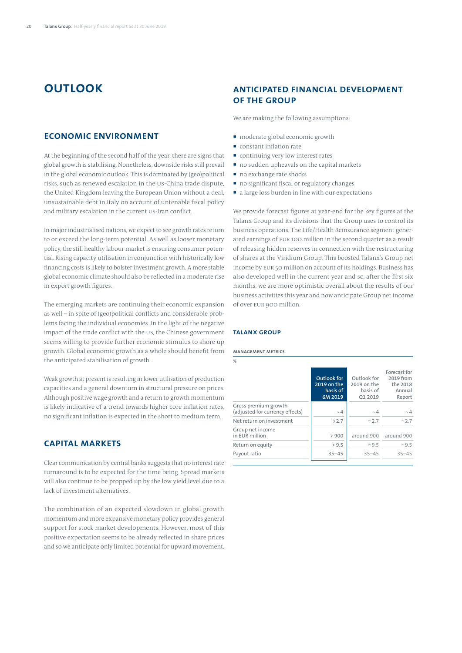# **Outlook**

# **ECONOMIC ENVIRONMENT**

At the beginning of the second half of the year, there are signs that global growth is stabilising. Nonetheless, downside risks still prevail in the global economic outlook. This is dominated by (geo)political risks, such as renewed escalation in the US-China trade dispute, the United Kingdom leaving the European Union without a deal, unsustainable debt in Italy on account of untenable fiscal policy and military escalation in the current US-Iran conflict.

In major industrialised nations, we expect to see growth rates return to or exceed the long-term potential. As well as looser monetary policy, the still healthy labour market is ensuring consumer potential. Rising capacity utilisation in conjunction with historically low financing costs is likely to bolster investment growth. A more stable global economic climate should also be reflected in a moderate rise in export growth figures.

The emerging markets are continuing their economic expansion as well – in spite of (geo)political conflicts and considerable problems facing the individual economies. In the light of the negative impact of the trade conflict with the US, the Chinese government seems willing to provide further economic stimulus to shore up growth. Global economic growth as a whole should benefit from the anticipated stabilisation of growth.

Weak growth at present is resulting in lower utilisation of production capacities and a general downturn in structural pressure on prices. Although positive wage growth and a return to growth momentum is likely indicative of a trend towards higher core inflation rates, no significant inflation is expected in the short to medium term.

# **Capital markets**

Clear communication by central banks suggests that no interest rate turnaround is to be expected for the time being. Spread markets will also continue to be propped up by the low yield level due to a lack of investment alternatives.

The combination of an expected slowdown in global growth momentum and more expansive monetary policy provides general support for stock market developments. However, most of this positive expectation seems to be already reflected in share prices and so we anticipate only limited potential for upward movement.

# **ANTICIPATED FINANCIAL DEVELOPMENT OF THE GROUP**

We are making the following assumptions:

- $\blacksquare$  moderate global economic growth
- constant inflation rate
- continuing very low interest rates
- no sudden upheavals on the capital markets
- no exchange rate shocks
- no significant fiscal or regulatory changes
- a large loss burden in line with our expectations

We provide forecast figures at year-end for the key figures at the Talanx Group and its divisions that the Group uses to control its business operations. The Life/Health Reinsurance segment generated earnings of EUR 100 million in the second quarter as a result of releasing hidden reserves in connection with the restructuring of shares at the Viridium Group. This boosted Talanx's Group net income by EUR 50 million on account of its holdings. Business has also developed well in the current year and so, after the first six months, we are more optimistic overall about the results of our business activities this year and now anticipate Group net income of over EUR 900 million.

### **TALANX GROUP**

#### **Management metrics**

| ℅                                                       |                                                   |                                                   |                                                           |
|---------------------------------------------------------|---------------------------------------------------|---------------------------------------------------|-----------------------------------------------------------|
|                                                         | Outlook for<br>2019 on the<br>basis of<br>6M 2019 | Outlook for<br>2019 on the<br>basis of<br>01 2019 | Forecast for<br>2019 from<br>the 2018<br>Annual<br>Report |
| Gross premium growth<br>(adjusted for currency effects) | $\sim$ 4                                          | $\sim$ 4                                          | $\sim$ 4                                                  |
| Net return on investment                                | >2.7                                              | ~2.7                                              | ~2.7                                                      |
| Group net income<br>in EUR million                      | > 900                                             |                                                   | around 900 around 900                                     |
| Return on equity                                        | > 9.5                                             | ~10.5                                             | ~10.5                                                     |
| Payout ratio                                            | $35 - 45$                                         | $35 - 45$                                         | $35 - 45$                                                 |
|                                                         |                                                   |                                                   |                                                           |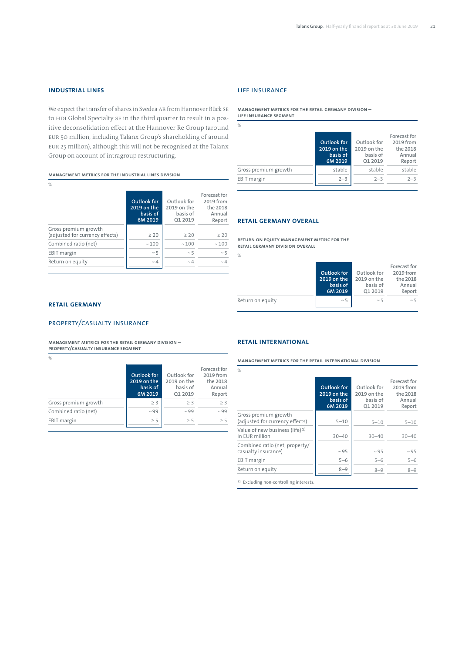# **INDUSTRIAL LINES**

We expect the transfer of shares in Svedea AB from Hannover Rück SE to HDI Global Specialty SE in the third quarter to result in a positive deconsolidation effect at the Hannover Re Group (around EUR 50 million, including Talanx Group's shareholding of around EUR 25 million), although this will not be recognised at the Talanx Group on account of intragroup restructuring.

**Management metrics for the Industrial Lines Division**

| I  |   |  |
|----|---|--|
| ×. | I |  |

|                                                         | Outlook for<br>2019 on the<br>basis of<br>6M 2019 | Outlook for<br>2019 on the<br>basis of<br>01 2019 | Forecast for<br>2019 from<br>the 2018<br>Annual<br>Report |
|---------------------------------------------------------|---------------------------------------------------|---------------------------------------------------|-----------------------------------------------------------|
| Gross premium growth<br>(adjusted for currency effects) | $\geq 20$                                         | >20                                               | $\geq 20$                                                 |
| Combined ratio (net)                                    | $\sim 100$                                        | ~100                                              | ~100                                                      |
| <b>EBIT</b> margin                                      | $~\sim 5$                                         | $\sim$ 5                                          | $\sim$ 5                                                  |
| Return on equity                                        | $\sim$ 4                                          | $\sim$ 4                                          | $\sim \Delta$                                             |

# Life insurance

**Management metrics for the Retail Germany Division – life insurance segment**

| ℅                    | Outlook for<br>2019 on the<br>basis of<br>6M 2019 | Outlook for<br>2019 on the<br>basis of<br>Q1 2019 | Forecast for<br>2019 from<br>the 2018<br>Annual<br>Report |
|----------------------|---------------------------------------------------|---------------------------------------------------|-----------------------------------------------------------|
| Gross premium growth | stable                                            | stable                                            | stable                                                    |
| <b>EBIT</b> margin   | $2 - 3$                                           | $2 - 3$                                           | $2 - 3$                                                   |
|                      |                                                   |                                                   |                                                           |

### **Retail Germany overall**

 $\overline{Q}$ 

**Return on equity management metric for the Retail Germany Division overall**

|                  | Outlook for<br>2019 on the<br>basis of<br>6M 2019 | Outlook for<br>2019 on the<br>basis of<br>01 2019 | Forecast for<br>2019 from<br>the 2018<br>Annual<br>Report |
|------------------|---------------------------------------------------|---------------------------------------------------|-----------------------------------------------------------|
| Return on equity | $\sim$ 5                                          | $\sim$ 5                                          | $\sim$ 5                                                  |

### **RETAIL GERMANY**

# Property/Casualty Insurance

**Management metrics for the Retail Germany Division – Property/Casualty Insurance segment**

%

|                      | Outlook for<br>2019 on the<br>basis of<br>6M 2019 | Outlook for<br>2019 on the<br>basis of<br>01 2019 | Forecast for<br>2019 from<br>the 2018<br>Annual<br>Report |
|----------------------|---------------------------------------------------|---------------------------------------------------|-----------------------------------------------------------|
| Gross premium growth | $\geq$ 3                                          | > 3                                               | > 3                                                       |
| Combined ratio (net) | $~\sim$ 99                                        | ~109                                              | $\sim$ 99                                                 |
| <b>EBIT</b> margin   | $\geq$ 5                                          | > 5                                               | > 5                                                       |

#### **RETAIL INTERNATIONAL**

**Management metrics for the Retail International Division**

| $\%$                                                         |                                                   |                                                   |                                                           |
|--------------------------------------------------------------|---------------------------------------------------|---------------------------------------------------|-----------------------------------------------------------|
|                                                              | Outlook for<br>2019 on the<br>basis of<br>6M 2019 | Outlook for<br>2019 on the<br>basis of<br>Q1 2019 | Forecast for<br>2019 from<br>the 2018<br>Annual<br>Report |
| Gross premium growth<br>(adjusted for currency effects)      | $5 - 10$                                          | $5 - 10$                                          | $5 - 10$                                                  |
| Value of new business (life) <sup>1)</sup><br>in EUR million | $30 - 40$                                         | $30 - 40$                                         | $30 - 40$                                                 |
| Combined ratio (net, property/<br>casualty insurance)        | $~\sim$ 95                                        | $~\sim$ 95                                        | ~105                                                      |
| <b>EBIT</b> margin                                           | $5 - 6$                                           | $5 - 6$                                           | $5 - 6$                                                   |
| Return on equity                                             | $8 - 9$                                           | $8 - 9$                                           | $8 - 9$                                                   |

1) Excluding non-controlling interests.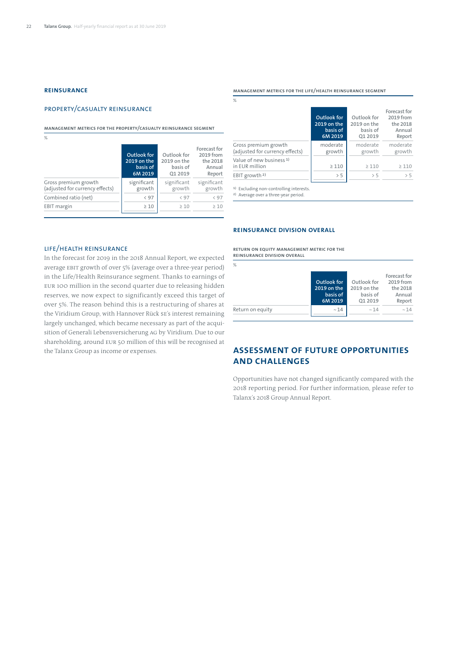# **REINSURANCE**

### PROPERTY/CASUALTY REINSURANCE

**Management metrics for the Property/Casualty Reinsurance segment**

%

|                                                         | Outlook for<br>2019 on the<br>basis of<br>6M 2019 | Outlook for<br>2019 on the<br>basis of<br>Q1 2019 | Forecast for<br>2019 from<br>the 2018<br>Annual<br>Report |
|---------------------------------------------------------|---------------------------------------------------|---------------------------------------------------|-----------------------------------------------------------|
| Gross premium growth<br>(adjusted for currency effects) | significant<br>growth                             | significant<br>growth                             | significant<br>growth                                     |
| Combined ratio (net)                                    | < 97                                              | < 97                                              | < 97                                                      |
| <b>EBIT</b> margin                                      | >10                                               | $\geq 10$                                         | >10                                                       |

#### **Management metrics for the Life/Health Reinsurance segment**

| %                                                       |                                                   |                                                   |                                                           |
|---------------------------------------------------------|---------------------------------------------------|---------------------------------------------------|-----------------------------------------------------------|
|                                                         | Outlook for<br>2019 on the<br>basis of<br>6M 2019 | Outlook for<br>2019 on the<br>basis of<br>Q1 2019 | Forecast for<br>2019 from<br>the 2018<br>Annual<br>Report |
| Gross premium growth<br>(adjusted for currency effects) | moderate<br>growth                                | moderate<br>growth                                | moderate<br>growth                                        |
| Value of new business <sup>1)</sup><br>in EUR million   | $\geq 110$                                        | $\geq 110$                                        | >110                                                      |
| EBIT growth <sup>2)</sup>                               | > 5                                               | > 5                                               | > 5                                                       |
|                                                         |                                                   |                                                   |                                                           |

1) Excluding non-controlling interests.

2) Average over a three-year period.

#### **Reinsurance Division overall**

LIFE/HEALTH REINSURANCE

In the forecast for 2019 in the 2018 Annual Report, we expected average EBIT growth of over 5% (average over a three-year period) in the Life/Health Reinsurance segment. Thanks to earnings of EUR 100 million in the second quarter due to releasing hidden reserves, we now expect to significantly exceed this target of over 5%. The reason behind this is a restructuring of shares at the Viridium Group, with Hannover Rück SE's interest remaining largely unchanged, which became necessary as part of the acquisition of Generali Lebensversicherung AG by Viridium. Due to our shareholding, around EUR 50 million of this will be recognised at the Talanx Group as income or expenses.

**Return on equity management metric for the Reinsurance Division overall**

| $\%$             |                                                   |                                                   |                                                           |
|------------------|---------------------------------------------------|---------------------------------------------------|-----------------------------------------------------------|
|                  | Outlook for<br>2019 on the<br>basis of<br>6M 2019 | Outlook for<br>2019 on the<br>basis of<br>Q1 2019 | Forecast for<br>2019 from<br>the 2018<br>Annual<br>Report |
| Return on equity | $\sim$ 14                                         | $\sim$ 14                                         | $\sim$ 14                                                 |

# **ASSESSMENT OF FUTURE OPPORTUNITIES AND CHALLENGES**

Opportunities have not changed significantly compared with the 2018 reporting period. For further information, please refer to Talanx's 2018 Group Annual Report.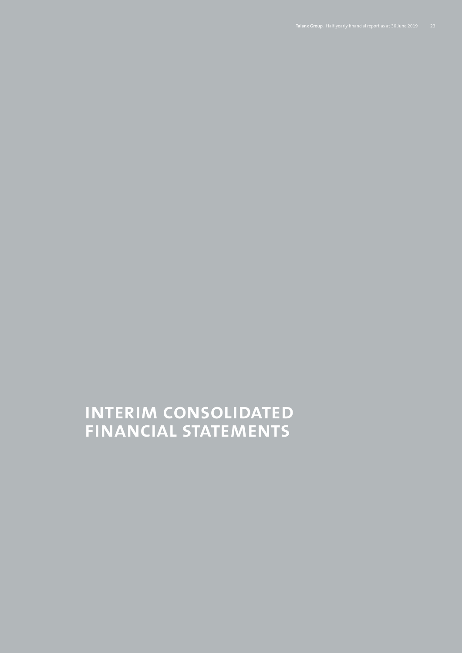# **Interim consolidated financial statements**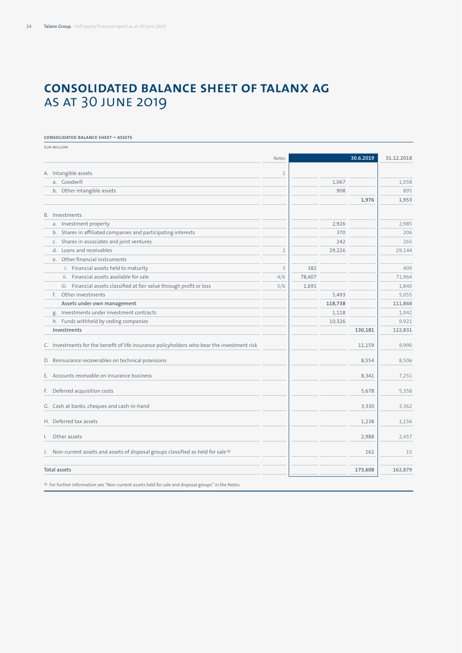# **Consolidated balance sheet of Talanx AG**  as at 30 June 2019

#### **Consolidated balance sheet – assets**

| <b>EUR MILLION</b>                                                                            |                |        |         |           |            |
|-----------------------------------------------------------------------------------------------|----------------|--------|---------|-----------|------------|
|                                                                                               | Notes          |        |         | 30.6.2019 | 31.12.2018 |
| A. Intangible assets                                                                          | $\mathbf 1$    |        |         |           |            |
| a. Goodwill                                                                                   |                |        | 1,067   |           | 1,058      |
| b. Other intangible assets                                                                    |                |        | 908     |           | 895        |
|                                                                                               |                |        |         | 1,976     | 1,953      |
| B. Investments                                                                                |                |        |         |           |            |
| a. Investment property                                                                        |                |        | 2,926   |           | 2,985      |
| b. Shares in affiliated companies and participating interests                                 |                |        | 370     |           | 206        |
| Shares in associates and joint ventures<br>C.                                                 |                |        | 242     |           | 265        |
| d. Loans and receivables                                                                      | $\overline{2}$ |        | 29,226  |           | 29,144     |
| e. Other financial instruments                                                                |                |        |         |           |            |
| i. Financial assets held to maturity                                                          | 3              | 382    |         |           | 409        |
| ii. Financial assets available for sale                                                       | 4/6            | 78,407 |         |           | 71,964     |
| iii. Financial assets classified at fair value through profit or loss                         | 5/6            | 1,691  |         |           | 1,840      |
| f. Other investments                                                                          |                |        | 5,493   |           | 5,055      |
| Assets under own management                                                                   |                |        | 118,738 |           | 111,868    |
| Investments under investment contracts<br>g.                                                  |                |        | 1,118   |           | 1,042      |
| h. Funds withheld by ceding companies                                                         |                |        | 10,326  |           | 9,921      |
| Investments                                                                                   |                |        |         | 130,181   | 122,831    |
| C. Investments for the benefit of life insurance policyholders who bear the investment risk   |                |        |         | 11,159    | 9,990      |
| D. Reinsurance recoverables on technical provisions                                           |                |        |         | 8,554     | 8,506      |
| E. Accounts receivable on insurance business                                                  |                |        |         | 8,341     | 7,251      |
| F. Deferred acquisition costs                                                                 |                |        |         | 5,678     | 5,358      |
| G. Cash at banks, cheques and cash-in-hand                                                    |                |        |         | 3.330     | 3.362      |
| H. Deferred tax assets                                                                        |                |        |         | 1,238     | 1,156      |
| I. Other assets                                                                               |                |        |         | 2,988     | 2,457      |
| J. Non-current assets and assets of disposal groups classified as held for sale <sup>1)</sup> |                |        |         | 162       | 15         |
| <b>Total assets</b>                                                                           |                |        |         | 173,608   | 162,879    |
|                                                                                               |                |        |         |           |            |

1) For further information see "Non-current assets held for sale and disposal groups" in the Notes.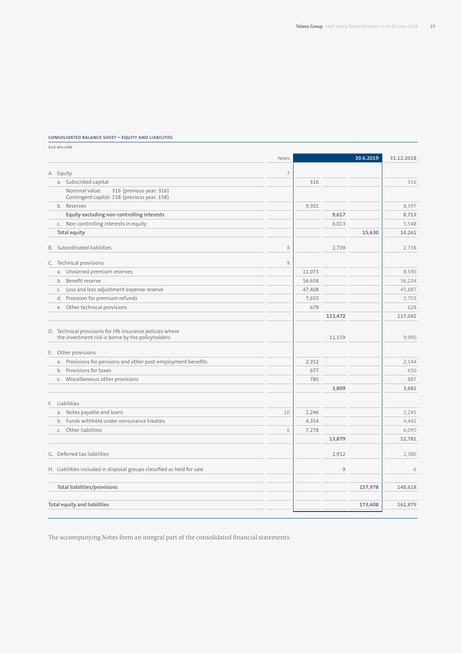#### **Consolidated balance sheet – equity and liabilities**

EUR million Notes **30.6.2019 31.12.2018** A. Equity 7 a. Subscribed capital 316 316 Nominal value: 316 (previous year: 316) Contingent capital: 158 (previous year: 158) b. Reserves 9,301 8,397  **Equity excluding non-controlling interests 19,713 8,713 8,713 8,713** c. Non-controlling interests in equity 6,013 5,548 **Total equity 15,630 14,261** B. Subordinated liabilities  $\begin{array}{ccc} 8 & 8 & 2,739 \end{array}$  2,738 C. Technical provisions 9 a. Unearned premium reserves executive and the server of the server of the server of the server of the server of the server of the server of the server of the server of the server of the server of the server of the server b. Benefit reserve 56,234 56,658 56,234 c. Loss and loss adjustment expense reserve 45,887 d. Provision for premium refunds 7,655 5,703 e. Other technical provisions 679 628 **123,472 117,042** D. Technical provisions for life insurance policies where the investment risk is borne by the policyholders 11,159 9,990 9,990 E. Other provisions a. Provisions for pensions and other post-employment benefits  $\overline{2,352}$   $\overline{2,352}$   $\overline{2,352}$   $\overline{2,144}$ b. Provisions for taxes 650 c. Miscellaneous other provisions **1898** 887 **887** 887 **887** 887 **887** 887 **887** 887 **887 3,809 3,681** F. Liabilities a. Notes payable and loans 10 2,246 2,245 b. Funds withheld under reinsurance treaties **1996** 4,354 4,441 c. Other liabilities 6 7,278 6,095 **13,879 12,781** G. Deferred tax liabilities 2,912 2,380 H. Liabilities included in disposal groups classified as held for sale 9 6 **Total liabilities/provisions 157,978 148,618 Total equity and liabilities 173,608 162,879**

The accompanying Notes form an integral part of the consolidated financial statements.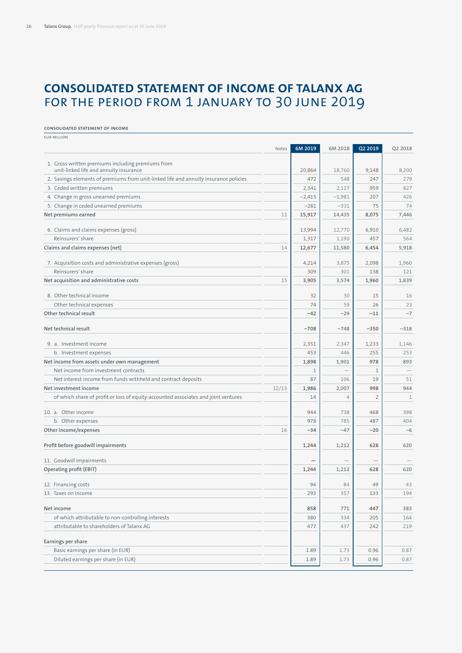# **Consolidated statement of income of Talanx AG**  for the period from 1 January to 30 June 2019

#### **Consolidated statement of income**

EUR million Notes **6M 2019 6M 2018 Q2 2019 Q2 2018** 1. Gross written premiums including premiums from unit-linked life and annuity insurance 20,864 18,760 9,148 8,200 2. Savings elements of premiums from unit-linked life and annuity insurance policies 472 472 548 247 279 279 3. Ceded written premiums 2,341 2,127 959 827 4. Change in gross unearned premiums –2,415 (207 | 207 | 426 5. Change in ceded unearned premiums  $\begin{array}{|c|c|c|c|c|c|c|c|c|} \hline \end{array}$   $\begin{array}{|c|c|c|c|c|c|c|c|c|} \hline \end{array}$   $\begin{array}{|c|c|c|c|c|c|} \hline \end{array}$   $\begin{array}{|c|c|c|c|c|} \hline \end{array}$   $\begin{array}{|c|c|c|c|c|} \hline \end{array}$   $\begin{array}{|c|c|c|c|} \hline \end{array}$  **Net premiums earned** 11 **15,917 14,435 8,075 7,446** 6. Claims and claims expenses (gross) 13,994 12,770 6,910 6,822 Reinsurers' share 1,317 1,190 457 564 **Claims and claims expenses (net)** 14 **12,677 11,580 6,454 5,918** 7. Acquisition costs and administrative expenses (gross) 4,214 3,875 2,098 1,960 Reinsurers' share 300 301 2121 2121 309 301 301 302 304 301 302 304 301 302 304 301 302 301 302 301 302 301 30 **Net acquisition and administrative costs** 15 **3,905 3,574 1,960 1,839** 8. Other technical income 32 30 15 16 Other technical expenses 23 23 **Other technical result**  $-7$   $-11$   $-7$ Net technical result **and the substitute of the substitute of the substitute of the substitute of the substitute of the substitute of the substitute of the substitute of the substitute of the substitute of the substitute** 9. a. Investment income 2,351 2,351 2,347 1,233 1,146 b. Investment expenses 453 and 255 and 253 and 253 and 253 and 253 and 253 and 253 and 253 and 253 and 253 and 253 and 253 and 253 and 253 and 253 and 253 and 253 and 253 and 253 and 253 and 253 and 253 and 253 and 253 and **Net income from assets under own management 1,898 1,901 978 893** Net income from investment contracts  $1 \qquad 1 \qquad -1 \qquad 1$ Net interest income from funds withheld and contract deposits 87 106 19 106 19 106 19 10 19 10 19 10 **Net investment income** 12/13 **1,986 2,007 998 944** of which share of profit or loss of equity-accounted associates and joint ventures 14 4 2 1 10. a. Other income 944 738 468 398 b. Other expenses 678 and 2014 104 and 2014 104 and 2014 104 and 2014 104 and 2014 104 and 2014 104 and 2014 104 and 2014 104 and 2014 104 and 2014 104 and 2014 104 and 2014 104 and 2014 104 and 2014 104 and 2014 104 and 2 **Other income/expenses** 16 **–34 –47 –20 –6 Profit before goodwill impairments 1,244 1,212 628 620** 11. Goodwill impairments **Operating profit (EBIT) 1,244 1,212 628 620** 12. Financing costs 94 84 49 43 13. Taxes on income 293 357 133 194 **Net income 858 771 447 383** of which attributable to non-controlling interests 380 334 334 205 164 attributable to shareholders of Talanx AG 477 242 219 **Earnings per share** Basic earnings per share (in EUR) 1.89 1.73 0.96 1.89 1.73 0.96 1.89 1.73 1.73 0.96 1.87 1.73 1.73 0.87 Diluted earnings per share (in EUR) 1.89 1.73 0.96 0.87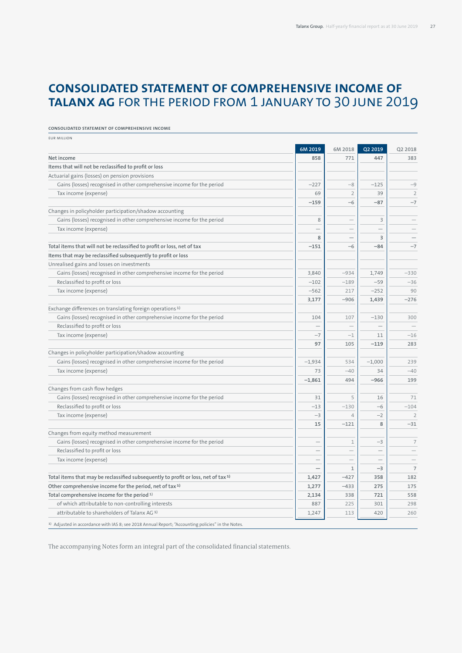# **Consolidated statement of comprehensive income of Talanx AG** for the period from 1 January to 30 June 2019

#### **Consolidated statement of comprehensive income**

| <b>EUR MILLION</b>                                                                                           |                          |                          |                          |                |
|--------------------------------------------------------------------------------------------------------------|--------------------------|--------------------------|--------------------------|----------------|
|                                                                                                              | 6M 2019                  | 6M 2018                  | Q2 2019                  | Q2 2018        |
| Net income                                                                                                   | 858                      | 771                      | 447                      | 383            |
| Items that will not be reclassified to profit or loss                                                        |                          |                          |                          |                |
| Actuarial gains (losses) on pension provisions                                                               |                          |                          |                          |                |
| Gains (losses) recognised in other comprehensive income for the period                                       | $-227$                   | $-8$                     | $-125$                   | $-9$           |
| Tax income (expense)                                                                                         | 69                       | $\overline{2}$           | 39                       | $\overline{2}$ |
|                                                                                                              | $-159$                   | $-6$                     | $-87$                    | $-7$           |
| Changes in policyholder participation/shadow accounting                                                      |                          |                          |                          |                |
| Gains (losses) recognised in other comprehensive income for the period                                       | 8                        |                          | 3                        |                |
| Tax income (expense)                                                                                         |                          |                          |                          |                |
|                                                                                                              | 8                        |                          | 3                        |                |
| Total items that will not be reclassified to profit or loss, net of tax                                      | $-151$                   | $-6$                     | $-84$                    | $-7$           |
| Items that may be reclassified subsequently to profit or loss                                                |                          |                          |                          |                |
| Unrealised gains and losses on investments                                                                   |                          |                          |                          |                |
| Gains (losses) recognised in other comprehensive income for the period                                       | 3,840                    | $-934$                   | 1,749                    | $-330$         |
| Reclassified to profit or loss                                                                               | $-102$                   | $-189$                   | $-59$                    | $-36$          |
| Tax income (expense)                                                                                         | $-562$                   | 217                      | $-252$                   | 90             |
|                                                                                                              | 3,177                    | $-906$                   | 1,439                    | $-276$         |
| Exchange differences on translating foreign operations <sup>1)</sup>                                         |                          |                          |                          |                |
| Gains (losses) recognised in other comprehensive income for the period                                       | 104                      | 107                      | $-130$                   | 300            |
| Reclassified to profit or loss                                                                               |                          |                          |                          |                |
| Tax income (expense)                                                                                         | $-7$                     | $-1$                     | 11                       | $-16$          |
|                                                                                                              | 97                       | 105                      | $-119$                   | 283            |
| Changes in policyholder participation/shadow accounting                                                      |                          |                          |                          |                |
| Gains (losses) recognised in other comprehensive income for the period                                       | $-1,934$                 | 534                      | $-1,000$                 | 239            |
| Tax income (expense)                                                                                         | 73                       | $-40$                    | 34                       | $-40$          |
|                                                                                                              | $-1,861$                 | 494                      | $-966$                   | 199            |
| Changes from cash flow hedges                                                                                |                          |                          |                          |                |
| Gains (losses) recognised in other comprehensive income for the period                                       | 31                       | 5                        | 16                       | 71             |
| Reclassified to profit or loss                                                                               | $-13$                    | $-130$                   | $-6$                     | $-104$         |
| Tax income (expense)                                                                                         | $-3$                     | $\overline{4}$           | $-2$                     | $\overline{2}$ |
|                                                                                                              | 15                       | $-121$                   | 8                        | $-31$          |
| Changes from equity method measurement                                                                       |                          |                          |                          |                |
| Gains (losses) recognised in other comprehensive income for the period                                       | $\overline{\phantom{0}}$ | $1\,$                    | $-3$                     | $\overline{7}$ |
| Reclassified to profit or loss                                                                               |                          |                          | $\overline{\phantom{0}}$ |                |
| Tax income (expense)                                                                                         |                          | $\overline{\phantom{0}}$ |                          |                |
|                                                                                                              |                          | $1\,$                    | $-3$                     | $\overline{7}$ |
| Total items that may be reclassified subsequently to profit or loss, net of tax <sup>1)</sup>                | 1,427                    | $-427$                   | 358                      | 182            |
| Other comprehensive income for the period, net of tax <sup>1)</sup>                                          | 1,277                    | $-433$                   | 275                      | 175            |
| Total comprehensive income for the period <sup>1)</sup>                                                      | 2,134                    | 338                      | 721                      | 558            |
| of which attributable to non-controlling interests                                                           | 887                      | 225                      | 301                      | 298            |
| attributable to shareholders of Talanx AG <sup>1)</sup>                                                      | 1,247                    | 113                      | 420                      | 260            |
| <sup>1)</sup> Adjusted in accordance with IAS 8; see 2018 Annual Report; "Accounting policies" in the Notes. |                          |                          |                          |                |

The accompanying Notes form an integral part of the consolidated financial statements.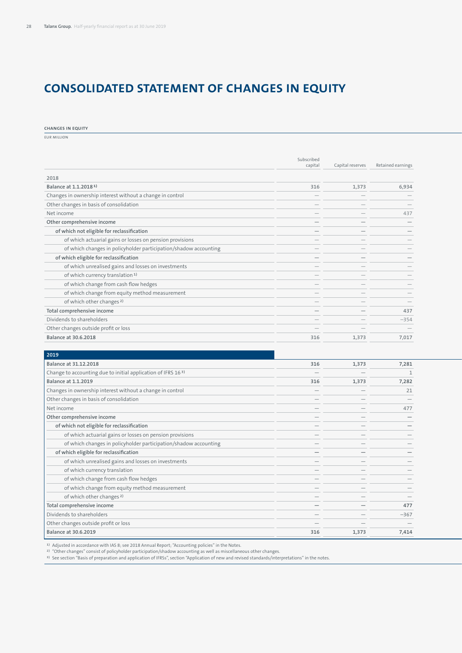# **Consolidated statement of changes in equity**

**Changes in equity**

EUR million

|                                                                  | capital                         | Capital reserves | Retained earnings               |
|------------------------------------------------------------------|---------------------------------|------------------|---------------------------------|
|                                                                  |                                 |                  |                                 |
| 2018                                                             |                                 |                  |                                 |
| Balance at 1.1.2018 <sup>1</sup>                                 | 316                             | 1,373            | 6,934                           |
| Changes in ownership interest without a change in control        | $\hspace{0.1mm}-\hspace{0.1mm}$ |                  |                                 |
| Other changes in basis of consolidation                          | $\hspace{0.1mm}-\hspace{0.1mm}$ |                  |                                 |
| Net income                                                       |                                 |                  | 437                             |
| Other comprehensive income                                       | $\qquad \qquad$                 |                  |                                 |
| of which not eligible for reclassification                       |                                 |                  | $\overline{\phantom{a}}$        |
| of which actuarial gains or losses on pension provisions         | $\hspace{0.1mm}-\hspace{0.1mm}$ |                  |                                 |
| of which changes in policyholder participation/shadow accounting |                                 |                  |                                 |
| of which eligible for reclassification                           | $\overline{\phantom{a}}$        |                  |                                 |
| of which unrealised gains and losses on investments              | $\overline{\phantom{a}}$        |                  |                                 |
| of which currency translation <sup>1)</sup>                      | $\hspace{0.1mm}-\hspace{0.1mm}$ |                  |                                 |
| of which change from cash flow hedges                            |                                 |                  |                                 |
| of which change from equity method measurement                   |                                 |                  |                                 |
| of which other changes <sup>2)</sup>                             |                                 |                  | $\overline{\phantom{a}}$        |
| Total comprehensive income                                       |                                 |                  | 437                             |
| Dividends to shareholders                                        | $\overline{\phantom{a}}$        |                  | $-354$                          |
| Other changes outside profit or loss                             | $\overline{\phantom{a}}$        |                  | $\hspace{0.1mm}-\hspace{0.1mm}$ |
| <b>Balance at 30.6.2018</b>                                      | 316                             | 1,373            | 7,017                           |

| 2019                                                                     |                          |                                 |        |
|--------------------------------------------------------------------------|--------------------------|---------------------------------|--------|
| Balance at 31.12.2018                                                    | 316                      | 1,373                           | 7,281  |
| Change to accounting due to initial application of IFRS 16 <sup>3)</sup> | $\overline{\phantom{0}}$ | $\hspace{0.1mm}-\hspace{0.1mm}$ |        |
| <b>Balance at 1.1.2019</b>                                               | 316                      | 1,373                           | 7,282  |
| Changes in ownership interest without a change in control                | $\overline{\phantom{0}}$ |                                 | 21     |
| Other changes in basis of consolidation                                  | $\overline{\phantom{0}}$ |                                 |        |
| Net income                                                               | $\overline{\phantom{0}}$ |                                 | 477    |
| Other comprehensive income                                               |                          |                                 |        |
| of which not eligible for reclassification                               |                          |                                 |        |
| of which actuarial gains or losses on pension provisions                 |                          |                                 |        |
| of which changes in policyholder participation/shadow accounting         |                          |                                 |        |
| of which eligible for reclassification                                   | $\overline{\phantom{0}}$ |                                 |        |
| of which unrealised gains and losses on investments                      | $\overline{\phantom{0}}$ |                                 |        |
| of which currency translation                                            | $\overline{\phantom{0}}$ |                                 |        |
| of which change from cash flow hedges                                    |                          |                                 |        |
| of which change from equity method measurement                           |                          |                                 |        |
| of which other changes <sup>2)</sup>                                     | $\overline{\phantom{0}}$ |                                 |        |
| Total comprehensive income                                               | $\overline{\phantom{0}}$ |                                 | 477    |
| Dividends to shareholders                                                | $\overline{\phantom{0}}$ |                                 | $-367$ |
| Other changes outside profit or loss                                     | $\overline{\phantom{0}}$ |                                 |        |
| <b>Balance at 30.6.2019</b>                                              | 316                      | 1,373                           | 7,414  |
|                                                                          |                          |                                 |        |

<sup>1)</sup> Adjusted in accordance with IAS 8; see 2018 Annual Report; "Accounting policies" in the Notes.<br><sup>2)</sup> "Other changes" consist of policyholder participation/shadow accounting as well as miscellaneous other changes.<br><sup>3)</sup>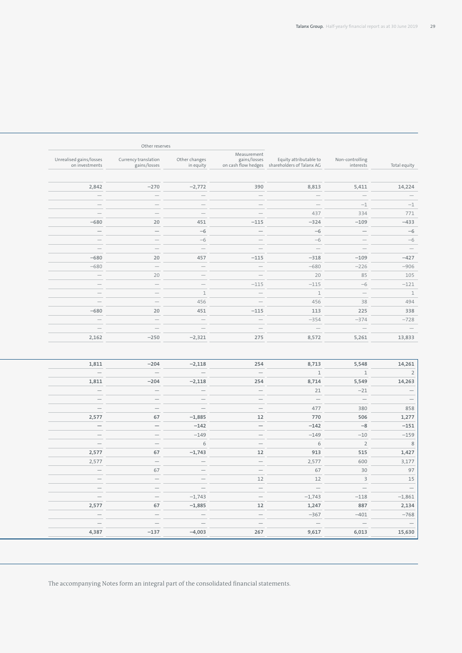|                                 |                                 |                                                                                         |                                 |                                 | Other reserves                       |                                           |
|---------------------------------|---------------------------------|-----------------------------------------------------------------------------------------|---------------------------------|---------------------------------|--------------------------------------|-------------------------------------------|
| Total equity                    | Non-controlling<br>interests    | gains/losses<br>Equity attributable to<br>on cash flow hedges shareholders of Talanx AG | Measurement                     | Other changes<br>in equity      | Currency translation<br>gains/losses | Unrealised gains/losses<br>on investments |
|                                 |                                 |                                                                                         |                                 |                                 |                                      |                                           |
| 14,224                          | 5,411                           | 8,813                                                                                   | 390                             | $-2,772$                        | $-270$                               | 2,842                                     |
| $\hspace{0.1mm}-\hspace{0.1mm}$ | $\hspace{0.1mm}-\hspace{0.1mm}$ | $\overline{\phantom{a}}$                                                                | $\hspace{0.1mm}-\hspace{0.1mm}$ | $\hspace{0.1mm}-\hspace{0.1mm}$ | $\overline{\phantom{a}}$             | $\overline{\phantom{a}}$                  |
| $-1$                            | $-1$                            | $\overline{\phantom{a}}$                                                                | $\overline{\phantom{a}}$        | $\overline{\phantom{a}}$        | $\hspace{0.1mm}$                     | $\overline{\phantom{a}}$                  |
| 771                             | 334                             | 437                                                                                     | $\hspace{0.1mm}-\hspace{0.1mm}$ | $\hspace{0.1mm}-\hspace{0.1mm}$ | $\hspace{0.1mm}-\hspace{0.1mm}$      | $\hspace{0.1mm}-\hspace{0.1mm}$           |
| $-433$                          | $-109$                          | $-324$                                                                                  | $-115$                          | 451                             | 20                                   | $-680$                                    |
| $-6$                            | $\hspace{0.1mm}-\hspace{0.1mm}$ | $-6$                                                                                    | $\hspace{0.1mm}-\hspace{0.1mm}$ | $-6$                            | $\hspace{0.1mm}-\hspace{0.1mm}$      | $\hspace{0.1mm}-\hspace{0.1mm}$           |
| $-6$                            | $\overline{\phantom{a}}$        | $-6$                                                                                    | $\overline{\phantom{a}}$        | $-6$                            | $\overline{\phantom{a}}$             | $\hspace{0.1mm}-\hspace{0.1mm}$           |
|                                 | $\hspace{0.1mm}-\hspace{0.1mm}$ | $\overline{\phantom{a}}$                                                                | $\hspace{0.1mm}-\hspace{0.1mm}$ | $\hspace{0.1mm}-\hspace{0.1mm}$ | $\overline{\phantom{a}}$             | $\hspace{0.1mm}$                          |
| $-427$                          | $-109$                          | $-318$                                                                                  | $-115$                          | 457                             | 20                                   | $-680$                                    |
| $-906$                          | $-226$                          | $-680$                                                                                  | $\hspace{0.1mm}-\hspace{0.1mm}$ | $\hspace{0.1mm}-\hspace{0.1mm}$ | $\hspace{0.1mm}-\hspace{0.1mm}$      | $-680$                                    |
| 105                             | 85                              | 20                                                                                      | $\hspace{0.1mm}-\hspace{0.1mm}$ | $\hspace{0.1mm}-\hspace{0.1mm}$ | 20                                   | $\hspace{0.1mm}$                          |
| $-121$                          | $-6$                            | $-115$                                                                                  | $-115$                          | $\hspace{0.1mm}-\hspace{0.1mm}$ | $\hspace{0.1mm}-\hspace{0.1mm}$      | $\hspace{0.1mm}-\hspace{0.1mm}$           |
|                                 | $\hspace{0.1mm}-\hspace{0.1mm}$ |                                                                                         | $\hspace{0.1mm}-\hspace{0.1mm}$ |                                 | $\overline{\phantom{a}}$             | $\hspace{0.1mm}-\hspace{0.1mm}$           |
| 494                             | 38                              | 456                                                                                     | $\hspace{0.1mm}-\hspace{0.1mm}$ | 456                             | $\hspace{0.1mm}-\hspace{0.1mm}$      | $\hspace{0.1mm}$                          |
| 338                             | 225                             | 113                                                                                     | $-115$                          | 451                             | 20                                   | $-680$                                    |
| $-728$                          | $-374$                          | $-354$                                                                                  | $\overline{\phantom{a}}$        | $\hspace{0.1mm}-\hspace{0.1mm}$ | $\overline{\phantom{a}}$             | $\overline{\phantom{a}}$                  |
|                                 | $\hspace{0.1mm}-\hspace{0.1mm}$ | $\overline{\phantom{a}}$                                                                | $\overline{\phantom{0}}$        | $\hspace{0.1mm}-\hspace{0.1mm}$ | $\overline{\phantom{a}}$             | $\hspace{0.1cm}$                          |
| 13,833                          | 5,261                           | 8,572                                                                                   | 275                             | $-2,321$                        | $-250$                               | 2,162                                     |

| 14,261<br>5,548                                 | 8,713                           | 254                             | $-2,118$                        | $-204$                          | 1,811                                           |
|-------------------------------------------------|---------------------------------|---------------------------------|---------------------------------|---------------------------------|-------------------------------------------------|
| $\overline{2}$                                  |                                 | $\hspace{0.1mm}-\hspace{0.1mm}$ | $\overline{\phantom{a}}$        | $\hspace{0.1mm}-\hspace{0.1mm}$ | $\overline{\phantom{0}}$                        |
| 5,549<br>14,263                                 | 8,714                           | 254                             | $-2,118$                        | $-204$                          | 1,811                                           |
| $-21$<br>$\overline{\phantom{0}}$               | 21                              | $\hspace{0.1mm}-\hspace{0.1mm}$ | $\hspace{0.1mm}-\hspace{0.1mm}$ | $\hspace{0.1mm}-\hspace{0.1mm}$ | $-$                                             |
| $\hspace{0.1cm}$<br>$ \,$<br>and the control of | $\overline{\phantom{0}}$        | $\hspace{0.1mm}-\hspace{0.1mm}$ | $\qquad \qquad -$               | $\hspace{0.1mm}-\hspace{0.1mm}$ | $\overline{\phantom{a}}$                        |
| 380<br>858                                      | 477                             | $\hspace{0.1mm}-\hspace{0.1mm}$ | $\overline{\phantom{a}}$        | $\overline{\phantom{0}}$        | $\overline{\phantom{a}}$                        |
| 506<br>1,277                                    | 770                             | 12                              | $-1,885$                        | 67                              | 2,577                                           |
| $-8$<br>$-151$<br>and the con-                  | $-142$                          | $\overline{\phantom{0}}$        | $-142$                          | $-$<br>the contract of the      | $\overline{\phantom{0}}$<br>the contract of the |
| $-10$<br>$-159$                                 | $-149$                          | $\hspace{0.1mm}-\hspace{0.1mm}$ | $-149$                          | $\overline{\phantom{0}}$        | $\overline{\phantom{0}}$                        |
| $2^{\circ}$                                     | 6                               | $\hspace{0.1mm}-\hspace{0.1mm}$ |                                 | $\overline{\phantom{a}}$        | $\overline{\phantom{a}}$                        |
| 515<br>1,427                                    | 913                             | 12                              | $-1,743$                        | 67                              | 2,577                                           |
| 600<br>3,177                                    | 2,577                           | $\hspace{0.1mm}-\hspace{0.1mm}$ | $\overline{\phantom{a}}$        | $\sim$                          | 2,577                                           |
| 30                                              | 67                              | $\hspace{0.1mm}-\hspace{0.1mm}$ | $-$                             | 67<br>$\sim$                    | $\hspace{0.1cm} -$                              |
|                                                 | 12                              | 12                              |                                 | $\overline{\phantom{a}}$        | $\overline{\phantom{a}}$                        |
| $\overline{\phantom{0}}$                        | $\hspace{0.1mm}-\hspace{0.1mm}$ | $\hspace{0.1mm}-\hspace{0.1mm}$ | $\overline{\phantom{0}}$        | $\hspace{0.1mm}-\hspace{0.1mm}$ | $\overline{\phantom{a}}$                        |
| $-1,861$<br>$-118$                              | $-1,743$                        | $\hspace{0.1mm}-\hspace{0.1mm}$ | $-1,743$                        | $\overline{\phantom{a}}$        | $\hspace{0.1mm}-\hspace{0.1mm}$                 |
| 2,134<br>887                                    | 1,247                           | 12                              | $-1,885$                        | 67                              | 2,577                                           |
| $-401$<br>$-768$                                | $-367$                          | $\overline{\phantom{a}}$        | $\hspace{0.1mm}$                | $\sim$                          | $\overline{\phantom{a}}$                        |
| $\overline{\phantom{0}}$                        | $\hspace{0.1mm}-\hspace{0.1mm}$ | $\hspace{0.1mm}-\hspace{0.1mm}$ | $\hspace{0.1mm}-\hspace{0.1mm}$ | $\overline{\phantom{0}}$        | $\hspace{0.1mm}-\hspace{0.1mm}$                 |
| 6,013<br>15,630                                 | 9,617                           | 267                             | $-4,003$                        | $-137$                          | 4,387                                           |

The accompanying Notes form an integral part of the consolidated financial statements.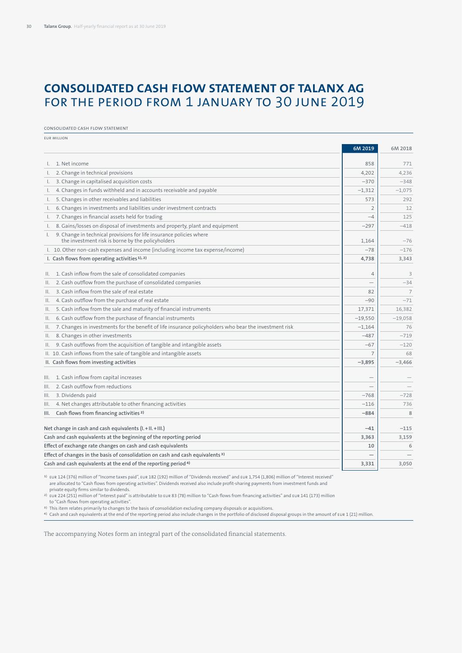# **Consolidated cash flow statement of Talanx AG**  for the period from 1 January to 30 June 2019

#### Consolidated cash flow statement

EUR million

|                                                                                                                                          | 6M 2019        | 6M 2018        |
|------------------------------------------------------------------------------------------------------------------------------------------|----------------|----------------|
| I. 1. Net income                                                                                                                         | 858            | 771            |
| 2. Change in technical provisions<br>$\mathsf{L}$                                                                                        | 4,202          | 4,236          |
| 3. Change in capitalised acquisition costs<br>$\mathbf{L}$                                                                               | $-370$         | $-348$         |
| 4. Changes in funds withheld and in accounts receivable and payable<br>I.                                                                | $-1,312$       | $-1,075$       |
| 5. Changes in other receivables and liabilities<br>I.,                                                                                   | 573            | 292            |
| 6. Changes in investments and liabilities under investment contracts<br>L.                                                               | $\overline{2}$ | 12             |
| 7. Changes in financial assets held for trading<br>L.                                                                                    | $-4$           | 125            |
| 8. Gains/losses on disposal of investments and property, plant and equipment<br>L.                                                       | $-297$         | $-418$         |
| 9. Change in technical provisions for life insurance policies where<br>$\mathsf{L}$<br>the investment risk is borne by the policyholders | 1,164          | $-76$          |
| I. 10. Other non-cash expenses and income (including income tax expense/income)                                                          | $-78$          | $-176$         |
| I. Cash flows from operating activities <sup>1), 2)</sup>                                                                                | 4,738          | 3,343          |
|                                                                                                                                          |                |                |
| 1. Cash inflow from the sale of consolidated companies<br>II.                                                                            | $\overline{4}$ | 3              |
| 2. Cash outflow from the purchase of consolidated companies<br>Ш.                                                                        | -              | $-34$          |
| 3. Cash inflow from the sale of real estate<br>Ш.                                                                                        | 82             | $\overline{7}$ |
| 4. Cash outflow from the purchase of real estate<br>Ш.                                                                                   | $-90$          | $-71$          |
| 5. Cash inflow from the sale and maturity of financial instruments<br>Ш.                                                                 | 17,371         | 16,382         |
| 6. Cash outflow from the purchase of financial instruments<br>Ш.                                                                         | $-19,550$      | $-19,058$      |
| 7. Changes in investments for the benefit of life insurance policyholders who bear the investment risk<br>Ш.                             | $-1,164$       | 76             |
| 8. Changes in other investments<br>Ш.                                                                                                    | $-487$         | $-719$         |
| 9. Cash outflows from the acquisition of tangible and intangible assets<br>II.                                                           | $-67$          | $-120$         |
| II. 10. Cash inflows from the sale of tangible and intangible assets                                                                     | $\overline{7}$ | 68             |
| II. Cash flows from investing activities                                                                                                 | $-3,895$       | $-3,466$       |
| 1. Cash inflow from capital increases<br>III.                                                                                            |                |                |
| 2. Cash outflow from reductions<br>III.                                                                                                  | —              |                |
| III. 3. Dividends paid                                                                                                                   | $-768$         | $-728$         |
| 4. Net changes attributable to other financing activities<br>III.                                                                        | $-116$         | 736            |
| Cash flows from financing activities <sup>2)</sup><br>III.                                                                               | $-884$         | 8              |
| Net change in cash and cash equivalents (I.+II.+III.)                                                                                    | $-41$          | $-115$         |
| Cash and cash equivalents at the beginning of the reporting period                                                                       | 3,363          | 3,159          |
| Effect of exchange rate changes on cash and cash equivalents                                                                             | 10             | 6              |
| Effect of changes in the basis of consolidation on cash and cash equivalents <sup>3)</sup>                                               |                |                |
| Cash and cash equivalents at the end of the reporting period <sup>4)</sup>                                                               | 3.331          | 3.050          |

1) EUR 124 (376) million of "Income taxes paid", EUR 182 (192) million of "Dividends received" and EUR 1,754 (1,806) million of "Interest received" are allocated to "Cash flows from operating activities". Dividends received also include profit-sharing payments from investment funds and private equity firms similar to dividends.

2) EUR 224 (251) million of "Interest paid" is attributable to EUR 83 (78) million to "Cash flows from financing activities" and EUR 141 (173) million

to "Cash flows from operating activities".

<sup>3)</sup> This item relates primarily to changes to the basis of consolidation excluding company disposals or acquisitions.<br><sup>4)</sup> Cash and cash equivalents at the end of the reporting period also include changes in the portfolio

The accompanying Notes form an integral part of the consolidated financial statements.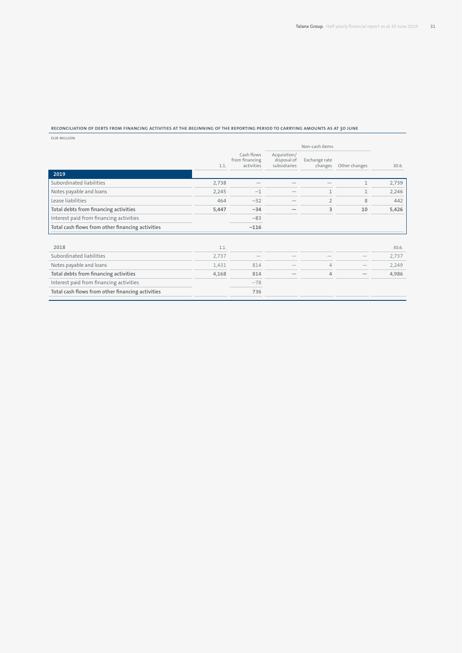#### **Reconciliation of debts from financing activities at the beginning of the reporting period to carrying amounts as at 30 June**

EUR million

|                                                  |       |                                            |                                             | Non-cash items           |               |       |
|--------------------------------------------------|-------|--------------------------------------------|---------------------------------------------|--------------------------|---------------|-------|
|                                                  | 1.1.  | Cash flows<br>from financing<br>activities | Acquisition/<br>disposal of<br>subsidiaries | Exchange rate<br>changes | Other changes | 30.6. |
| 2019                                             |       |                                            |                                             |                          |               |       |
| Subordinated liabilities                         | 2,738 |                                            |                                             |                          | 1             | 2,739 |
| Notes payable and loans                          | 2,245 | $-1$                                       |                                             | 1                        | 1             | 2,246 |
| Lease liabilities                                | 464   | $-32$                                      |                                             | $\overline{2}$           | 8             | 442   |
| Total debts from financing activities            | 5,447 | $-34$                                      |                                             | 3                        | 10            | 5,426 |
| Interest paid from financing activities          |       | $-83$                                      |                                             |                          |               |       |
| Total cash flows from other financing activities |       | $-116$                                     |                                             |                          |               |       |
| 2018                                             | 1.1.  |                                            |                                             |                          |               | 30.6. |
| Subordinated liabilities                         | 2,737 |                                            |                                             |                          |               | 2,737 |
| Notes payable and loans                          | 1,431 | 814                                        |                                             | 4                        |               | 2,249 |
| Total debts from financing activities            | 4,168 | 814                                        |                                             | 4                        |               | 4,986 |
| Interest paid from financing activities          |       | $-78$                                      |                                             |                          |               |       |
| Total cash flows from other financing activities |       | 736                                        |                                             |                          |               |       |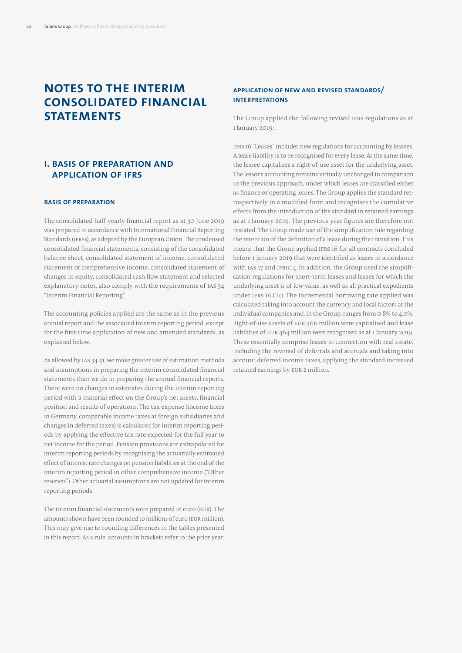# **Notes to the interim consolidated financial statements**

# **I. Basis of preparation and application of IFRS**

### **Basis of preparation**

The consolidated half-yearly financial report as at 30 June 2019 was prepared in accordance with International Financial Reporting Standards (IFRSs), as adopted by the European Union. The condensed consolidated financial statements, consisting of the consolidated balance sheet, consolidated statement of income, consolidated statement of comprehensive income, consolidated statement of changes in equity, consolidated cash flow statement and selected explanatory notes, also comply with the requirements of IAS 34 "Interim Financial Reporting".

The accounting policies applied are the same as in the previous annual report and the associated interim reporting period, except for the first-time application of new and amended standards, as explained below.

As allowed by IAS 34.41, we make greater use of estimation methods and assumptions in preparing the interim consolidated financial statements than we do in preparing the annual financial reports. There were no changes in estimates during the interim reporting period with a material effect on the Group's net assets, financial position and results of operations. The tax expense (income taxes in Germany, comparable income taxes at foreign subsidiaries and changes in deferred taxes) is calculated for interim reporting periods by applying the effective tax rate expected for the full year to net income for the period. Pension provisions are extrapolated for interim reporting periods by recognising the actuarially estimated effect of interest rate changes on pension liabilities at the end of the interim reporting period in other comprehensive income ("Other reserves"). Other actuarial assumptions are not updated for interim reporting periods.

The interim financial statements were prepared in euro (EUR). The amounts shown have been rounded to millions of euro (EUR million). This may give rise to rounding differences in the tables presented in this report. As a rule, amounts in brackets refer to the prior year.

# **Application of new and revised standards/ interpretations**

The Group applied the following revised IFRS regulations as at 1 January 2019:

IFRS 16 "Leases" includes new regulations for accounting by lessees. A lease liability is to be recognised for every lease. At the same time, the lessee capitalises a right-of-use asset for the underlying asset. The lessor's accounting remains virtually unchanged in comparison to the previous approach, under which leases are classified either as finance or operating leases. The Group applies the standard retrospectively in a modified form and recognises the cumulative effects from the introduction of the standard in retained earnings as at 1 January 2019. The previous year figures are therefore not restated. The Group made use of the simplification rule regarding the retention of the definition of a lease during the transition. This means that the Group applied IFRS 16 for all contracts concluded before 1 January 2019 that were identified as leases in accordance with IAS 17 and IFRIC 4. In addition, the Group used the simplification regulations for short-term leases and leases for which the underlying asset is of low value, as well as all practical expedients under IFRS 16.C10. The incremental borrowing rate applied was calculated taking into account the currency and local factors at the individual companies and, in the Group, ranges from 0.8% to 4.0%. Right-of-use assets of EUR 466 million were capitalised and lease liabilities of EUR 464 million were recognised as at 1 January 2019. These essentially comprise leases in connection with real estate. Including the reversal of deferrals and accruals and taking into account deferred income taxes, applying the standard increased retained earnings by EUR 2 million.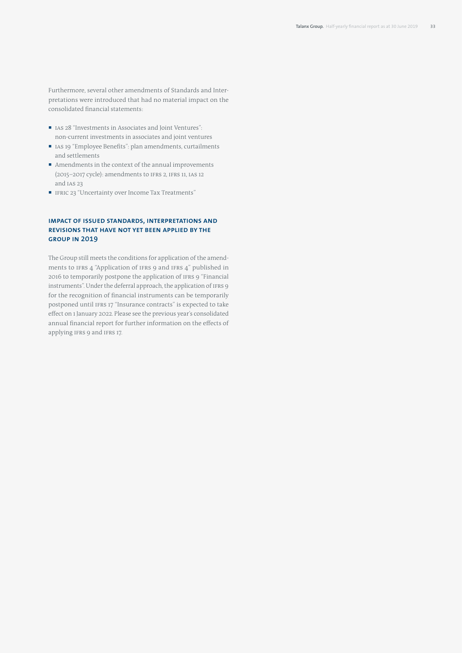Furthermore, several other amendments of Standards and Interpretations were introduced that had no material impact on the consolidated financial statements:

- IAS 28 "Investments in Associates and Joint Ventures" non-current investments in associates and joint ventures
- IAS 19 "Employee Benefits": plan amendments, curtailments and settlements
- Amendments in the context of the annual improvements (2015–2017 cycle): amendments to IFRS 2, IFRS 11, IAS 12 and IAS 23
- IFRIC 23 "Uncertainty over Income Tax Treatments"

# **Impact of issued standards, interpretations and revisions that have not yet been applied by the Group in 2019**

The Group still meets the conditions for application of the amendments to IFRS 4 "Application of IFRS 9 and IFRS 4" published in 2016 to temporarily postpone the application of IFRS 9 "Financial instruments". Under the deferral approach, the application of IFRS 9 for the recognition of financial instruments can be temporarily postponed until IFRS 17 "Insurance contracts" is expected to take effect on 1 January 2022. Please see the previous year's consolidated annual financial report for further information on the effects of applying IFRS 9 and IFRS 17.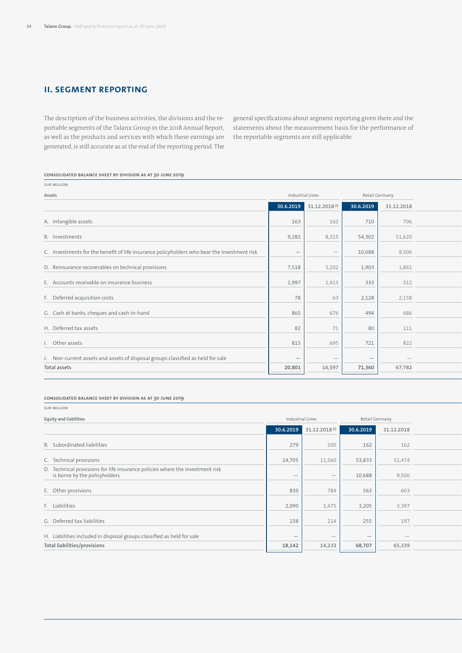# **II. Segment reporting**

The description of the business activities, the divisions and the reportable segments of the Talanx Group in the 2018 Annual Report, as well as the products and services with which these earnings are generated, is still accurate as at the end of the reporting period. The general specifications about segment reporting given there and the statements about the measurement basis for the performance of the reportable segments are still applicable.

| EUR MILLION                                                                                 |                                 |                                    |                                 |                  |
|---------------------------------------------------------------------------------------------|---------------------------------|------------------------------------|---------------------------------|------------------|
| Assets                                                                                      |                                 | Industrial Lines                   |                                 | Retail Germany   |
|                                                                                             |                                 | 30.6.2019 31.12.2018 <sup>2)</sup> | 30.6.2019                       | 31.12.2018       |
| A. Intangible assets                                                                        | 163                             | 162                                | 710                             | 706              |
|                                                                                             |                                 |                                    |                                 |                  |
| B. Investments                                                                              | 9,282                           | 8,315                              | 54,302                          | 51,620           |
| C. Investments for the benefit of life insurance policyholders who bear the investment risk | $\hspace{0.1mm}-\hspace{0.1mm}$ | $\hspace{0.1mm}-\hspace{0.1mm}$    | 10,688                          | 9,506            |
| D. Reinsurance recoverables on technical provisions                                         | 7,518                           | 5,202                              | 1,903                           | 1,861            |
|                                                                                             |                                 |                                    |                                 |                  |
| E. Accounts receivable on insurance business                                                | 1,997                           | 1,413                              | 333                             | 312              |
| F. Deferred acquisition costs                                                               | 78                              | 63                                 | 2,128                           | 2,158            |
| G. Cash at banks, cheques and cash-in-hand                                                  | 865                             | 676                                | 494                             | 686              |
| H. Deferred tax assets                                                                      | 82                              | 71                                 | 80                              | 111              |
|                                                                                             |                                 |                                    |                                 |                  |
| I. Other assets                                                                             | 815                             | 695                                | 721                             | 822              |
| J. Non-current assets and assets of disposal groups classified as held for sale             | $\hspace{0.1mm}-\hspace{0.1mm}$ | $\hspace{0.1mm}-\hspace{0.1mm}$    | $\hspace{0.1mm}-\hspace{0.1mm}$ | $\hspace{0.1mm}$ |
| Total assets                                                                                | 20,801                          | 16,597                             | 71,360                          | 67,782           |
|                                                                                             |                                 |                                    |                                 |                  |

#### **Consolidated balance sheet by division as at 30 June 2019**

## **Consolidated balance sheet by division as at 30 June 2019**

EUR million

**Equity and liabilities** Industrial Lines Retail Germany Retail Germany Retail Germany Retail Germany Retail Germany **30.6.2019 31.12.2018<sup>2</sup> 30.6.2019 31.12.2018** B. Subordinated liabilities 279 200 162 162 42 42 1,881 1,878 1,280 1,280 –906 –824 2,739 2,738 C. Technical provisions 14,705 11,560 12,833 51,474 12,578 12,578 11,560 123,833 12,578 105 70 – 3,474 123,578 1 D. Technical provisions for life insurance policies where the investment risk is borne by the policyholders and the second control of the second control of the second control of the second control of the second control of the second control of the second control of the second control of the second E. Other prosivions 830 784 563 603 279 274 643 613 1,494 1,407 — — 3,809 3,681 F. Liabilities 2,090 | 2,090 | 2,090 | 2,025 | 3,397 2,030 | 3,397 12,000 | 2,090 | 4,475 | 4,475 | 4,475 | 4,475 | 4,475 | 4,475 | 4,475 | 4,475 | 4,475 | 4,475 | 4,475 | 4,475 | 4,475 | 4,475 | 4,478 | 4,478 | 4,478 | 4, G. Deferred tax liabilities 238 214  $\vert$  238  $\vert$  214  $\vert$  255  $\vert$  257  $\vert$  257  $\vert$  257  $\vert$  257  $\vert$  2580  $\vert$  2551  $\vert$  257  $\vert$  257  $\vert$  257  $\vert$  257  $\vert$  257  $\vert$  2,551  $\vert$  257  $\vert$  257  $\vert$  257  $\vert$  2,513  $\vert$  257 H. Liabilities included in disposal groups classified as held for sale Total liabilities/provisions | 18,142 | 14,233 | 68,707 | 65,339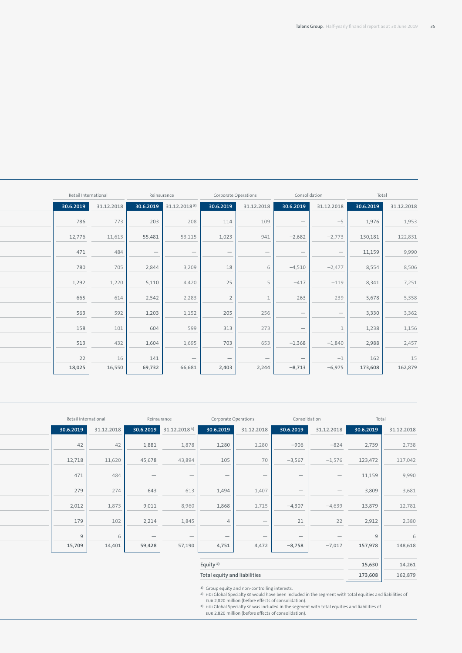| Consolidation<br>Retail International<br>Corporate Operations<br>Reinsurance                                                                                                                                   | Total                   |
|----------------------------------------------------------------------------------------------------------------------------------------------------------------------------------------------------------------|-------------------------|
| 30.6.2019<br>30.6.2019 31.12.2018 <sup>3)</sup><br>30.6.2019<br>31.12.2018<br>31.12.2018<br>30.6.2019<br>31.12.2018                                                                                            | 30.6.2019<br>31.12.2018 |
| 786<br>208<br>773<br>203<br>109<br>114<br>$-5$<br>$\hspace{0.1mm}-\hspace{0.1mm}$                                                                                                                              | 1,976<br>1,953          |
| 12,776<br>55,481<br>11,613<br>53,115<br>$-2,682$<br>$-2,773$<br>1,023<br>941                                                                                                                                   | 122,831<br>130,181      |
| 471<br>484<br>$\overline{\phantom{0}}$<br>$\overline{\phantom{a}}$<br>$\hspace{0.1mm}-\hspace{0.1mm}$<br>$\hspace{0.1mm}-\hspace{0.1mm}$<br>$\hspace{0.1mm}-\hspace{0.1mm}$<br>$\hspace{0.1mm}-\hspace{0.1mm}$ | 11,159<br>9,990         |
| 780<br>705<br>2,844<br>3,209<br>$-4,510$<br>$-2,477$<br>18                                                                                                                                                     | 8,554<br>8,506          |
| 1,292<br>1,220<br>5,110<br>4,420<br>25<br>$-417$<br>$-119$                                                                                                                                                     | 8,341<br>7,251          |
| 665<br>2,542<br>2,283<br>263<br>239<br>614                                                                                                                                                                     | 5,678<br>5,358          |
| 563<br>1,203<br>592<br>1,152<br>205<br>256<br>$\hspace{0.1mm}$<br>$\hspace{0.1mm}-\hspace{0.1mm}$                                                                                                              | 3,330<br>3,362          |
| 158<br>604<br>599<br>101<br>313<br>273<br>$\hspace{0.1mm}-\hspace{0.1mm}$                                                                                                                                      | 1,238<br>1,156          |
| 513<br>1,695<br>1,604<br>703<br>653<br>$-1,368$<br>432<br>$-1,840$                                                                                                                                             | 2,988<br>2,457          |
| 22<br>16<br>141<br>$-1$<br>$\hspace{0.1mm}-\hspace{0.1mm}$<br>$\overline{\phantom{a}}$<br>$\hspace{0.1mm}-\hspace{0.1mm}$<br>$\overline{\phantom{a}}$                                                          | 162<br>15               |
| 18,025<br>69,732<br>66,681<br>$-8,713$<br>$-6,975$<br>16,550<br>2,403<br>2,244                                                                                                                                 | 173,608<br>162,879      |

| Retail International |            |                                 | Reinsurance                     | Corporate Operations            |                                 | Consolidation            |                                 | Total     |            |
|----------------------|------------|---------------------------------|---------------------------------|---------------------------------|---------------------------------|--------------------------|---------------------------------|-----------|------------|
| 30.6.2019            | 31.12.2018 | 30.6.2019                       | 31.12.2018 <sup>3)</sup>        | 30.6.2019                       | 31.12.2018                      | 30.6.2019                | 31.12.2018                      | 30.6.2019 | 31.12.2018 |
| 42                   | 42         | 1,881                           | 1,878                           | 1,280                           | 1,280                           | $-906$                   | $-824$                          | 2,739     | 2,738      |
|                      |            |                                 |                                 |                                 |                                 |                          |                                 |           |            |
| 12,718               | 11,620     | 45,678                          | 43,894                          | 105                             | 70                              | $-3,567$                 | $-1,576$                        | 123,472   | 117,042    |
| 471                  | 484        | $\hspace{0.1mm}-\hspace{0.1mm}$ | $\hspace{0.1mm}-\hspace{0.1mm}$ | $\hspace{0.1mm}-\hspace{0.1mm}$ | $\overbrace{\phantom{12333}}$   |                          | $\overline{\phantom{0}}$        | 11,159    | 9,990      |
| 279                  | 274        | 643                             | 613                             | 1,494                           | 1,407                           | $\overline{\phantom{0}}$ | $\hspace{0.1mm}-\hspace{0.1mm}$ | 3,809     | 3,681      |
| 2,012                | 1,873      | 9,011                           | 8,960                           | 1,868                           | 1,715                           | $-4,307$                 | $-4,639$                        | 13,879    | 12,781     |
| 179                  | 102        | 2,214                           | 1,845                           |                                 | $\overbrace{\phantom{12333}}$   | 21                       | 22                              | 2,912     | 2,380      |
|                      |            | $\hspace{0.1mm}-\hspace{0.1mm}$ | $\hspace{0.1mm}-\hspace{0.1mm}$ | $\hspace{0.1mm}-\hspace{0.1mm}$ | $\hspace{0.1mm}-\hspace{0.1mm}$ | $\overline{\phantom{a}}$ | $\overline{\phantom{a}}$        |           | 6          |
| 15,709               | 14,401     | 59,428                          | 57,190                          | 4,751                           | 4,472                           | $-8,758$                 | $-7,017$                        | 157,978   | 148,618    |
|                      |            |                                 |                                 | Equity <sup>1</sup>             |                                 |                          |                                 | 15,630    | 14,261     |
|                      |            |                                 |                                 | Total equity and liabilities    |                                 |                          |                                 | 173,608   | 162,879    |
|                      |            |                                 |                                 |                                 |                                 |                          |                                 |           |            |

<sup>2)</sup> Group equity and non-controlling interests.<br>
2) HDI Global Specialty SE would have been included in the segment with total equities and liabilities of<br>
EUR 2,820 million (before effects of consolidation).<br>
<sup>3</sup> HDI Glo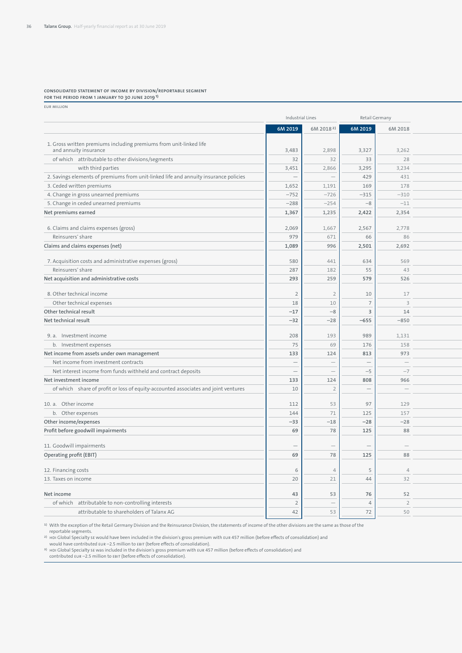#### **Consolidated statement of income by division/reportable segment for the period from 1 January to 30 June 20191)**

EUR million

|                                                                                             | Industrial Lines                |                          | Retail Germany           |                                 |
|---------------------------------------------------------------------------------------------|---------------------------------|--------------------------|--------------------------|---------------------------------|
|                                                                                             | 6M 2019                         | 6M 2018 <sup>2</sup>     | 6M 2019                  | 6M 2018                         |
|                                                                                             |                                 |                          |                          |                                 |
| 1. Gross written premiums including premiums from unit-linked life<br>and annuity insurance | 3,483                           | 2,898                    | 3,327                    | 3,262                           |
| of which attributable to other divisions/segments                                           | 32                              | 32                       | 33                       | 28                              |
| with third parties                                                                          | 3,451                           | 2,866                    | 3,295                    | 3,234                           |
| 2. Savings elements of premiums from unit-linked life and annuity insurance policies        | $\overline{\phantom{a}}$        | $\overline{\phantom{a}}$ | 429                      | 431                             |
| 3. Ceded written premiums                                                                   | 1,652                           | 1,191                    | 169                      | 178                             |
| 4. Change in gross unearned premiums                                                        | $-752$                          | $-726$                   | $-315$                   | $-310$                          |
|                                                                                             | $-288$                          | $-254$                   | $-8$                     | $-11$                           |
| 5. Change in ceded unearned premiums<br>Net premiums earned                                 | 1,367                           | 1,235                    | 2,422                    | 2,354                           |
|                                                                                             |                                 |                          |                          |                                 |
| 6. Claims and claims expenses (gross)                                                       | 2,069                           | 1,667                    | 2,567                    | 2,778                           |
| Reinsurers' share                                                                           | 979                             | 671                      | 66                       | 86                              |
| Claims and claims expenses (net)                                                            | 1,089                           | 996                      | 2,501                    | 2,692                           |
| 7. Acquisition costs and administrative expenses (gross)                                    | 580                             | 441                      | 634                      | 569                             |
| Reinsurers' share                                                                           | 287                             | 182                      | 55                       | 43                              |
| Net acquisition and administrative costs                                                    | 293                             | 259                      | 579                      | 526                             |
|                                                                                             |                                 |                          |                          |                                 |
| 8. Other technical income                                                                   | $\overline{2}$                  | 2                        | 10                       | 17                              |
| Other technical expenses                                                                    | 18                              | 10                       |                          | $\overline{\mathbf{3}}$         |
| Other technical result                                                                      | $-17$                           | $-8$                     | ÷.                       | 14                              |
| Net technical result                                                                        | $-32$                           | $-28$                    | $-655$                   | $-850$                          |
|                                                                                             |                                 |                          |                          |                                 |
| 9. a. Investment income                                                                     | 208                             | 193                      | 989                      | 1,131                           |
| b. Investment expenses                                                                      | 75                              | 69                       | 176                      | 158                             |
| Net income from assets under own management                                                 | 133                             | 124                      | 813                      | 973                             |
| Net income from investment contracts                                                        | $\hspace{0.1mm}-\hspace{0.1mm}$ | $\overline{\phantom{a}}$ | $\hspace{0.1mm}$         | $\hspace{0.1mm}-\hspace{0.1mm}$ |
| Net interest income from funds withheld and contract deposits                               | $\overline{\phantom{a}}$        | $\overline{\phantom{a}}$ | $-5$                     | $-7$                            |
| Net investment income                                                                       | 133                             | 124                      | 808                      | 966                             |
| of which share of profit or loss of equity-accounted associates and joint ventures          | $10$                            | $\overline{2}$           | $\overline{\phantom{a}}$ | $\hspace{0.1mm}-\hspace{0.1mm}$ |
|                                                                                             |                                 |                          |                          |                                 |
| 10. a. Other income                                                                         | 112                             | 53                       | 97                       | 129                             |
| b. Other expenses                                                                           | 144                             | 71                       | 125                      | 157                             |
| Other income/expenses                                                                       | $-33$                           | $-18$                    | $-28$                    | $-28$                           |
| Profit before goodwill impairments                                                          | 69                              | 78                       | 125                      | 88                              |
|                                                                                             |                                 |                          |                          |                                 |
| 11. Goodwill impairments                                                                    | $\overline{\phantom{a}}$        | $\overline{\phantom{0}}$ |                          | $\overline{\phantom{a}}$        |
| Operating profit (EBIT)                                                                     | 69                              | 78                       | 125                      | 88                              |
| 12. Financing costs                                                                         | 6                               | $\Delta$                 | - 5                      | $\overline{4}$                  |
| 13. Taxes on income                                                                         | 20                              | 21                       | 44                       | 32                              |
|                                                                                             |                                 |                          |                          |                                 |
| Net income                                                                                  | 43                              | 53                       | 76                       | 52                              |
| of which attributable to non-controlling interests                                          | $\overline{2}$                  | $\overline{\phantom{0}}$ |                          | $\overline{2}$                  |
| attributable to shareholders of Talanx AG                                                   | 42                              | 53                       | 72                       | 50                              |

1) With the exception of the Retail Germany Division and the Reinsurance Division, the statements of income of the other divisions are the same as those of the

reportable segments.

2) HDI Global Specialty SE would have been included in the division's gross premium with EUR 457 million (before effects of consolidation) and

would have contributed EUR –2.5 million to EBIT (before effects of consolidation).

<sup>3)</sup> HDI Global Specialty sE was included in the division's gross premium with EUR 457 million (before effects of consolidation) and<br>contributed EUR –2.5 million to EBIT (before effects of consolidation).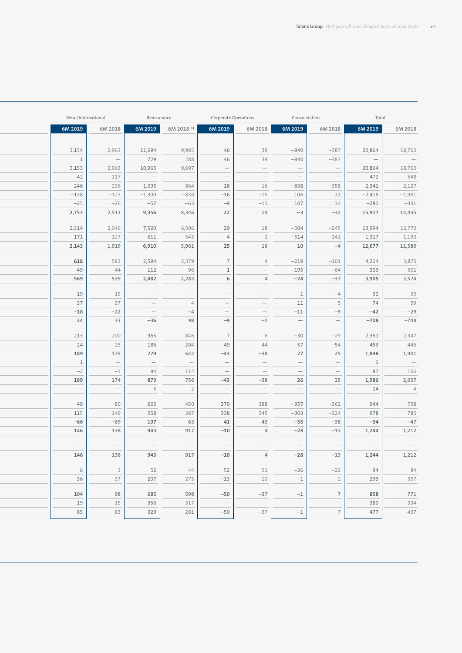| Retail International            |                                                                                      |                                 | Reinsurance                                                                                                                                                                                                                                                                                                                  | Corporate Operations            |                                                                                      |                                 | Consolidation                     | Total                           |                          |
|---------------------------------|--------------------------------------------------------------------------------------|---------------------------------|------------------------------------------------------------------------------------------------------------------------------------------------------------------------------------------------------------------------------------------------------------------------------------------------------------------------------|---------------------------------|--------------------------------------------------------------------------------------|---------------------------------|-----------------------------------|---------------------------------|--------------------------|
| 6M 2019                         | 6M 2018                                                                              | 6M 2019                         | 6M 2018 <sup>3</sup>                                                                                                                                                                                                                                                                                                         | 6M 2019                         | 6M 2018                                                                              | 6M 2019                         | 6M 2018                           | 6M 2019                         | 6M 2018                  |
|                                 |                                                                                      |                                 |                                                                                                                                                                                                                                                                                                                              |                                 |                                                                                      |                                 |                                   |                                 |                          |
| 3,154                           | 2,963                                                                                | 11,694                          | 9,985                                                                                                                                                                                                                                                                                                                        | 46                              | 39                                                                                   | $-840$                          | $-387$                            | 20,864                          | 18,760                   |
| $\overline{1}$                  | $\sim$ $-$                                                                           | 729                             | 288                                                                                                                                                                                                                                                                                                                          | 46                              | 39                                                                                   | $-840$                          | $-387$                            | $\sim$ $-$                      | $\sim$ $-$               |
| 3,153                           | 2,963                                                                                | 10,965                          | 9,697                                                                                                                                                                                                                                                                                                                        | $\frac{1}{\sqrt{2}}$            | $\overline{a}$                                                                       | $\equiv$                        | $\frac{1}{\sqrt{2}}$              | 20,864                          | 18,760                   |
| 42                              | 117                                                                                  | $\overline{\phantom{a}}$        | $\hspace{0.1cm}$ $\hspace{0.1cm}$ $\hspace{0.1cm}$ $\hspace{0.1cm}$ $\hspace{0.1cm}$ $\hspace{0.1cm}$ $\hspace{0.1cm}$ $\hspace{0.1cm}$ $\hspace{0.1cm}$ $\hspace{0.1cm}$ $\hspace{0.1cm}$ $\hspace{0.1cm}$ $\hspace{0.1cm}$ $\hspace{0.1cm}$ $\hspace{0.1cm}$ $\hspace{0.1cm}$ $\hspace{0.1cm}$ $\hspace{0.1cm}$ $\hspace{$ | $\hspace{0.1mm}-\hspace{0.1mm}$ | $\sim$ $-$                                                                           | $\hspace{0.1cm}$ —              | $\hspace{0.1cm} -$                | 472                             | 548                      |
| 246                             | 236                                                                                  | 1,095                           | 864                                                                                                                                                                                                                                                                                                                          | 18                              | 16                                                                                   | $-838$                          | $-358$                            | 2,341                           | 2,127                    |
| $-138$                          | $-123$                                                                               | $-1,300$                        | $-838$                                                                                                                                                                                                                                                                                                                       | $-16$                           | $-15$                                                                                | 106                             | 31                                | $-2,415$                        | $-1,981$                 |
| $-25$                           | $-26$                                                                                | $-57$                           | $-63$                                                                                                                                                                                                                                                                                                                        | $-9$                            | $-11$                                                                                | 107                             | 34                                | $-281$                          | $-331$                   |
| 2,753                           | 2,513                                                                                | 9,356                           | 8,346                                                                                                                                                                                                                                                                                                                        | 22                              | 19                                                                                   | $-3$                            | $-32$                             | 15,917                          | 14,435                   |
| 2,314                           | 2,046                                                                                | 7,520                           | 6,506                                                                                                                                                                                                                                                                                                                        | 29                              | 18                                                                                   | $-504$                          | $-245$                            | 13,994                          | 12,770                   |
| 171                             | 127                                                                                  | 611                             | 545                                                                                                                                                                                                                                                                                                                          | $\overline{4}$                  | $\overline{2}$                                                                       | $-514$                          | $-241$                            | 1,317                           | 1,190                    |
| 2,143                           | 1,919                                                                                | 6,910                           | 5,961                                                                                                                                                                                                                                                                                                                        | 25                              | 16                                                                                   | 10                              | $-4$                              | 12,677                          | 11,580                   |
|                                 |                                                                                      |                                 |                                                                                                                                                                                                                                                                                                                              |                                 |                                                                                      |                                 |                                   |                                 |                          |
| 618                             | 583                                                                                  | 2,594                           | 2,379                                                                                                                                                                                                                                                                                                                        | 7 <sup>1</sup>                  | 4                                                                                    | $-219$                          | $-101$                            | 4,214                           | 3,875                    |
| 49                              | 44                                                                                   | 112                             | 96                                                                                                                                                                                                                                                                                                                           | 1                               | $\sim$ $-$                                                                           | $-195$                          | $-64$                             | 309                             | 301                      |
| 569                             | 539                                                                                  | 2,482                           | 2,283                                                                                                                                                                                                                                                                                                                        | 6                               | $\overline{4}$                                                                       | $-24$                           | $-37$                             | 3,905                           | 3,574                    |
| 19                              | 15                                                                                   | $\sim$ $-$                      | $\hspace{0.1cm} -$                                                                                                                                                                                                                                                                                                           | $\hspace{0.1mm}-\hspace{0.1mm}$ | $\hspace{0.1cm}$ $\hspace{0.1cm}$ $\hspace{0.1cm}$ $\hspace{0.1cm}$ $\hspace{0.1cm}$ | 1                               | $-4$                              | 32                              |                          |
| 37                              | 37                                                                                   | $\overline{\phantom{a}}$        | $\overline{4}$                                                                                                                                                                                                                                                                                                               | $\overline{\phantom{a}}$        | $\overline{\phantom{a}}$                                                             | 11                              | 5                                 | 74                              | 30                       |
| $-18$                           | $-22$                                                                                | $\equiv$                        | $-4$                                                                                                                                                                                                                                                                                                                         | $\overline{\phantom{a}}$        | $\equiv$                                                                             | $-11$                           | $-9$                              | $-42$                           | $-29$                    |
| 24                              | 33                                                                                   | $-36$                           | 98                                                                                                                                                                                                                                                                                                                           | $-9$                            | $-1$                                                                                 | $\hspace{0.1mm}-\hspace{0.1mm}$ | $\hspace{0.1mm}-\hspace{0.1mm}$   | $-708$                          | $-748$                   |
|                                 |                                                                                      |                                 |                                                                                                                                                                                                                                                                                                                              |                                 |                                                                                      |                                 |                                   |                                 |                          |
| 213<br>24                       | 200                                                                                  | 965                             | 846<br>204                                                                                                                                                                                                                                                                                                                   | $7\overline{ }$                 | 6<br>44                                                                              | $-30$                           | $-29$                             | 2,351<br>453                    | 2,347                    |
| 189                             | 25<br>175                                                                            | 186<br>779                      | 642                                                                                                                                                                                                                                                                                                                          | 49<br>$-43$                     | $-38$                                                                                | $-57$<br>27                     | $-54$<br>25                       | 1,898                           |                          |
| $\overline{1}$                  | $\sim$ $-$                                                                           | $\equiv$                        | $\hspace{0.1mm}-\hspace{0.1mm}$                                                                                                                                                                                                                                                                                              | $\overline{\phantom{a}}$        | $\sim$ $-$                                                                           | $\equiv$                        | $\overline{\phantom{a}}$          | $\overline{\phantom{a}}$        |                          |
| $-2$                            | $-1$                                                                                 | 94                              | 114                                                                                                                                                                                                                                                                                                                          | $\hspace{0.1mm}$                | $\hspace{0.1cm}$ $\hspace{0.1cm}$ $\hspace{0.1cm}$ $\hspace{0.1cm}$ $\hspace{0.1cm}$ | $\hspace{0.1mm}-\hspace{0.1mm}$ | $\hspace{0.1mm}-\hspace{0.1mm}$   | 87                              |                          |
| 189                             | 174                                                                                  | 873                             | 756                                                                                                                                                                                                                                                                                                                          | $-43$                           | $-38$                                                                                | 26                              | 25                                | 1,986                           |                          |
| $\overline{\phantom{a}}$        | $\sim$ $-$                                                                           | $5\phantom{0}$                  | $\overline{2}$                                                                                                                                                                                                                                                                                                               | $\hspace{0.1cm} -$              | $\sim$ $-$                                                                           | $\hspace{0.1mm}-\hspace{0.1mm}$ | $\hspace{0.1cm} -$                | 14                              |                          |
|                                 |                                                                                      |                                 |                                                                                                                                                                                                                                                                                                                              |                                 |                                                                                      |                                 |                                   |                                 | $\overline{\phantom{0}}$ |
| 49                              | 80                                                                                   | 665                             | 450                                                                                                                                                                                                                                                                                                                          | 379                             | 388                                                                                  | $-357$                          | $-362$                            | 944                             |                          |
| 115<br>$-66$                    | 149<br>$-69$                                                                         | 558<br>107                      | 387<br>63                                                                                                                                                                                                                                                                                                                    | 338<br>41                       | 345<br>43                                                                            | $-303$<br>$-55$                 | $-324$<br>$-38$                   | 978<br>$-34$                    |                          |
| 146                             | 138                                                                                  | 943                             | 917                                                                                                                                                                                                                                                                                                                          | $-10$                           | $\overline{4}$                                                                       | $-28$                           | $-13$                             | 1,244                           |                          |
|                                 |                                                                                      |                                 |                                                                                                                                                                                                                                                                                                                              |                                 |                                                                                      |                                 |                                   |                                 | 1,212                    |
| $\hspace{0.1mm}-\hspace{0.1mm}$ | $\hspace{0.1cm}$ $\hspace{0.1cm}$ $\hspace{0.1cm}$ $\hspace{0.1cm}$ $\hspace{0.1cm}$ | $\hspace{0.1mm}-\hspace{0.1mm}$ | $\hspace{0.1mm}-\hspace{0.1mm}$                                                                                                                                                                                                                                                                                              | $\hspace{0.1mm}-\hspace{0.1mm}$ | $\hspace{0.1mm}-\hspace{0.1mm}$                                                      | $\hspace{0.1mm}-\hspace{0.1mm}$ | $\hspace{0.1mm}$ $\hspace{0.1mm}$ | $\hspace{0.1mm}-\hspace{0.1mm}$ |                          |
| 146                             | 138                                                                                  | 943                             | 917                                                                                                                                                                                                                                                                                                                          | $-10$                           | $\overline{4}$                                                                       | $-28$                           | $-13$                             | 1,244                           | 1,212                    |
|                                 | $\frac{3}{3}$                                                                        |                                 | 44                                                                                                                                                                                                                                                                                                                           |                                 |                                                                                      |                                 |                                   | 94                              |                          |
| 6<br>36                         | 37                                                                                   | 52<br>207                       | 275                                                                                                                                                                                                                                                                                                                          | 52                              | 51<br>$-10$                                                                          | $-26$                           | $-22$                             | 293                             |                          |
|                                 |                                                                                      |                                 |                                                                                                                                                                                                                                                                                                                              | $-13$                           |                                                                                      | $-1$                            | $\overline{2}$                    |                                 |                          |
| 104                             | 98                                                                                   | 685                             | 598                                                                                                                                                                                                                                                                                                                          | $-50$                           | $-37$                                                                                | $-1$                            | $\overline{7}$                    | 858                             |                          |
| 19                              | 15                                                                                   | 356                             | 317                                                                                                                                                                                                                                                                                                                          | $\hspace{0.1mm}-\hspace{0.1mm}$ | $\hspace{0.1mm}-\hspace{0.1mm}$                                                      | $\hspace{0.1mm}-\hspace{0.1mm}$ | $\frac{1}{\sqrt{2}}$              | 380                             |                          |
| 85                              | 83                                                                                   | 329                             | 281                                                                                                                                                                                                                                                                                                                          | $-50$                           | $-37$                                                                                | $-1$                            | $\overline{7}$                    | 477                             |                          |
|                                 |                                                                                      |                                 |                                                                                                                                                                                                                                                                                                                              |                                 |                                                                                      |                                 |                                   |                                 |                          |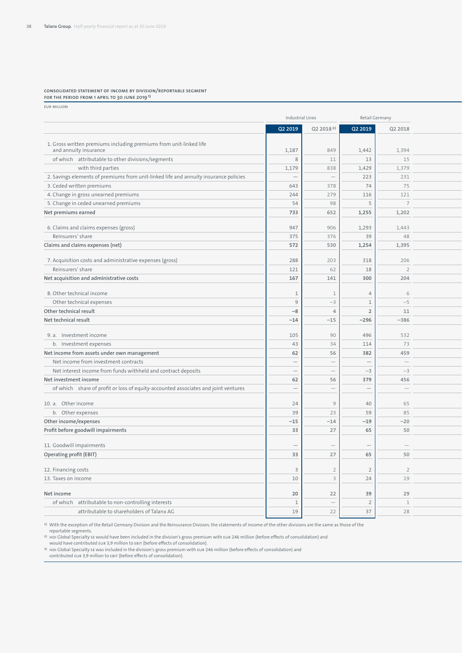#### **Consolidated statement of income by division/reportable segment for the period from 1 April to 30 June 20191)**

EUR million

|                                                                                             | Industrial Lines                |                          | Retail Germany                  |                                 |
|---------------------------------------------------------------------------------------------|---------------------------------|--------------------------|---------------------------------|---------------------------------|
|                                                                                             | Q2 2019                         | Q2 2018 <sup>2]</sup>    | Q2 2019                         | Q2 2018                         |
|                                                                                             |                                 |                          |                                 |                                 |
| 1. Gross written premiums including premiums from unit-linked life<br>and annuity insurance | 1,187                           | 849                      | 1,442                           | 1,394                           |
| of which attributable to other divisions/segments                                           | - 8                             | 11                       | 13                              | 15                              |
| with third parties                                                                          | 1,179                           | 838                      | 1,429                           | 1,379                           |
| 2. Savings elements of premiums from unit-linked life and annuity insurance policies        | $\hspace{0.1mm}-\hspace{0.1mm}$ | $\overline{\phantom{a}}$ | 223                             | 231                             |
| 3. Ceded written premiums                                                                   | 643                             | 378                      | 74                              | 75                              |
| 4. Change in gross unearned premiums                                                        | 244                             | 279                      | 116                             | 121                             |
| 5. Change in ceded unearned premiums                                                        | 54                              | 98                       | -5                              | $\overline{7}$                  |
| Net premiums earned                                                                         | 733                             | 652                      | 1,255                           | 1,202                           |
|                                                                                             |                                 |                          |                                 |                                 |
| 6. Claims and claims expenses (gross)                                                       | 947                             | 906                      | 1,293                           | 1,443                           |
| Reinsurers' share                                                                           | 375                             | 376                      | 39                              | 48                              |
| Claims and claims expenses (net)                                                            | 572                             | 530                      | 1,254                           | 1,395                           |
|                                                                                             |                                 |                          |                                 |                                 |
| 7. Acquisition costs and administrative expenses (gross)                                    | 288                             | 203                      | 318                             | 206                             |
| Reinsurers' share                                                                           | 121                             | 62                       | 18                              | $\overline{2}$                  |
| Net acquisition and administrative costs                                                    | 167                             | 141                      | 300                             | 204                             |
| 8. Other technical income                                                                   | $\overline{1}$                  | $\mathbf{1}$             |                                 | 6                               |
| Other technical expenses                                                                    | 9                               | $-3$                     |                                 | $-5$                            |
| Other technical result                                                                      | $-8$                            | $\overline{4}$           |                                 | 11                              |
| Net technical result                                                                        | $-14$                           | $-15$                    | $-296$                          | $-386$                          |
|                                                                                             |                                 |                          |                                 |                                 |
| 9. a. Investment income                                                                     | 105                             | 90                       | 496                             | 532                             |
| b. Investment expenses                                                                      | 43                              | 34                       | 114                             | 73                              |
| Net income from assets under own management                                                 | 62                              | 56                       | 382                             | 459                             |
| Net income from investment contracts                                                        | $\overline{\phantom{a}}$        | $\overline{\phantom{0}}$ | $\hspace{0.1mm}-\hspace{0.1mm}$ | $\overline{\phantom{m}}$        |
| Net interest income from funds withheld and contract deposits                               | $\overline{\phantom{a}}$        | $\overline{\phantom{a}}$ | $-3$                            | $-3$                            |
| Net investment income                                                                       | 62                              | 56                       | 379                             | 456                             |
| of which share of profit or loss of equity-accounted associates and joint ventures          | $\hspace{0.1mm}-\hspace{0.1mm}$ | $\overline{\phantom{a}}$ | $\overline{\phantom{a}}$        | $\hspace{0.1mm}-\hspace{0.1mm}$ |
|                                                                                             |                                 |                          |                                 |                                 |
| 10. a. Other income                                                                         | 24                              | 9                        | 40                              | 65                              |
| b. Other expenses                                                                           | 39                              | 23                       | 59                              | 85                              |
| Other income/expenses                                                                       | $-15$                           | $-14$                    | $-19$                           | $-20$                           |
| Profit before goodwill impairments                                                          | 33                              | 27                       | 65                              | 50                              |
|                                                                                             |                                 |                          |                                 |                                 |
| 11. Goodwill impairments                                                                    | $\hspace{0.1mm}$                | $\overline{\phantom{a}}$ |                                 | $\hspace{0.1mm}-\hspace{0.1mm}$ |
| Operating profit (EBIT)                                                                     | 33                              | 27                       | 65                              | 50                              |
|                                                                                             |                                 |                          |                                 |                                 |
| 12. Financing costs                                                                         | $\overline{\mathbf{3}}$         | $\overline{2}$           | $\overline{2}$                  | $\overline{2}$                  |
| 13. Taxes on income                                                                         | 10                              | $\rightarrow$            | 24                              | 19                              |
| Net income                                                                                  | 20                              | 22                       | 39                              | 29                              |
| of which attributable to non-controlling interests                                          | $\overline{1}$                  |                          | -2                              | $\mathbf{1}$                    |
| attributable to shareholders of Talanx AG                                                   | 19                              | 22                       | 37                              | 28                              |
|                                                                                             |                                 |                          |                                 |                                 |

1) With the exception of the Retail Germany Division and the Reinsurance Division, the statements of income of the other divisions are the same as those of the

reportable segments.

<sup>2)</sup> HDI Global Specialty se would have been included in the division's gross premium with EUR 246 million (before effects of consolidation) and

would have contributed EUR 3,9 million to EBIT (before effects of consolidation).<br><sup>3)</sup> ної Global Specialty sɛ was included in the division's gross premium with EUR 246 million (before effects of consolidation) and<br>contri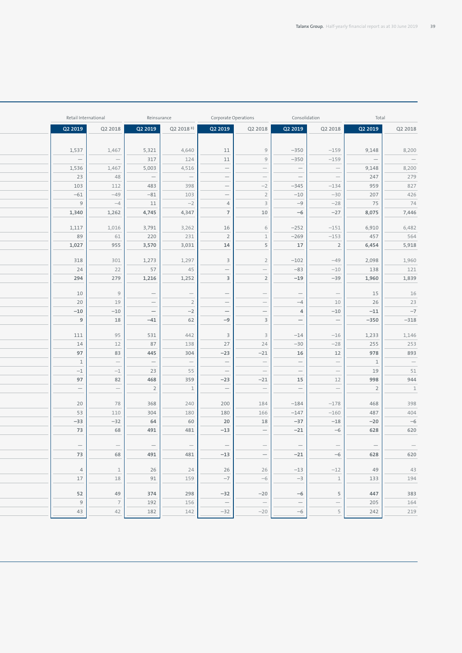| Retail International            |                                                                                                        | Reinsurance                     |                                                                                                                                          | Corporate Operations                                        | Consolidation                   |                                                   | Total                           |                    |
|---------------------------------|--------------------------------------------------------------------------------------------------------|---------------------------------|------------------------------------------------------------------------------------------------------------------------------------------|-------------------------------------------------------------|---------------------------------|---------------------------------------------------|---------------------------------|--------------------|
| Q2 2019                         | Q2 2018<br>Q2 2019                                                                                     | $Q2 2018$ <sup>3)</sup>         | Q2 2019                                                                                                                                  | Q2 2018                                                     | Q2 2019                         | Q2 2018                                           | Q2 2019                         | Q2 2018            |
|                                 |                                                                                                        |                                 |                                                                                                                                          |                                                             |                                 |                                                   |                                 |                    |
| 1,537                           | 1,467<br>5,321                                                                                         | 4,640                           | 11                                                                                                                                       | 9                                                           | $-350$                          | $-159$                                            | 9,148                           | 8,200              |
| $\hspace{0.1cm}$ —              | 317<br>$\sim$ $-$                                                                                      | 124                             | 11                                                                                                                                       | 9                                                           | $-350$                          | $-159$                                            | $\sim$ $-$                      | $\hspace{0.1cm}$ — |
| 1,536                           | 1,467<br>5,003                                                                                         | 4,516                           | $\overline{\phantom{0}}$                                                                                                                 | $\overline{\phantom{a}}$                                    | $\hspace{0.1cm} -$              | $\frac{1}{\sqrt{2}}$                              | 9,148                           | 8,200              |
| 23                              | 48<br>$\mathcal{C}=\mathcal{C}$                                                                        | $\hspace{0.1cm} -$              | $\frac{1}{\sqrt{2}}$                                                                                                                     | $\hspace{0.1mm}-\hspace{0.1mm}$                             | $\hspace{0.1cm} -$              | $\hspace{0.1cm} -$                                | 247                             | 279                |
| 103                             | 483<br>112                                                                                             | 398                             | $\hspace{0.1mm}-\hspace{0.1mm}$                                                                                                          | $-2$                                                        | $-345$                          | $-134$                                            | 959                             | 827                |
| $-61$                           | $-81$<br>$-49$                                                                                         | 103                             | $\frac{1}{\sqrt{2\pi}}$                                                                                                                  | $\overline{2}$                                              | $-10$                           | $-30$                                             | 207                             | 426                |
| 9                               | 11<br>$-4$                                                                                             | $-2$                            | $\overline{4}$                                                                                                                           | $\overline{\mathbf{3}}$                                     | $-9$                            | $-28$                                             | 75                              | 74                 |
| 1,340                           | 4,745<br>1,262                                                                                         | 4,347                           | $\overline{7}$                                                                                                                           | $10$                                                        | $-6$                            | $-27$                                             | 8,075                           | 7,446              |
|                                 |                                                                                                        |                                 |                                                                                                                                          |                                                             |                                 |                                                   |                                 |                    |
| 1,117                           | 1,016<br>3,791                                                                                         | 3,262                           | 16                                                                                                                                       | 6                                                           | $-252$                          | $-151$                                            | 6,910                           | 6,482<br>564       |
| 89                              | 61<br>220                                                                                              | 231                             | $\overline{2}$                                                                                                                           | $\,$ $\,$ $\,$<br>$\overline{5}$                            | $-269$                          | $-153$                                            | 457                             |                    |
| 1,027                           | 3,570<br>955                                                                                           | 3,031                           | 14                                                                                                                                       |                                                             | 17                              | $\overline{\phantom{0}}$                          | 6,454                           | 5,918              |
| 318                             | 1,273<br>301                                                                                           | 1,297                           | $\overline{\mathbf{3}}$                                                                                                                  | $\overline{2}$                                              | $-102$                          | $-49$                                             | 2,098                           | 1,960              |
| 24                              | 57<br>22                                                                                               | 45                              | $\hspace{0.1mm}-\hspace{0.1mm}$                                                                                                          | $\hspace{0.1mm}-\hspace{0.1mm}$                             | $-83$                           | $-10$                                             | 138                             | 121                |
| 294                             | 279<br>1,216                                                                                           | 1,252                           | $\overline{\mathbf{3}}$                                                                                                                  | $\overline{2}$                                              | $-19$                           | $-39$                                             | 1,960                           | 1,839              |
|                                 |                                                                                                        |                                 |                                                                                                                                          |                                                             |                                 |                                                   |                                 |                    |
| 10                              | 9<br>$\sim$ $-$                                                                                        | $\hspace{0.1cm}$                | $\hspace{0.1cm}$ $\hspace{0.1cm}$                                                                                                        | $\hspace{0.1mm}-\hspace{0.1mm}$<br>$\overline{\phantom{a}}$ | $\hspace{0.1mm}$ —              | $\hspace{0.1cm} -$                                | 15                              |                    |
| 20                              | $\overline{\phantom{a}}$<br>19                                                                         | $\overline{2}$                  | $\overline{a}$                                                                                                                           |                                                             | $-4$                            | 10                                                | 26                              |                    |
| $-10$                           | $-10$<br>$\overline{\phantom{a}}$                                                                      | $-2$                            | $\equiv$                                                                                                                                 | $\equiv$                                                    | $\overline{4}$                  | $-10$                                             | $-11$                           |                    |
| $\overline{9}$                  | $-41$<br>18                                                                                            | 62                              | $-9$                                                                                                                                     | $\overline{\phantom{a}}$                                    | $\hspace{0.1mm}-\hspace{0.1mm}$ | $\frac{1}{\sqrt{2}}$                              | $-350$                          |                    |
| 111                             | 531<br>95                                                                                              | 442                             | $\overline{\mathbf{3}}$                                                                                                                  | $\overline{\mathbf{3}}$                                     | $-14$                           | $-16$                                             | 1,233                           |                    |
| 14                              | 87<br>12                                                                                               | 138                             | 27                                                                                                                                       | 24                                                          | $-30$                           | $-28$                                             | 255                             |                    |
| 97                              | 445<br>83                                                                                              | 304                             | $-23$                                                                                                                                    | $-21$                                                       | 16                              | 12                                                | 978                             |                    |
| $\,$ $\,$ $\,$                  | $\overline{\phantom{m}}$<br>$\hspace{0.1mm}-\hspace{0.1mm}$                                            | $\hspace{0.1mm}-\hspace{0.1mm}$ | $\hspace{0.1mm}-\hspace{0.1mm}$                                                                                                          | $\hspace{0.1mm}-\hspace{0.1mm}$                             | $\hspace{0.1mm}-\hspace{0.1mm}$ | $\overline{\phantom{0}}$                          | 1                               |                    |
| $-1$                            | 23<br>$-1$                                                                                             | 55                              | $\hspace{0.1cm}$ $\hspace{0.1cm}$                                                                                                        | $\hspace{0.1cm}$                                            | $\hspace{0.1cm}$ —              | $\mathbb{R}^2$<br>$\hspace{0.1mm}-\hspace{0.1mm}$ | 19                              |                    |
| 97                              | 468<br>82                                                                                              | 359                             | $-23$                                                                                                                                    | $-21$                                                       | 15                              | 12                                                | 998                             |                    |
| $\hspace{0.1mm}-\hspace{0.1mm}$ | $\overline{2}$<br>$\hspace{0.1cm}$ $\hspace{0.1cm}$ $\hspace{0.1cm}$ $\hspace{0.1cm}$ $\hspace{0.1cm}$ | $\mathbf{1}$                    | $\overline{\phantom{a}}$                                                                                                                 | $\bar{ }$                                                   | $\hspace{0.1mm}-\hspace{0.1mm}$ | $\overline{\phantom{a}}$                          | $\overline{2}$                  |                    |
|                                 |                                                                                                        |                                 |                                                                                                                                          |                                                             |                                 |                                                   |                                 |                    |
| 20<br>53                        | 368<br>78                                                                                              | 240                             | 200                                                                                                                                      | 184                                                         | $-184$                          | $-178$                                            | 468<br>487                      |                    |
| $-33$                           | 304<br>110<br>64<br>$-32$                                                                              | 180<br>60                       | 180<br>20                                                                                                                                | 166<br>18                                                   | $-147$<br>$-37$                 | $-160$<br>$-18$                                   | $-20$                           |                    |
| 73                              | 68<br>491                                                                                              | 481                             | $-13$                                                                                                                                    |                                                             | $-21$                           | $-6$                                              | 628                             |                    |
|                                 |                                                                                                        |                                 |                                                                                                                                          | $\overline{\phantom{a}}$                                    |                                 |                                                   |                                 |                    |
| $\hspace{0.1mm}-\hspace{0.1mm}$ | $\hspace{0.1mm}-\hspace{0.1mm}$<br>$\overline{\phantom{0}}$                                            | $\hspace{0.1mm}-\hspace{0.1mm}$ | $\hspace{0.1mm}-\hspace{0.1mm}$                                                                                                          | $\overline{\phantom{m}}$                                    | $\hspace{0.1mm}-\hspace{0.1mm}$ | $\hspace{0.1mm}-\hspace{0.1mm}$                   | $\hspace{0.1mm}-\hspace{0.1mm}$ |                    |
| 73                              | 68<br>491                                                                                              | 481                             | $-13$                                                                                                                                    | $\overline{\phantom{0}}$                                    | $-21$                           | $-6$                                              | 628                             |                    |
|                                 |                                                                                                        |                                 |                                                                                                                                          |                                                             |                                 |                                                   |                                 |                    |
| $\overline{4}$                  | $\mathbf{1}$<br>26                                                                                     | 24                              | 26                                                                                                                                       | 26                                                          | $-13$                           | $-12$                                             | 49                              |                    |
| $17\,$                          | 91<br>18                                                                                               | 159                             | $-7$                                                                                                                                     | $-6$                                                        | $-3$                            | $\overline{\phantom{a}}$                          | 133                             | 194                |
| 52                              | 49<br>374                                                                                              | 298                             | $-32$                                                                                                                                    | $-20$                                                       | $-6$                            | 5                                                 | 447                             |                    |
| 9                               | $7\overline{ }$<br>192                                                                                 | 156                             | $\hspace{0.1in} \hspace{0.1in} \hspace{0.1in} \hspace{0.1in} \hspace{0.1in} \hspace{0.1in} \hspace{0.1in} \hspace{0.1in} \hspace{0.1in}$ | $\overline{\phantom{m}}$                                    | $\equiv$                        | $\frac{1}{\sqrt{2}}$                              | 205                             |                    |
| 43                              | 42<br>182                                                                                              | 142                             | $-32$                                                                                                                                    | $-20$                                                       | $-6$                            | 5                                                 | 242                             | 164<br>219         |
|                                 |                                                                                                        |                                 |                                                                                                                                          |                                                             |                                 |                                                   |                                 |                    |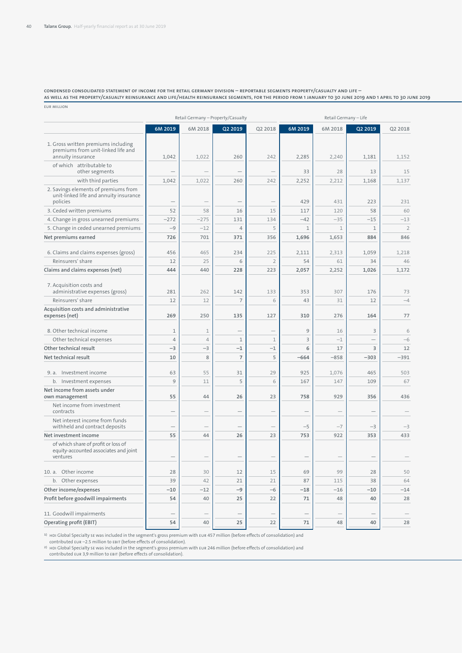**Condensed consolidated statement of income for the Retail Germany Division – reportable segments Property/Casualty and Life – as well as the Property/Casualty Reinsurance and Life/Health Reinsurance segments, for the period from 1 January to 30 June 2019 and 1 April to 30 June 2019** EUR million

|                                                                                                |                                 |                                 | Retail Germany - Property/Casualty |                                 |                          | Retail Germany - Life           |                          |                          |
|------------------------------------------------------------------------------------------------|---------------------------------|---------------------------------|------------------------------------|---------------------------------|--------------------------|---------------------------------|--------------------------|--------------------------|
|                                                                                                | 6M 2019                         | 6M 2018                         | Q2 2019                            | Q2 2018                         | 6M 2019                  | 6M 2018                         | Q2 2019                  | Q2 2018                  |
| 1. Gross written premiums including<br>premiums from unit-linked life and<br>annuity insurance | 1,042                           | 1,022                           | 260                                | 242                             | 2,285                    | 2,240                           | 1,181                    | 1,152                    |
| of which attributable to<br>other segments                                                     |                                 | $\overline{\phantom{a}}$        | $\overline{\phantom{a}}$           | $\hspace{0.1mm}-\hspace{0.1mm}$ | 33                       | 28                              | 13                       | 15                       |
| with third parties                                                                             | 1,042                           | 1,022                           | 260                                | 242                             | 2,252                    | 2,212                           | 1,168                    | 1,137                    |
| 2. Savings elements of premiums from<br>unit-linked life and annuity insurance                 |                                 |                                 |                                    |                                 |                          |                                 |                          |                          |
| policies                                                                                       |                                 | $\overline{\phantom{a}}$        | $\overline{\phantom{a}}$           | $\hspace{0.1mm}-\hspace{0.1mm}$ | 429                      | 431                             | 223                      | 231                      |
| 3. Ceded written premiums                                                                      | 52                              | 58                              | 16                                 | 15                              | 117                      | 120                             | 58                       | 60                       |
| 4. Change in gross unearned premiums                                                           | $-272$                          | $-275$                          | 131                                | 134                             | $-42$                    | $-35$                           | $-15$                    | $-13$                    |
| 5. Change in ceded unearned premiums                                                           | $-9$                            | $-12$                           | $\overline{4}$                     | 5                               | 1                        | 1                               | 1                        | $\overline{2}$           |
| Net premiums earned                                                                            | 726                             | 701                             | 371                                | 356                             | 1,696                    | 1,653                           | 884                      | 846                      |
| 6. Claims and claims expenses (gross)                                                          | 456                             | 465                             | 234                                | 225                             | 2,111                    | 2,313                           | 1,059                    | 1,218                    |
| Reinsurers' share                                                                              | 12                              | 25                              | 6                                  | $\overline{2}$                  | 54                       | 61                              | 34                       | 46                       |
| Claims and claims expenses (net)                                                               | 444                             | 440                             | 228                                | 223                             | 2,057                    | 2,252                           | 1,026                    | 1,172                    |
| 7. Acquisition costs and<br>administrative expenses (gross)                                    | 281                             | 262                             | 142                                | 133                             | 353                      | 307                             | 176                      | 73                       |
| Reinsurers' share                                                                              | 12                              | 12                              | $\overline{7}$                     | 6                               | 43                       | 31                              | 12                       | $-4$                     |
| Acquisition costs and administrative<br>expenses (net)                                         | 269                             | 250                             | 135                                | 127                             | 310                      | 276                             | 164                      | 77                       |
| 8. Other technical income                                                                      | 1                               | 1                               | $\overline{\phantom{a}}$           | $\hspace{0.1mm}-\hspace{0.1mm}$ | 9                        | 16                              | $\overline{\mathbf{3}}$  | 6                        |
| Other technical expenses                                                                       | $\overline{4}$                  | $\Delta$                        | $\mathbf{1}$                       | $\mathbf{1}$                    | $\overline{3}$           | $^{\rm -1}$                     | $\overline{\phantom{a}}$ | $-6$                     |
| Other technical result                                                                         | $-3$                            | $-3$                            | $-1$                               | $-1$                            | 6                        | 17                              | $\overline{\mathbf{3}}$  | 12                       |
| Net technical result                                                                           | 10                              | $\mathcal{R}$                   | $\overline{7}$                     | 5                               | $-664$                   | $-858$                          | $-303$                   | $-391$                   |
|                                                                                                |                                 |                                 |                                    |                                 |                          |                                 |                          |                          |
| 9. a. Investment income                                                                        | 63                              | 55                              | 31                                 | 29                              | 925                      | 1,076                           | 465                      | 503                      |
| b. Investment expenses                                                                         | 9                               | 11                              | 5                                  | 6                               | 167                      | 147                             | 109                      | 67                       |
| Net income from assets under<br>own management                                                 | 55                              | 44                              | 26                                 | 23                              | 758                      | 929                             | 356                      | 436                      |
| Net income from investment<br>contracts                                                        |                                 | $\overline{\phantom{a}}$        | $\overline{\phantom{a}}$           | $\overline{\phantom{m}}$        | $\overline{\phantom{m}}$ | $\hspace{0.1mm}-\hspace{0.1mm}$ | $\overline{\phantom{0}}$ | $\overline{\phantom{a}}$ |
| Net interest income from funds<br>withheld and contract deposits                               | $\hspace{0.1mm}-\hspace{0.1mm}$ | $\hspace{0.1mm}-\hspace{0.1mm}$ | $\hspace{0.1mm}-\hspace{0.1mm}$    | $\hspace{0.1mm}-\hspace{0.1mm}$ | $-5$                     | $-7$                            | $-3$                     | $-3$                     |
| Net investment income                                                                          | 55                              | 44                              | 26                                 | 23                              | 753                      | 922                             | 353                      | 433                      |
| of which share of profit or loss of<br>equity-accounted associates and joint<br>ventures       |                                 | $\overline{\phantom{a}}$        |                                    | $\overline{\phantom{m}}$        |                          | $\overline{\phantom{0}}$        |                          |                          |
| 10. a. Other income                                                                            | 28                              | 30                              | 12                                 | 15                              | 69                       | 99                              | 28                       | 50                       |
| b. Other expenses                                                                              | 39                              | 42                              | 21                                 | 21                              | 87                       | 115                             | 38                       | 64                       |
| Other income/expenses                                                                          | $-10$                           | $-12$                           | $-9$                               | $-6$                            | $-18$                    | $-16$                           | $-10$                    | $-14$                    |
| Profit before goodwill impairments                                                             | 54                              | 40                              | 25                                 | 22                              |                          | 48                              | 40                       | 28                       |
|                                                                                                |                                 |                                 |                                    |                                 | 71                       |                                 |                          |                          |
| 11. Goodwill impairments                                                                       |                                 |                                 |                                    |                                 |                          |                                 |                          | $\overline{\phantom{m}}$ |
| Operating profit (EBIT)                                                                        | 54                              | 40                              | 25                                 | 22                              | 71                       | 48                              | 40                       | 28                       |

גו HDI Global Specialty sɛ was included in the segment's gross premium with ɛʋʀ 457 million (before effects of consolidation) and<br>contributed ɛʋʀ –2.5 million to ɛʁɪr (before effects of consolidation).

2) HDI Global Specialty SE was included in the segment's gross premium with EUR 246 million (before effects of consolidation) and contributed EUR 3,9 million to EBIT (before effects of consolidation).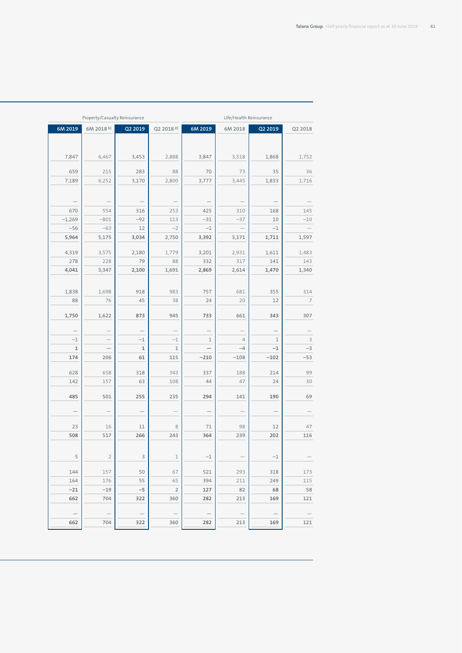|                                 | Property/Casualty Reinsurance   |                                 |                                   | Life/Health Reinsurance         |                                          |                                 |                                          |
|---------------------------------|---------------------------------|---------------------------------|-----------------------------------|---------------------------------|------------------------------------------|---------------------------------|------------------------------------------|
| 6M 2019                         | $6M$ 2018 <sup>1)</sup>         | Q2 2019                         | Q2 2018 <sup>2)</sup>             | 6M 2019                         | 6M 2018                                  | Q2 2019                         | Q2 2018                                  |
|                                 |                                 |                                 |                                   |                                 |                                          |                                 |                                          |
|                                 |                                 |                                 |                                   |                                 |                                          |                                 |                                          |
| 7,847                           | 6,467                           | 3,453                           | 2,888                             | 3,847                           | 3,518                                    | 1,868                           | 1,752                                    |
| 659                             | 215                             | 283                             | 88                                | 70                              | 73                                       | 35                              | 36                                       |
| 7,189                           | 6,252                           | 3,170                           | 2,800                             | 3,777                           | 3,445                                    | 1,833                           | 1,716                                    |
|                                 |                                 |                                 |                                   |                                 |                                          |                                 |                                          |
|                                 |                                 |                                 |                                   |                                 |                                          |                                 |                                          |
| $\overline{\phantom{m}}$        | $\hspace{0.1cm}$                | $\hspace{0.1mm}-\hspace{0.1mm}$ | $\hspace{0.1mm}-\hspace{0.1mm}$   | $\overline{\phantom{m}}$        | $\hspace{0.1mm}-\hspace{0.1mm}$          | $\hspace{0.1mm}-\hspace{0.1mm}$ | $\hspace{0.1mm}-\hspace{0.1mm}$          |
| 670                             | 554                             | 316                             | 253                               | 425                             | 310                                      | 168                             | 145                                      |
| $-1,269$                        | $-801$                          | $-92$<br>12                     | 113<br>$-2$                       | $-31$<br>$-1$                   | $-37$                                    | $10$<br>$-1$                    | $-10$<br>$\hspace{0.1mm}-\hspace{0.1mm}$ |
| $-56$<br>5,964                  | $-63$<br>5,175                  | 3,034                           | 2,750                             | 3,392                           | $\hspace{0.1mm}-\hspace{0.1mm}$<br>3,171 | 1,711                           | 1,597                                    |
|                                 |                                 |                                 |                                   |                                 |                                          |                                 |                                          |
| 4,319                           | 3,575                           | 2,180                           | 1,779                             | 3,201                           | 2,931                                    | 1,611                           | 1,483                                    |
| 278                             | 228                             | 79                              | 88                                | 332                             | 317                                      | 141                             | 143                                      |
| 4,041                           | 3,347                           | 2,100                           | 1,691                             | 2,869                           | 2,614                                    | 1,470                           | 1,340                                    |
|                                 |                                 |                                 |                                   |                                 |                                          |                                 |                                          |
| 1,838                           | 1,698                           | 918                             | 983                               | 757                             | 681                                      | 355                             | 314                                      |
| 88                              | 76                              | 45                              | 38                                | 24                              | 20                                       | 12                              | $\overline{7}$                           |
|                                 |                                 |                                 |                                   |                                 |                                          |                                 |                                          |
| 1,750                           | 1,622                           | 873                             | 945                               | 733                             | 661                                      | 343                             | 307                                      |
| $\hspace{0.1mm}-\hspace{0.1mm}$ | $\hspace{0.1cm}$                | $\hspace{0.1mm}-\hspace{0.1mm}$ | $\hspace{0.1mm}-\hspace{0.1mm}$   | $\hspace{0.1mm}-\hspace{0.1mm}$ | $\hspace{0.1mm}-\hspace{0.1mm}$          | $\hspace{0.1mm}-\hspace{0.1mm}$ | $\hspace{0.1mm}-\hspace{0.1mm}$          |
| $-1$                            | $\hspace{0.1cm}$                | $-1$                            | $-1$                              | $\mathbf{1}$                    | $\overline{4}$                           | $\mathbf{1}$                    |                                          |
| $\mathbf{1}$                    | $\hspace{0.1mm}-\hspace{0.1mm}$ | $\mathbf{1}$                    | $\mathbf{1}$                      | $\overline{\phantom{m}}$        | $-4$                                     | $-1$                            | $-3$                                     |
| 174                             | 206                             | 61                              | 115                               | $-210$                          | $-108$                                   | $-102$                          | $-53$                                    |
|                                 |                                 |                                 | 343                               |                                 |                                          |                                 | 99                                       |
| 628<br>142                      | 658<br>157                      | 318<br>63                       | 108                               | 337<br>44                       | 188<br>47                                | 214<br>24                       | 30                                       |
|                                 |                                 |                                 |                                   |                                 |                                          |                                 |                                          |
| 485                             | 501                             | 255                             | 235                               | 294                             | 141                                      | 190                             | 69                                       |
|                                 |                                 |                                 |                                   |                                 |                                          |                                 |                                          |
| $\overline{\phantom{m}}$        | $\hspace{0.1mm}-\hspace{0.1mm}$ | $\hspace{0.1mm}-\hspace{0.1mm}$ | $\hspace{0.1mm}-\hspace{0.1mm}$   | $\overline{\phantom{m}}$        | $\hspace{0.1mm}-\hspace{0.1mm}$          | $\hspace{0.1mm}-\hspace{0.1mm}$ | $\hspace{0.1mm}-\hspace{0.1mm}$          |
| 23                              | 16                              | 11                              | 8                                 | 71                              | 98                                       | 12                              | 47                                       |
| 508                             | 517                             | 266                             | 243                               | 364                             | 239                                      | 202                             | 116                                      |
|                                 |                                 |                                 |                                   |                                 |                                          |                                 |                                          |
| 5                               | $\overline{2}$                  | $\overline{\mathbf{3}}$         | $\mathbf{1}$                      | $-1$                            | $\hspace{0.1mm}-\hspace{0.1mm}$          | $^{\rm -1}$                     |                                          |
|                                 |                                 |                                 |                                   |                                 |                                          |                                 |                                          |
| 144                             | 157                             | 50                              | 67                                | 521                             | 293                                      | 318                             | 173                                      |
| 164                             | 176                             | 55                              | 65                                | 394                             | 211                                      | 249                             | 115                                      |
| $-21$                           | $-19$                           | $-5$                            | $\overline{2}$                    | 127                             | 82                                       | 68                              |                                          |
| 662                             | 704                             | 322                             | 360                               | 282                             | 213                                      | 169                             | 121                                      |
| $\hspace{0.1mm}-\hspace{0.1mm}$ | $\hspace{0.1cm}$                | $\hspace{0.1mm}-\hspace{0.1mm}$ | $\hspace{0.1mm}$ $\hspace{0.1mm}$ | $\equiv$                        | $\hspace{0.1mm}-\hspace{0.1mm}$          | $\hspace{0.1mm}-\hspace{0.1mm}$ |                                          |
| 662                             | 704                             | 322                             | 360                               | 282                             | 213                                      | 169                             | $\overline{\phantom{0}}$<br>121          |
|                                 |                                 |                                 |                                   |                                 |                                          |                                 |                                          |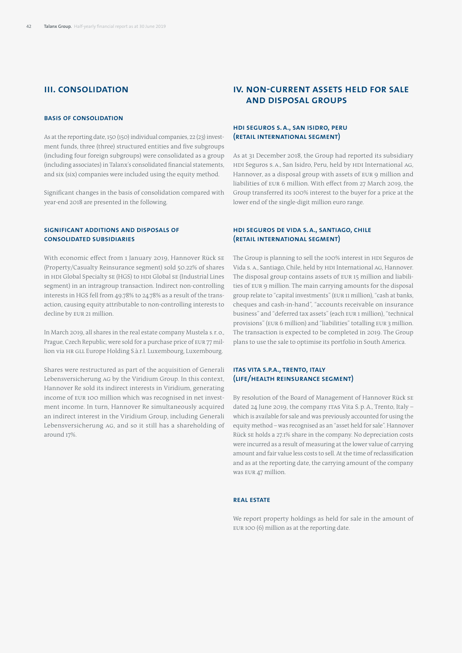# **III. Consolidation**

## **Basis of consolidation**

As at the reporting date, 150 (150) individual companies, 22 (23) investment funds, three (three) structured entities and five subgroups (including four foreign subgroups) were consolidated as a group (including associates) in Talanx's consolidated financial statements, and six (six) companies were included using the equity method.

Significant changes in the basis of consolidation compared with year-end 2018 are presented in the following.

# **Significant additions and disposals of consolidated subsidiaries**

With economic effect from 1 January 2019, Hannover Rück SE (Property/Casualty Reinsurance segment) sold 50.22% of shares in HDI Global Specialty SE (HGS) to HDI Global SE (Industrial Lines segment) in an intragroup transaction. Indirect non-controlling interests in HGS fell from 49.78% to 24.78% as a result of the transaction, causing equity attributable to non-controlling interests to decline by EUR 21 million.

In March 2019, all shares in the real estate company Mustela s.r.o., Prague, Czech Republic, were sold for a purchase price of EUR 77 million via HR GLL Europe Holding S.à.r.l. Luxembourg, Luxembourg.

Shares were restructured as part of the acquisition of Generali Lebensversicherung AG by the Viridium Group. In this context, Hannover Re sold its indirect interests in Viridium, generating income of EUR 100 million which was recognised in net investment income. In turn, Hannover Re simultaneously acquired an indirect interest in the Viridium Group, including Generali Lebensversicherung AG, and so it still has a shareholding of around 17%.

# **IV. Non-current assets held for sale and disposal groups**

# **HDI Seguros S. A., San Isidro, Peru (Retail International segment)**

As at 31 December 2018, the Group had reported its subsidiary HDI Seguros S.A., San Isidro, Peru, held by HDI International AG, Hannover, as a disposal group with assets of EUR 9 million and liabilities of EUR 6 million. With effect from 27 March 2019, the Group transferred its 100% interest to the buyer for a price at the lower end of the single-digit million euro range.

# **HDI Seguros de Vida S. A., Santiago, Chile (Retail International segment)**

The Group is planning to sell the 100% interest in HDI Seguros de Vida S. A., Santiago, Chile, held by HDI International AG, Hannover. The disposal group contains assets of EUR 15 million and liabilities of EUR 9 million. The main carrying amounts for the disposal group relate to "capital investments" (EUR 11 million), "cash at banks, cheques and cash-in-hand", "accounts receivable on insurance business" and "deferred tax assets" (each EUR 1 million), "technical provisions" (EUR 6 million) and "liabilities" totalling EUR 3 million. The transaction is expected to be completed in 2019. The Group plans to use the sale to optimise its portfolio in South America.

# **ITAS Vita S.p.A., Trento, Italy (Life/Health Reinsurance segment)**

By resolution of the Board of Management of Hannover Rück SE dated 24 June 2019, the company ITAS Vita S.p.A., Trento, Italy – which is available for sale and was previously accounted for using the equity method – was recognised as an "asset held for sale". Hannover Rück SE holds a 27.1% share in the company. No depreciation costs were incurred as a result of measuring at the lower value of carrying amount and fair value less costs to sell. At the time of reclassification and as at the reporting date, the carrying amount of the company was EUR 47 million.

#### **Real estate**

We report property holdings as held for sale in the amount of EUR 100 (6) million as at the reporting date.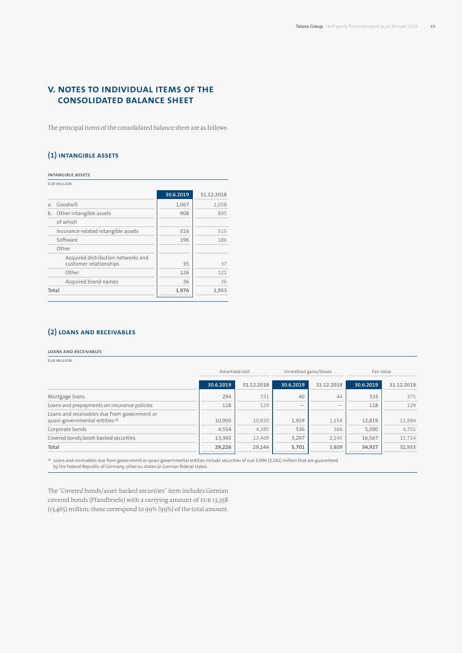# **V. Notes to individual items of the consolidated balance sheet**

The principal items of the consolidated balance sheet are as follows:

# **(1) Intangible assets**

**Intangible assets**

|       | <b>EUR MILLION</b>                                           |           |            |
|-------|--------------------------------------------------------------|-----------|------------|
|       |                                                              | 30.6.2019 | 31.12.2018 |
| a.    | Goodwill                                                     | 1,067     | 1,058      |
| b.    | Other intangible assets                                      | 908       | 895        |
|       | of which                                                     |           |            |
|       | Insurance-related intangible assets                          | 516       | 515        |
|       | Software                                                     | 196       | 186        |
|       | Other                                                        |           |            |
|       | Acquired distribution networks and<br>customer relationships | 35        | 37         |
|       | Other                                                        | 126       | 121        |
|       | Acquired brand names                                         | 36        | 36         |
| Total |                                                              | 1,976     | 1,953      |
|       |                                                              |           |            |

# **(2) Loans and receivables**

#### **Loans and receivables**

EUR million

|                                                                                           | Amortised cost |            | Unrealised gains/losses |                          | Fair value |            |  |
|-------------------------------------------------------------------------------------------|----------------|------------|-------------------------|--------------------------|------------|------------|--|
|                                                                                           | 30.6.2019      | 31.12.2018 | 30.6.2019               | 31.12.2018               | 30.6.2019  | 31.12.2018 |  |
| Mortgage loans                                                                            | 294            | 331        | 40                      | 44                       | 333        | 375        |  |
| Loans and prepayments on insurance policies                                               | 118            | 129        |                         | $\overline{\phantom{a}}$ | 118        | 129        |  |
| Loans and receivables due from government or<br>quasi-governmental entities <sup>1)</sup> | 10.900         | 10,830     | 1,919                   | 1,154                    | 12,819     | 11,984     |  |
| Corporate bonds                                                                           | 4,554          | 4,385      | 536                     | 366                      | 5,090      | 4,751      |  |
| Covered bonds/asset-backed securities                                                     | 13,360         | 13,469     | 3,207                   | 2,245                    | 16,567     | 15,714     |  |
| Total                                                                                     | 29,226         | 29,144     | 5,701                   | 3,809                    | 34,927     | 32,953     |  |

1) Loans and receivables due from government or quasi-governmental entities include securities of EUR 3,096 (3,161) million that are guaranteed by the Federal Republic of Germany, other EU states or German federal states.

The "Covered bonds/asset-backed securities" item includes German covered bonds (Pfandbriefe) with a carrying amount of EUR 13,358 (13,465) million; these correspond to 99% (99%) of the total amount.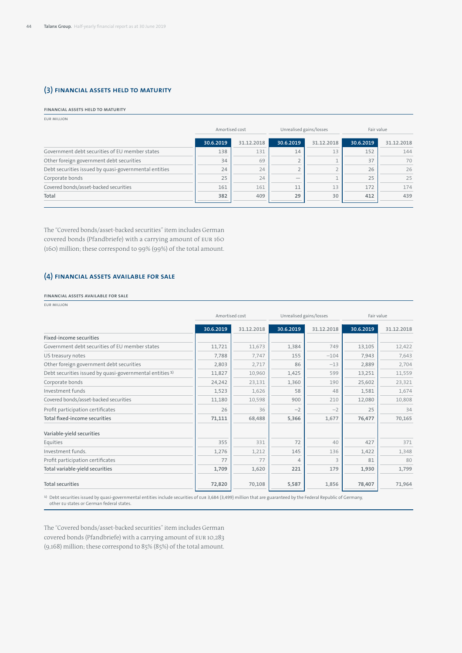# **(3) Financial assets held to maturity**

### **Financial assets held to maturity**

| <b>FUR MILLION</b> |  |
|--------------------|--|
|--------------------|--|

|                                                       | Amortised cost |            | Unrealised gains/losses |            | Fair value |            |
|-------------------------------------------------------|----------------|------------|-------------------------|------------|------------|------------|
|                                                       | 30.6.2019      | 31.12.2018 | 30.6.2019               | 31.12.2018 | 30.6.2019  | 31.12.2018 |
| Government debt securities of EU member states        | 138            | 131        | 14                      | 13         | 152        | 144        |
| Other foreign government debt securities              | 34             | 69         |                         |            | 37         | 70         |
| Debt securities issued by quasi-governmental entities | 24             | 24         |                         |            | 26         | 26         |
| Corporate bonds                                       | 25             | 24         |                         |            | 25         | 25         |
| Covered bonds/asset-backed securities                 | 161            | 161        | 11                      | 13         | 172        | 174        |
| Total                                                 | 382            | 409        | 29                      | 30         | 412        | 439        |

The "Covered bonds/asset-backed securities" item includes German covered bonds (Pfandbriefe) with a carrying amount of EUR 160 (160) million; these correspond to 99% (99%) of the total amount.

# **(4) Financial assets available for sale**

#### **Financial assets available for sale**

EUR million

|                                                                     |           | Amortised cost |           | Unrealised gains/losses  | Fair value |            |  |
|---------------------------------------------------------------------|-----------|----------------|-----------|--------------------------|------------|------------|--|
|                                                                     | 30.6.2019 | 31.12.2018     | 30.6.2019 | 31.12.2018               | 30.6.2019  | 31.12.2018 |  |
| <b>Fixed-income securities</b>                                      |           |                |           |                          |            |            |  |
| Government debt securities of EU member states                      | 11,721    | 11,673         | 1,384     | 749                      | 13,105     | 12,422     |  |
| US treasury notes                                                   | 7,788     | 7,747          | 155       | $-104$                   | 7,943      | 7,643      |  |
| Other foreign government debt securities                            | 2,803     | 2,717          | 86        | $-13$                    | 2,889      | 2,704      |  |
| Debt securities issued by quasi-governmental entities <sup>1)</sup> | 11,827    | 10,960         | 1,425     | 599                      | 13,251     | 11,559     |  |
| Corporate bonds                                                     | 24,242    | 23,131         | 1,360     | 190                      | 25,602     | 23,321     |  |
| Investment funds                                                    | 1,523     | 1,626          | 58        | 48                       | 1,581      | 1,674      |  |
| Covered bonds/asset-backed securities                               | 11,180    | 10,598         | 900       | 210                      | 12,080     | 10,808     |  |
| Profit participation certificates                                   | 26        | 36             | $-2$      | $-2$                     | 25         | 34         |  |
| <b>Total fixed-income securities</b>                                | 71,111    | 68,488         | 5,366     | 1,677                    | 76,477     | 70,165     |  |
| Variable-yield securities                                           |           |                |           |                          |            |            |  |
| Equities                                                            | 355       | 331            | 72        | 40                       | 427        | 371        |  |
| Investment funds.                                                   | 1,276     | 1,212          | 145       | 136                      | 1,422      | 1,348      |  |
| Profit participation certificates                                   | 77        | 77             | $\Delta$  | $\overline{\mathcal{L}}$ | 81         | 80         |  |
| Total variable-yield securities                                     | 1,709     | 1,620          | 221       | 179                      | 1,930      | 1,799      |  |
| <b>Total securities</b>                                             | 72,820    | 70,108         | 5,587     | 1,856                    | 78,407     | 71,964     |  |

1) Debt securities issued by quasi-governmental entities include securities of EUR 3,684 (3,499) million that are guaranteed by the Federal Republic of Germany, other EU states or German federal states.

The "Covered bonds/asset-backed securities" item includes German covered bonds (Pfandbriefe) with a carrying amount of EUR 10,283 (9,168) million; these correspond to 85% (85%) of the total amount.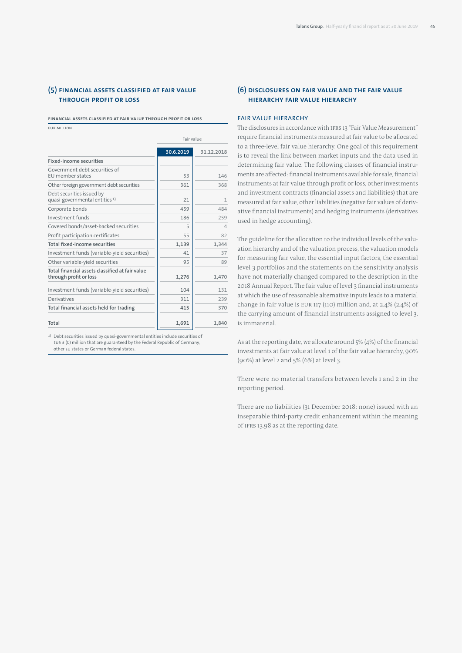# **(5) Financial assets classified at fair value through profit or loss**

**Financial assets classified at fair value through profit or loss**

EUR million

|                                                                           | Fair value |            |
|---------------------------------------------------------------------------|------------|------------|
|                                                                           | 30.6.2019  | 31.12.2018 |
| Fixed-income securities                                                   |            |            |
| Government debt securities of<br>EU member states                         | 53         | 146        |
| Other foreign government debt securities                                  | 361        | 368        |
| Debt securities issued by<br>quasi-governmental entities <sup>1)</sup>    | 21         | 1          |
| Corporate bonds                                                           | 459        | 484        |
| Investment funds                                                          | 186        | 259        |
| Covered bonds/asset-backed securities                                     | 5          | 4          |
| Profit participation certificates                                         | 55         | 82         |
| Total fixed-income securities                                             | 1,139      | 1,344      |
| Investment funds (variable-yield securities)                              | 41         | 37         |
| Other variable-yield securities                                           | 95         | 89         |
| Total financial assets classified at fair value<br>through profit or loss | 1,276      | 1.470      |
| Investment funds (variable-yield securities)                              | 104        | 131        |
| Derivatives                                                               | 311        | 239        |
| Total financial assets held for trading                                   | 415        | 370        |
| Total                                                                     | 1,691      | 1,840      |

1) Debt securities issued by quasi-governmental entities include securities of EUR 3 (0) million that are guaranteed by the Federal Republic of Germany, other EU states or German federal states.

# **(6) Disclosures on fair value and the fair value hierarchy Fair value hierarchy**

### FAIR VALUE HIERARCHY

The disclosures in accordance with IFRS 13 "Fair Value Measurement" require financial instruments measured at fair value to be allocated to a three-level fair value hierarchy. One goal of this requirement is to reveal the link between market inputs and the data used in determining fair value. The following classes of financial instruments are affected: financial instruments available for sale, financial instruments at fair value through profit or loss, other investments and investment contracts (financial assets and liabilities) that are measured at fair value, other liabilities (negative fair values of derivative financial instruments) and hedging instruments (derivatives used in hedge accounting).

The guideline for the allocation to the individual levels of the valuation hierarchy and of the valuation process, the valuation models for measuring fair value, the essential input factors, the essential level 3 portfolios and the statements on the sensitivity analysis have not materially changed compared to the description in the 2018 Annual Report. The fair value of level 3 financial instruments at which the use of reasonable alternative inputs leads to a material change in fair value is EUR 117 (110) million and, at 2.4% (2.4%) of the carrying amount of financial instruments assigned to level 3, is immaterial.

As at the reporting date, we allocate around 5% (4%) of the financial investments at fair value at level 1 of the fair value hierarchy, 90% (90%) at level 2 and 5% (6%) at level 3.

There were no material transfers between levels 1 and 2 in the reporting period.

There are no liabilities (31 December 2018: none) issued with an inseparable third-party credit enhancement within the meaning of IFRS 13.98 as at the reporting date.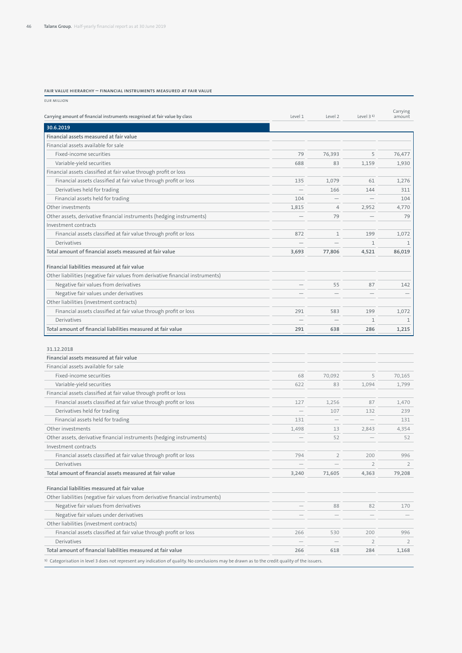#### **Fair value hierarchy – financial instruments measured at fair value**

| <b>EUR MILLION</b>                                                                                                                                         |                          |                          |                |                    |
|------------------------------------------------------------------------------------------------------------------------------------------------------------|--------------------------|--------------------------|----------------|--------------------|
| Carrying amount of financial instruments recognised at fair value by class                                                                                 | Level 1                  | Level 2                  | Level $31$     | Carrying<br>amount |
| 30.6.2019                                                                                                                                                  |                          |                          |                |                    |
| Financial assets measured at fair value                                                                                                                    |                          |                          |                |                    |
| Financial assets available for sale                                                                                                                        |                          |                          |                |                    |
| Fixed-income securities                                                                                                                                    | 79                       | 76,393                   | 5              | 76,477             |
| Variable-yield securities                                                                                                                                  | 688                      | 83                       | 1,159          | 1,930              |
| Financial assets classified at fair value through profit or loss                                                                                           |                          |                          |                |                    |
| Financial assets classified at fair value through profit or loss                                                                                           | 135                      | 1,079                    | 61             | 1,276              |
| Derivatives held for trading                                                                                                                               |                          | 166                      | 144            | 311                |
| Financial assets held for trading                                                                                                                          | 104                      |                          |                | 104                |
| Other investments                                                                                                                                          | 1,815                    | $\overline{4}$           | 2,952          | 4,770              |
| Other assets, derivative financial instruments (hedging instruments)                                                                                       |                          | 79                       |                | 79                 |
| Investment contracts                                                                                                                                       |                          |                          |                |                    |
| Financial assets classified at fair value through profit or loss                                                                                           | 872                      | $\mathbf 1$              | 199            | 1,072              |
| Derivatives                                                                                                                                                |                          |                          | $\mathbf{1}$   | 1                  |
| Total amount of financial assets measured at fair value                                                                                                    | 3,693                    | 77,806                   | 4,521          | 86,019             |
| Financial liabilities measured at fair value                                                                                                               |                          |                          |                |                    |
| Other liabilities (negative fair values from derivative financial instruments)                                                                             |                          |                          |                |                    |
| Negative fair values from derivatives                                                                                                                      | $\overline{\phantom{0}}$ | 55                       | 87             | 142                |
| Negative fair values under derivatives                                                                                                                     |                          |                          |                |                    |
| Other liabilities (investment contracts)                                                                                                                   |                          |                          |                |                    |
| Financial assets classified at fair value through profit or loss                                                                                           | 291                      | 583                      | 199            | 1,072              |
| Derivatives                                                                                                                                                |                          | $\overline{\phantom{0}}$ | $\mathbf{1}$   | $\mathbf{1}$       |
| Total amount of financial liabilities measured at fair value                                                                                               | 291                      | 638                      | 286            | 1,215              |
| 31.12.2018<br>Financial assets measured at fair value                                                                                                      |                          |                          |                |                    |
| Financial assets available for sale                                                                                                                        |                          |                          |                |                    |
| Fixed-income securities                                                                                                                                    | 68                       | 70,092                   | 5              | 70,165             |
| Variable-yield securities                                                                                                                                  | 622                      | 83                       | 1,094          | 1,799              |
| Financial assets classified at fair value through profit or loss                                                                                           |                          |                          |                |                    |
| Financial assets classified at fair value through profit or loss                                                                                           | 127                      | 1,256                    | 87             | 1,470              |
| Derivatives held for trading                                                                                                                               |                          | 107                      | 132            | 239                |
| Financial assets held for trading                                                                                                                          | 131                      |                          |                | 131                |
| Other investments                                                                                                                                          | 1,498                    | 13                       | 2,843          | 4,354              |
| Other assets, derivative financial instruments (hedging instruments)                                                                                       |                          | 52                       |                | 52                 |
| Investment contracts                                                                                                                                       |                          |                          |                |                    |
| Financial assets classified at fair value through profit or loss                                                                                           | 794                      | $\overline{2}$           | 200            | 996                |
| Derivatives                                                                                                                                                |                          |                          | $\overline{2}$ | $\overline{2}$     |
| Total amount of financial assets measured at fair value                                                                                                    | 3,240                    | 71,605                   | 4,363          | 79,208             |
| Financial liabilities measured at fair value                                                                                                               |                          |                          |                |                    |
| Other liabilities (negative fair values from derivative financial instruments)                                                                             |                          |                          |                |                    |
| Negative fair values from derivatives                                                                                                                      |                          | 88                       | 82             | 170                |
| Negative fair values under derivatives                                                                                                                     |                          |                          |                |                    |
| Other liabilities (investment contracts)                                                                                                                   |                          |                          |                |                    |
| Financial assets classified at fair value through profit or loss                                                                                           | 266                      | 530                      | 200            | 996                |
| Derivatives                                                                                                                                                |                          |                          | $\overline{2}$ | $\overline{2}$     |
| Total amount of financial liabilities measured at fair value                                                                                               | 266                      | 618                      | 284            | 1,168              |
| <sup>1)</sup> Categorisation in level 3 does not represent any indication of quality. No conclusions may be drawn as to the credit quality of the issuers. |                          |                          |                |                    |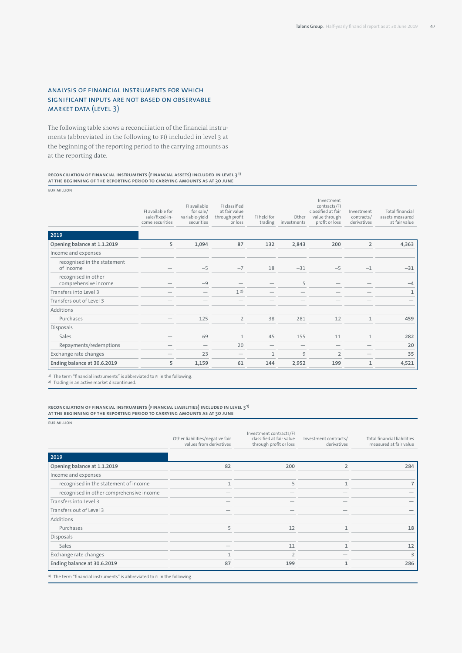# Analysis of financial instruments for which significant inputs are not based on observable market data (level 3)

The following table shows a reconciliation of the financial instruments (abbreviated in the following to FI) included in level 3 at the beginning of the reporting period to the carrying amounts as at the reporting date.

#### **Reconciliation of financial instruments (financial assets) included in level 3 1) at the beginning of the reporting period to carrying amounts as at 30 June**

EUR million

|                                             | FI available for<br>sale/fixed-in-<br>come securities | FI available<br>for sale/<br>variable-yield<br>securities | FL classified<br>at fair value<br>through profit<br>or loss | FI held for<br>trading | Other<br>investments | Investment<br>contracts/FI<br>classified at fair<br>value through<br>profit or loss | Investment<br>contracts/<br>derivatives | Total financial<br>assets measured<br>at fair value |
|---------------------------------------------|-------------------------------------------------------|-----------------------------------------------------------|-------------------------------------------------------------|------------------------|----------------------|-------------------------------------------------------------------------------------|-----------------------------------------|-----------------------------------------------------|
| 2019                                        |                                                       |                                                           |                                                             |                        |                      |                                                                                     |                                         |                                                     |
| Opening balance at 1.1.2019                 | 5                                                     | 1,094                                                     | 87                                                          | 132                    | 2,843                | 200                                                                                 | $\overline{2}$                          | 4,363                                               |
| Income and expenses                         |                                                       |                                                           |                                                             |                        |                      |                                                                                     |                                         |                                                     |
| recognised in the statement<br>of income    |                                                       | $-5$                                                      | $-7$                                                        | 18                     | $-31$                | $-5$                                                                                | $-1$                                    | $-31$                                               |
| recognised in other<br>comprehensive income |                                                       | $-9$                                                      |                                                             |                        | 5                    |                                                                                     |                                         | $-4$                                                |
| Transfers into Level 3                      |                                                       |                                                           | 1 <sup>2</sup>                                              |                        |                      |                                                                                     |                                         | 1                                                   |
| Transfers out of Level 3                    |                                                       |                                                           |                                                             |                        |                      |                                                                                     |                                         |                                                     |
| Additions                                   |                                                       |                                                           |                                                             |                        |                      |                                                                                     |                                         |                                                     |
| Purchases                                   |                                                       | 125                                                       | $\overline{2}$                                              | 38                     | 281                  | 12                                                                                  | $\mathbf{1}$                            | 459                                                 |
| Disposals                                   |                                                       |                                                           |                                                             |                        |                      |                                                                                     |                                         |                                                     |
| Sales                                       |                                                       | 69                                                        | 1                                                           | 45                     | 155                  | 11                                                                                  | $\mathbf{1}$                            | 282                                                 |
| Repayments/redemptions                      |                                                       |                                                           | 20                                                          |                        |                      |                                                                                     |                                         | 20                                                  |
| Exchange rate changes                       |                                                       | 23                                                        |                                                             | $\mathbf{1}$           | 9                    | $\overline{2}$                                                                      |                                         | 35                                                  |
| Ending balance at 30.6.2019                 | 5                                                     | 1,159                                                     | 61                                                          | 144                    | 2,952                | 199                                                                                 | $\mathbf{1}$                            | 4,521                                               |

1) The term "financial instruments" is abbreviated to FI in the following.

2) Trading in an active market discontinued.

#### **Reconciliation of financial instruments (financial liabilities) included in level 3 1) at the beginning of the reporting period to carrying amounts as at 30 June**

EUR million

|                                          | Other liabilities/negative fair<br>values from derivatives | Investment contracts/FI<br>classified at fair value<br>through profit or loss | Investment contracts/<br>derivatives | <b>Total financial liabilities</b><br>measured at fair value |
|------------------------------------------|------------------------------------------------------------|-------------------------------------------------------------------------------|--------------------------------------|--------------------------------------------------------------|
| 2019                                     |                                                            |                                                                               |                                      |                                                              |
| Opening balance at 1.1.2019              | 82                                                         | 200                                                                           | $\overline{2}$                       | 284                                                          |
| Income and expenses                      |                                                            |                                                                               |                                      |                                                              |
| recognised in the statement of income    | 1                                                          | 5                                                                             |                                      |                                                              |
| recognised in other comprehensive income |                                                            |                                                                               |                                      |                                                              |
| Transfers into Level 3                   |                                                            |                                                                               |                                      |                                                              |
| Transfers out of Level 3                 |                                                            |                                                                               |                                      |                                                              |
| Additions                                |                                                            |                                                                               |                                      |                                                              |
| Purchases                                | 5                                                          | 12                                                                            |                                      | 18                                                           |
| Disposals                                |                                                            |                                                                               |                                      |                                                              |
| Sales                                    |                                                            | 11                                                                            |                                      | 12                                                           |
| Exchange rate changes                    | л                                                          | $\overline{\phantom{0}}$                                                      |                                      | ξ                                                            |
| Ending balance at 30.6.2019              | 87                                                         | 199                                                                           |                                      | 286                                                          |

<sup>1)</sup> The term "financial instruments" is abbreviated to FI in the following.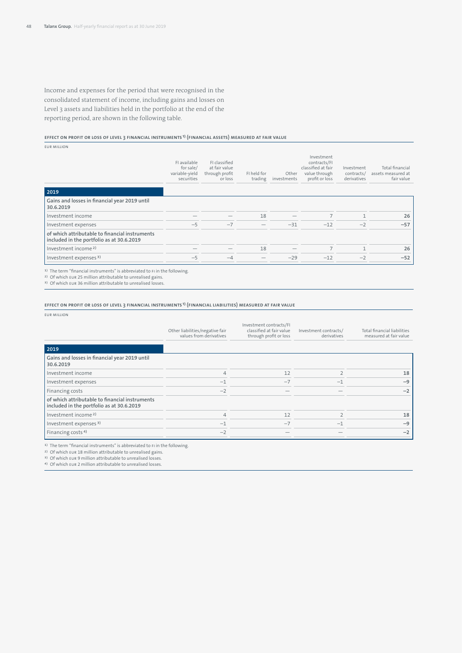Income and expenses for the period that were recognised in the consolidated statement of income, including gains and losses on Level 3 assets and liabilities held in the portfolio at the end of the reporting period, are shown in the following table.

### **Effect on profit or loss of Level 3 financial instruments 1) (financial assets) measured at fair value**

EUR million

| 2019                                                                                                                                                                                                                                              | FI available<br>for sale/<br>variable-yield<br>securities | FI classified<br>at fair value<br>through profit<br>or loss | FI held for<br>trading | Other<br>investments | Investment<br>contracts/FI<br>classified at fair<br>value through<br>profit or loss | Investment<br>contracts/<br>derivatives | Total financial<br>assets measured at<br>fair value |
|---------------------------------------------------------------------------------------------------------------------------------------------------------------------------------------------------------------------------------------------------|-----------------------------------------------------------|-------------------------------------------------------------|------------------------|----------------------|-------------------------------------------------------------------------------------|-----------------------------------------|-----------------------------------------------------|
| Gains and losses in financial year 2019 until<br>30.6.2019                                                                                                                                                                                        |                                                           |                                                             |                        |                      |                                                                                     |                                         |                                                     |
| Investment income                                                                                                                                                                                                                                 |                                                           |                                                             | 18                     |                      |                                                                                     |                                         | 26                                                  |
| Investment expenses                                                                                                                                                                                                                               | $-5$                                                      | $-7$                                                        |                        | $-31$                | $-12$                                                                               | $-2$                                    | $-57$                                               |
| of which attributable to financial instruments<br>included in the portfolio as at 30.6.2019                                                                                                                                                       |                                                           |                                                             |                        |                      |                                                                                     |                                         |                                                     |
| Investment income <sup>2)</sup>                                                                                                                                                                                                                   |                                                           |                                                             | 18                     |                      |                                                                                     |                                         | 26                                                  |
| Investment expenses <sup>3)</sup>                                                                                                                                                                                                                 | $-5$                                                      | $-4$                                                        |                        | $-29$                | $-12$                                                                               | $-2$                                    | $-52$                                               |
| $\mathbf{A} \mathbf{A} = \mathbf{B} \mathbf{A}$ . The contract of the contract of the contract of the contract of the contract of the contract of the contract of the contract of the contract of the contract of the contract of the contract of |                                                           |                                                             |                        |                      |                                                                                     |                                         |                                                     |

1) The term "financial instruments" is abbreviated to FI in the following. 2) Of which EUR 25 million attributable to unrealised gains.

3) Of which EUR 36 million attributable to unrealised losses.

#### **Effect on profit or loss of Level 3 financial instruments 1) (financial liabilities) measured at fair value**

EUR million

|                                                                                             | Other liabilities/negative fair<br>values from derivatives | Investment contracts/FI<br>classified at fair value<br>through profit or loss | Investment contracts/<br>derivatives | <b>Total financial liabilities</b><br>measured at fair value |
|---------------------------------------------------------------------------------------------|------------------------------------------------------------|-------------------------------------------------------------------------------|--------------------------------------|--------------------------------------------------------------|
| 2019                                                                                        |                                                            |                                                                               |                                      |                                                              |
| Gains and losses in financial year 2019 until<br>30.6.2019                                  |                                                            |                                                                               |                                      |                                                              |
| Investment income                                                                           | 4                                                          | 12                                                                            |                                      | 18                                                           |
| Investment expenses                                                                         | $-1$                                                       | $-7$                                                                          | $-1$                                 | $-9$                                                         |
| Financing costs                                                                             | $-2$                                                       |                                                                               |                                      | $-2$                                                         |
| of which attributable to financial instruments<br>included in the portfolio as at 30.6.2019 |                                                            |                                                                               |                                      |                                                              |
| Investment income <sup>2)</sup>                                                             | 4                                                          | 12                                                                            |                                      | 18                                                           |
| Investment expenses <sup>3)</sup>                                                           | $-1$                                                       | $-7$                                                                          |                                      | $-9$                                                         |
| Financing costs <sup>4)</sup>                                                               | $-2$                                                       |                                                                               |                                      | $-2$                                                         |

1) The term "financial instruments" is abbreviated to FI in the following.

2) Of which EUR 18 million attributable to unrealised gains.

3) Of which EUR 9 million attributable to unrealised losses. 4) Of which EUR 2 million attributable to unrealised losses.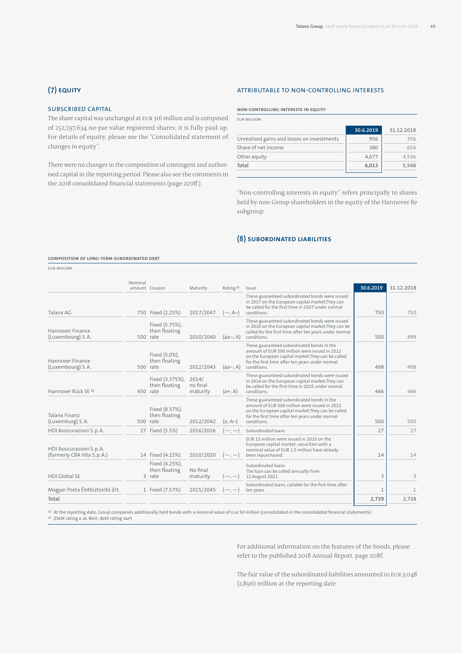# **(7) Equity**

# Subscribed capital

The share capital was unchanged at EUR 316 million and is composed of 252,797,634 no-par value registered shares; it is fully paid up. For details of equity, please see the "Consolidated statement of changes in equity".

There were no changes in the composition of contingent and authorised capital in the reporting period. Please also see the comments in the 2018 consolidated financial statements (page 207ff.).

# Attributable to non-controlling interests

### **Non-controlling interests in equity**

EUR million

|                                            | 30.6.2019 | 31.12.2018 |
|--------------------------------------------|-----------|------------|
| Unrealised gains and losses on investments | 956       | 356        |
| Share of net income                        | 380       | 656        |
| Other equity                               | 4,677     | 4.536      |
| Total                                      | 6.013     | 5.548      |

"Non-controlling interests in equity" refers principally to shares held by non-Group shareholders in the equity of the Hannover Re subgroup.

# **(8) Subordinated liabilities**

#### **Composition of long-term subordinated debt**

EUR million

|                                                            | Nominal | amount Coupon                                | Maturity                      | Rating <sup>2)</sup> | Issue                                                                                                                                                                                                               | 30.6.2019    | 31.12.2018   |
|------------------------------------------------------------|---------|----------------------------------------------|-------------------------------|----------------------|---------------------------------------------------------------------------------------------------------------------------------------------------------------------------------------------------------------------|--------------|--------------|
| Talanx AG                                                  |         | 750 Fixed (2.25%)                            | 2017/2047                     | $(-; A-)$            | These guaranteed subordinated bonds were issued<br>in 2017 on the European capital market. They can<br>be called for the first time in 2027 under normal<br>conditions.                                             | 750          | 750          |
| Hannover Finance<br>(Luxembourg) S.A.                      |         | Fixed (5.75%),<br>then floating<br>500 rate  | 2010/2040                     | $(aa-; A)$           | These guaranteed subordinated bonds were issued<br>in 2010 on the European capital market. They can be<br>called for the first time after ten years under normal<br>conditions.                                     | 500          | 499          |
| Hannover Finance<br>(Luxembourg) S.A.                      |         | Fixed (5.0%),<br>then floating<br>500 rate   | 2012/2043                     | $(aa-; A)$           | These guaranteed subordinated bonds in the<br>amount of EUR 500 million were issued in 2012<br>on the European capital market. They can be called<br>for the first time after ten years under normal<br>conditions. | 498          | 498          |
| Hannover Rück SE <sup>1)</sup>                             |         | Fixed (3.375%),<br>then floating<br>450 rate | 2014/<br>no final<br>maturity | $(a+; A)$            | These guaranteed subordinated bonds were issued<br>in 2014 on the European capital market. They can<br>be called for the first time in 2025 under normal<br>conditions.                                             | 446          | 446          |
| <b>Talanx Finanz</b><br>(Luxemburg) S.A.                   |         | Fixed (8.37%),<br>then floating<br>500 rate  | 2012/2042                     | $(a; A-)$            | These guaranteed subordinated bonds in the<br>amount of EUR 500 million were issued in 2012<br>on the European capital market. They can be called<br>for the first time after ten years under normal<br>conditions. | 500          | 500          |
| HDI Assicurazioni S. p. A.                                 |         | 27 Fixed (5.5%)                              | 2016/2026                     | $(-, -)$             | Subordinated loans                                                                                                                                                                                                  | 27           | 27           |
| HDI Assicurazioni S. p. A.<br>(formerly CBA Vita S. p. A.) |         | 14 Fixed (4.15%)                             | 2010/2020                     | $(-, -)$             | FUR 15 million were issued in 2010 on the<br>European capital market; securities with a<br>nominal value of EUR 1.5 million have already<br>been repurchased.                                                       | 14           | 14           |
| <b>HDI Global SE</b>                                       |         | Fixed (4.25%),<br>then floating<br>3 rate    | No final<br>maturity          | $(-, -)$             | Subordinated loans<br>The loan can be called annually from<br>12 August 2021.                                                                                                                                       | 3            | 3            |
| Magyar Posta Életbiztosító Zrt.                            |         | 1 Fixed (7.57%)                              | 2015/2045                     | $(-, -)$             | Subordinated loans, callable for the first time after<br>ten years.                                                                                                                                                 | $\mathbf{1}$ | $\mathbf{1}$ |
| Total                                                      |         |                                              |                               |                      |                                                                                                                                                                                                                     | 2,739        | 2,738        |

<sup>1)</sup> At the reporting date, Group companies additionally held bonds with a nominal value of EUR 50 million (consolidated in the consolidated financial statements).<br><sup>2)</sup> (Debt rating A. M. Best; debt rating s&P)

For additional information on the features of the bonds, please refer to the published 2018 Annual Report, page 208f.

The fair value of the subordinated liabilities amounted to EUR 3,048 (2,896) million at the reporting date.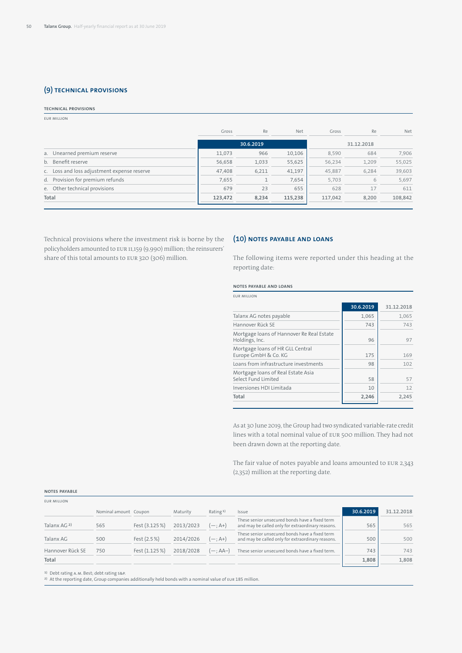# **(9) Technical provisions**

#### **Technical provisions**

EUR million

| Gross   | Re    | <b>Net</b> | Gross   | Re    | <b>Net</b> |
|---------|-------|------------|---------|-------|------------|
|         |       |            |         |       |            |
| 11,073  | 966   | 10,106     | 8,590   | 684   | 7.906      |
| 56,658  | 1,033 | 55,625     | 56,234  | 1,209 | 55,025     |
| 47,408  | 6,211 | 41,197     | 45,887  | 6.284 | 39,603     |
| 7,655   |       | 7,654      | 5,703   | 6     | 5,697      |
| 679     | 23    | 655        | 628     | 17    | 611        |
| 123,472 | 8.234 | 115,238    | 117.042 | 8.200 | 108,842    |
|         |       | 30.6.2019  |         |       | 31.12.2018 |

Technical provisions where the investment risk is borne by the policyholders amounted to EUR 11,159 (9,990) million; the reinsurers' share of this total amounts to EUR 320 (306) million.

# **(10) Notes payable and loans**

The following items were reported under this heading at the reporting date:

# **Notes payable and loans**

| 30.6.2019<br>1,065 | 31.12.2018 |
|--------------------|------------|
|                    |            |
|                    | 1,065      |
| 743                | 743        |
| 96                 | 97         |
| 175                | 169        |
| 98                 | 102        |
| 58                 | 57         |
| 10                 | 12         |
|                    | 2,245      |
|                    | 2,246      |

As at 30 June 2019, the Group had two syndicated variable-rate credit lines with a total nominal value of EUR 500 million. They had not been drawn down at the reporting date.

The fair value of notes payable and loans amounted to EUR 2,343 (2,352) million at the reporting date.

| <b>EUR MILLION</b>     |                       |                |           |                     |                                                                                                     |           |            |
|------------------------|-----------------------|----------------|-----------|---------------------|-----------------------------------------------------------------------------------------------------|-----------|------------|
|                        | Nominal amount Coupon |                | Maturity  | Rating <sup>1</sup> | <i>Issue</i>                                                                                        | 30.6.2019 | 31.12.2018 |
| Talanx AG <sup>2</sup> | 565                   | Fest (3.125%)  | 2013/2023 | $(-; A+)$           | These senior unsecured bonds have a fixed term<br>and may be called only for extraordinary reasons. | 565       | 565        |
| Talanx AG              | 500                   | Fest $(2.5\%)$ | 2014/2026 | $(-; A+)$           | These senior unsecured bonds have a fixed term<br>and may be called only for extraordinary reasons. | 500       | 500        |
| Hannover Rück SE       | 750                   | Fest (1.125%)  | 2018/2028 | (--: AA-)           | These senior unsecured bonds have a fixed term.                                                     | 743       | 743        |
| Total                  |                       |                |           |                     |                                                                                                     | 1,808     | 1,808      |
|                        |                       |                |           |                     |                                                                                                     |           |            |

1) Debt rating A. M. Best; debt rating S&P.

<sup>2)</sup> At the reporting date, Group companies additionally held bonds with a nominal value of EUR 185 million.

#### **Notes payable**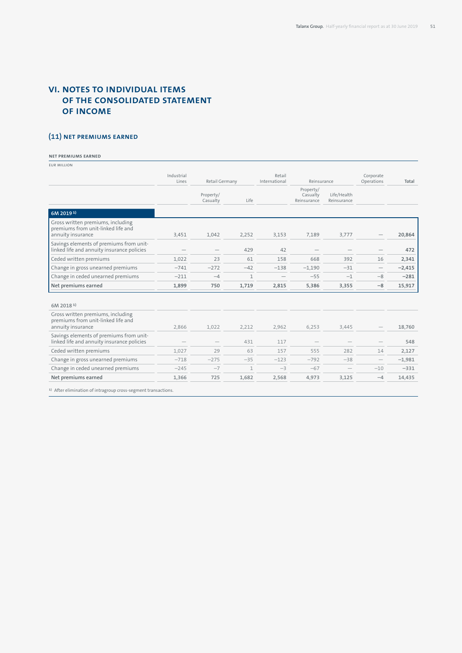# **VI. Notes to individual items of the consolidated statement of income**

# **(11) Net premiums earned**

# **Net premiums earned**

EUR million

|                                                                                              | Industrial<br>Lines | Retail Germany        |              | Retail<br>International | Reinsurance                          |                            | Corporate<br>Operations  | Total    |
|----------------------------------------------------------------------------------------------|---------------------|-----------------------|--------------|-------------------------|--------------------------------------|----------------------------|--------------------------|----------|
|                                                                                              |                     | Property/<br>Casualty | Life         |                         | Property/<br>Casualty<br>Reinsurance | Life/Health<br>Reinsurance |                          |          |
| 6M 2019 <sup>1</sup>                                                                         |                     |                       |              |                         |                                      |                            |                          |          |
| Gross written premiums, including<br>premiums from unit-linked life and<br>annuity insurance | 3,451               | 1,042                 | 2,252        | 3,153                   | 7,189                                | 3,777                      |                          | 20,864   |
| Savings elements of premiums from unit-<br>linked life and annuity insurance policies        |                     |                       | 429          | 42                      |                                      |                            |                          | 472      |
| Ceded written premiums                                                                       | 1,022               | 23                    | 61           | 158                     | 668                                  | 392                        | 16                       | 2,341    |
| Change in gross unearned premiums                                                            | $-741$              | $-272$                | $-42$        | $-138$                  | $-1,190$                             | $-31$                      | $\overline{\phantom{m}}$ | $-2,415$ |
| Change in ceded unearned premiums                                                            | $-211$              | $-4$                  | $\mathbf{1}$ |                         | $-55$                                | $-1$                       | $-8$                     | $-281$   |
| Net premiums earned                                                                          | 1,899               | 750                   | 1,719        | 2,815                   | 5,386                                | 3,355                      | $-8$                     | 15,917   |
| 6M 2018 <sup>1</sup>                                                                         |                     |                       |              |                         |                                      |                            |                          |          |
| Gross written premiums, including<br>premiums from unit-linked life and<br>annuity insurance | 2,866               | 1,022                 | 2,212        | 2,962                   | 6,253                                | 3,445                      |                          | 18,760   |
| Savings elements of premiums from unit-<br>linked life and annuity insurance policies        |                     |                       | 431          | 117                     |                                      |                            |                          | 548      |
| Ceded written premiums                                                                       | 1,027               | 29                    | 63           | 157                     | 555                                  | 282                        | 14                       | 2,127    |
| Change in gross unearned premiums                                                            | $-718$              | $-275$                | $-35$        | $-123$                  | $-792$                               | $-38$                      |                          | $-1,981$ |
| Change in ceded unearned premiums                                                            | $-245$              | $-7$                  | $\mathbf{1}$ | $-3$                    | $-67$                                |                            | $-10$                    | $-331$   |
| Net premiums earned                                                                          | 1,366               | 725                   | 1,682        | 2,568                   | 4,973                                | 3,125                      | $-4$                     | 14,435   |

1) After elimination of intragroup cross-segment transactions.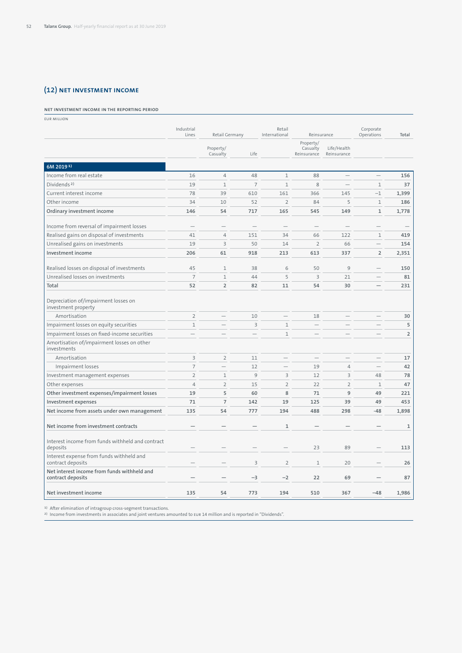# **(12) Net investment income**

### **Net investment income in the reporting period**

EUR million

|                                                                  | Industrial<br>Lines      | Retail Germany           |                          | Retail<br>International | Reinsurance                          |                            | Corporate<br>Operations  | Total        |
|------------------------------------------------------------------|--------------------------|--------------------------|--------------------------|-------------------------|--------------------------------------|----------------------------|--------------------------|--------------|
|                                                                  |                          | Property/<br>Casualty    | Life                     |                         | Property/<br>Casualty<br>Reinsurance | Life/Health<br>Reinsurance |                          |              |
| 6M 20191)                                                        |                          |                          |                          |                         |                                      |                            |                          |              |
| Income from real estate                                          | 16                       | $\overline{4}$           | 48                       | $\mathbf{1}$            | 88                                   | $\overline{\phantom{0}}$   | $\overline{\phantom{0}}$ | 156          |
| Dividends <sup>2)</sup>                                          | 19                       | $\mathbf{1}$             | $\overline{7}$           | $\mathbf{1}$            | 8                                    |                            | $\mathbf{1}$             | 37           |
| Current interest income                                          | 78                       | 39                       | 610                      | 161                     | 366                                  | 145                        | $-1$                     | 1,399        |
| Other income                                                     | 34                       | 10                       | 52                       | $\overline{2}$          | 84                                   | 5                          | $\mathbbm{1}$            | 186          |
| Ordinary investment income                                       | 146                      | 54                       | 717                      | 165                     | 545                                  | 149                        | $\mathbf{1}$             | 1,778        |
| Income from reversal of impairment losses                        |                          |                          |                          |                         |                                      |                            | $\overline{\phantom{0}}$ |              |
| Realised gains on disposal of investments                        | 41                       | $\overline{4}$           | 151                      | 34                      | 66                                   | 122                        | $\mathbf{1}$             | 419          |
| Unrealised gains on investments                                  | 19                       | $\overline{3}$           | 50                       | 14                      | $\overline{2}$                       | 66                         | $\overline{\phantom{0}}$ | 154          |
| Investment income                                                | 206                      | 61                       | 918                      | 213                     | 613                                  | 337                        | $\overline{2}$           | 2,351        |
| Realised losses on disposal of investments                       | 45                       | $\mathbf{1}$             | 38                       | 6                       | 50                                   | 9                          |                          | 150          |
| Unrealised losses on investments                                 | $\overline{7}$           | $\mathbf{1}$             | 44                       | 5                       | $\overline{3}$                       | 21                         | $\overline{\phantom{0}}$ | 81           |
| Total                                                            | 52                       | $\overline{2}$           | 82                       | 11                      | 54                                   | 30                         |                          | 231          |
| Depreciation of/impairment losses on<br>investment property      |                          |                          |                          |                         |                                      |                            |                          |              |
| Amortisation                                                     | $\overline{2}$           |                          | 10                       |                         | 18                                   |                            |                          | 30           |
| Impairment losses on equity securities                           | $\mathbf{1}$             |                          | $\overline{3}$           | $\mathbf{1}$            |                                      |                            |                          | 5            |
| Impairment losses on fixed-income securities                     | $\overline{\phantom{0}}$ |                          | $\overline{\phantom{0}}$ | $\mathbf{1}$            |                                      |                            |                          | $\mathsf{2}$ |
| Amortisation of/impairment losses on other<br>investments        |                          |                          |                          |                         |                                      |                            |                          |              |
| Amortisation                                                     | $\overline{\mathbf{3}}$  | $\overline{2}$           | 11                       |                         | $\overline{\phantom{0}}$             | $\overline{\phantom{0}}$   | $\overline{\phantom{0}}$ | 17           |
| Impairment losses                                                | $\overline{7}$           | $\overline{\phantom{0}}$ | 12                       |                         | 19                                   | 4                          | $\qquad \qquad -$        | 42           |
| Investment management expenses                                   | $\overline{2}$           | $\mathbf{1}$             | 9                        | 3                       | 12                                   | $\overline{3}$             | 48                       | 78           |
| Other expenses                                                   | $\overline{4}$           | $\overline{2}$           | 15                       | $\overline{2}$          | 22                                   | $\overline{2}$             | $1\,$                    | 47           |
| Other investment expenses/impairment losses                      | 19                       | 5                        | 60                       | 8                       | 71                                   | 9                          | 49                       | 221          |
| Investment expenses                                              | 71                       | $\overline{7}$           | 142                      | 19                      | 125                                  | 39                         | 49                       | 453          |
| Net income from assets under own management                      | 135                      | 54                       | 777                      | 194                     | 488                                  | 298                        | $-48$                    | 1,898        |
| Net income from investment contracts                             |                          |                          |                          | $\mathbf{1}$            |                                      |                            |                          | $\mathbf{1}$ |
| Interest income from funds withheld and contract<br>deposits     |                          |                          |                          |                         | 23                                   | 89                         |                          | 113          |
| Interest expense from funds withheld and<br>contract deposits    |                          |                          | 3                        | $\overline{2}$          | $\mathbf{1}$                         | 20                         |                          | 26           |
| Net interest income from funds withheld and<br>contract deposits |                          |                          | $-3$                     | $-2$                    | 22                                   | 69                         |                          | 87           |
| Net investment income                                            | 135                      | 54                       | 773                      | 194                     | 510                                  | 367                        | $-48$                    | 1,986        |

1) After elimination of intragroup cross-segment transactions.<br><sup>2)</sup> Income from investments in associates and joint ventures amounted to EUR 14 million and is reported in "Dividends".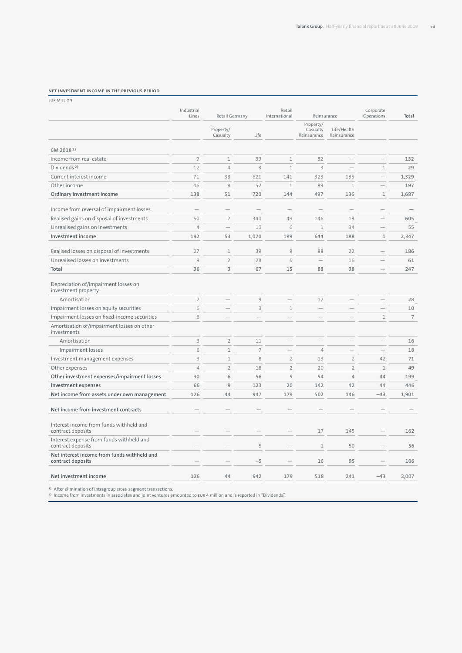#### **Net investment income in the previous period**

EUR million

|                                                                  | Industrial<br>Lines     | Retail Germany           |                          | Retail<br>International  | Reinsurance                          |                            | Corporate<br>Operations  | Total          |
|------------------------------------------------------------------|-------------------------|--------------------------|--------------------------|--------------------------|--------------------------------------|----------------------------|--------------------------|----------------|
|                                                                  |                         | Property/<br>Casualty    | Life                     |                          | Property/<br>Casualty<br>Reinsurance | Life/Health<br>Reinsurance |                          |                |
| 6M 2018 <sup>1</sup>                                             |                         |                          |                          |                          |                                      |                            |                          |                |
| Income from real estate                                          | 9                       | $\mathbf{1}$             | 39                       | $\mathbf{1}$             | 82                                   |                            |                          | 132            |
| Dividends <sup>2)</sup>                                          | 12                      | $\overline{4}$           | 8                        | $\mathbf{1}$             | 3                                    |                            | $\mathbf{1}$             | 29             |
| Current interest income                                          | 71                      | 38                       | 621                      | 141                      | 323                                  | 135                        | $\overline{\phantom{m}}$ | 1,329          |
| Other income                                                     | 46                      | $\,8\,$                  | 52                       | $1\,$                    | 89                                   | $\mathbf{1}$               | $\overline{\phantom{a}}$ | 197            |
| Ordinary investment income                                       | 138                     | 51                       | 720                      | 144                      | 497                                  | 136                        | $1\,$                    | 1,687          |
| Income from reversal of impairment losses                        |                         |                          | $\overline{\phantom{0}}$ |                          |                                      | $\overline{\phantom{0}}$   |                          |                |
| Realised gains on disposal of investments                        | 50                      | $\overline{2}$           | 340                      | 49                       | 146                                  | 18                         | $\qquad \qquad -$        | 605            |
| Unrealised gains on investments                                  | $\overline{4}$          | $\overline{\phantom{0}}$ | 10                       | 6                        | $\mathbf{1}$                         | 34                         | $\equiv$                 | 55             |
| Investment income                                                | 192                     | 53                       | 1,070                    | 199                      | 644                                  | 188                        | $\mathbf 1$              | 2,347          |
| Realised losses on disposal of investments                       | 27                      | $1\,$                    | 39                       | 9                        | 88                                   | 22                         |                          | 186            |
| Unrealised losses on investments                                 | 9                       | $\overline{2}$           | 28                       | 6                        | $\overline{\phantom{0}}$             | 16                         | $\overline{\phantom{a}}$ | 61             |
| Total                                                            | 36                      | $\overline{\mathbf{3}}$  | 67                       | 15                       | 88                                   | 38                         |                          | 247            |
| Depreciation of/impairment losses on<br>investment property      |                         |                          |                          |                          |                                      |                            |                          |                |
| Amortisation                                                     | $\sqrt{2}$              | $\overline{\phantom{0}}$ | $\overline{9}$           |                          | 17                                   | $\equiv$                   | $\overline{\phantom{a}}$ | 28             |
| Impairment losses on equity securities                           | 6                       |                          | 3                        | $1\,$                    | $\overline{\phantom{0}}$             |                            |                          | 10             |
| Impairment losses on fixed-income securities                     | 6                       | $\overline{\phantom{0}}$ | $\overline{\phantom{a}}$ |                          |                                      | $\overline{\phantom{0}}$   | $\mathbf{1}$             | $\overline{7}$ |
| Amortisation of/impairment losses on other<br>investments        |                         |                          |                          |                          |                                      |                            |                          |                |
| Amortisation                                                     | $\overline{\mathbf{3}}$ | $\overline{2}$           | 11                       | $\overline{\phantom{a}}$ | $\overline{\phantom{a}}$             | $\overline{\phantom{0}}$   | $\overline{\phantom{a}}$ | 16             |
| Impairment losses                                                | 6                       | $1\,$                    | $\overline{7}$           | $\overline{\phantom{a}}$ | $\overline{4}$                       |                            |                          | 18             |
| Investment management expenses                                   | $\overline{\mathbf{3}}$ | $1\,$                    | 8                        | $\overline{2}$           | 13                                   | $\overline{2}$             | 42                       | 71             |
| Other expenses                                                   | $\overline{4}$          | $\overline{2}$           | 18                       | $\overline{2}$           | 20                                   | $\overline{2}$             | $\mathbf{1}$             | 49             |
| Other investment expenses/impairment losses                      | 30                      | 6                        | 56                       | 5                        | 54                                   | $\overline{4}$             | 44                       | 199            |
| Investment expenses                                              | 66                      | 9                        | 123                      | 20                       | 142                                  | 42                         | 44                       | 446            |
| Net income from assets under own management                      | 126                     | 44                       | 947                      | 179                      | 502                                  | 146                        | $-43$                    | 1,901          |
| Net income from investment contracts                             |                         |                          |                          |                          |                                      |                            |                          |                |
| Interest income from funds withheld and<br>contract deposits     |                         |                          |                          |                          | 17                                   | 145                        |                          | 162            |
| Interest expense from funds withheld and<br>contract deposits    |                         |                          | 5                        |                          | $\mathbf{1}$                         | 50                         |                          | 56             |
| Net interest income from funds withheld and<br>contract deposits |                         |                          | $-5$                     |                          | 16                                   | 95                         |                          | 106            |
| Net investment income                                            | 126                     | 44                       | 942                      | 179                      | 518                                  | 241                        | $-43$                    | 2,007          |

1) After elimination of intragroup cross-segment transactions. 2) Income from investments in associates and joint ventures amounted to EUR 4 million and is reported in "Dividends".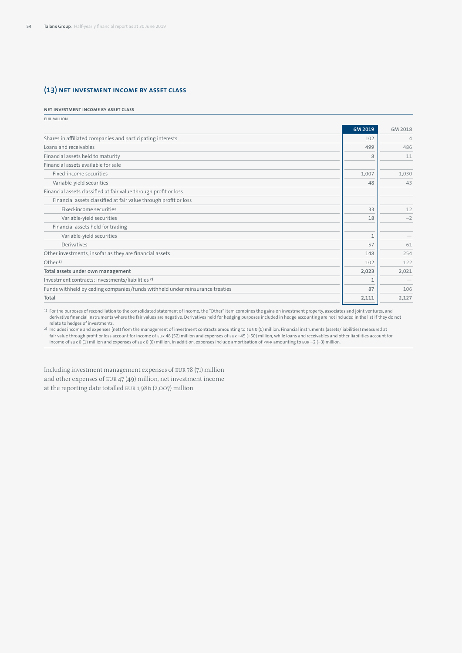# **(13) Net investment income by asset class**

#### **Net investment income by asset class**

| <b>EUR MILLION</b>                                                           |              |                |
|------------------------------------------------------------------------------|--------------|----------------|
|                                                                              | 6M 2019      | 6M 2018        |
| Shares in affiliated companies and participating interests                   | 102          | $\overline{4}$ |
| Loans and receivables                                                        | 499          | 486            |
| Financial assets held to maturity                                            | 8            | 11             |
| Financial assets available for sale                                          |              |                |
| Fixed-income securities                                                      | 1,007        | 1,030          |
| Variable-yield securities                                                    | 48           | 43             |
| Financial assets classified at fair value through profit or loss             |              |                |
| Financial assets classified at fair value through profit or loss             |              |                |
| Fixed-income securities                                                      | 33           | 12             |
| Variable-yield securities                                                    | 18           | $-2$           |
| Financial assets held for trading                                            |              |                |
| Variable-yield securities                                                    | $\mathbf{1}$ |                |
| Derivatives                                                                  | 57           | 61             |
| Other investments, insofar as they are financial assets                      | 148          | 254            |
| Other <sup>1</sup>                                                           | 102          | 122            |
| Total assets under own management                                            | 2,023        | 2,021          |
| Investment contracts: investments/liabilities <sup>2)</sup>                  | $\mathbf{1}$ |                |
| Funds withheld by ceding companies/funds withheld under reinsurance treaties | 87           | 106            |
| Total                                                                        | 2,111        | 2,127          |
|                                                                              |              |                |

1) For the purposes of reconciliation to the consolidated statement of income, the "Other" item combines the gains on investment property, associates and joint ventures, and derivative financial instruments where the fair values are negative. Derivatives held for hedging purposes included in hedge accounting are not included in the list if they do not relate to hedges of investments.

Propholdes income and expenses (net) from the management of investment contracts amounting to ευκ 0 (0) million. Financial instruments (assets/liabilities) measured at المعاروة air value through profit or loss account fo income of EUR 0 (1) million and expenses of EUR 0 (0) million. In addition, expenses include amortisation of PVFP amounting to EUR –2 (–3) million.

Including investment management expenses of EUR 78 (71) million and other expenses of EUR 47 (49) million, net investment income at the reporting date totalled EUR 1,986 (2,007) million.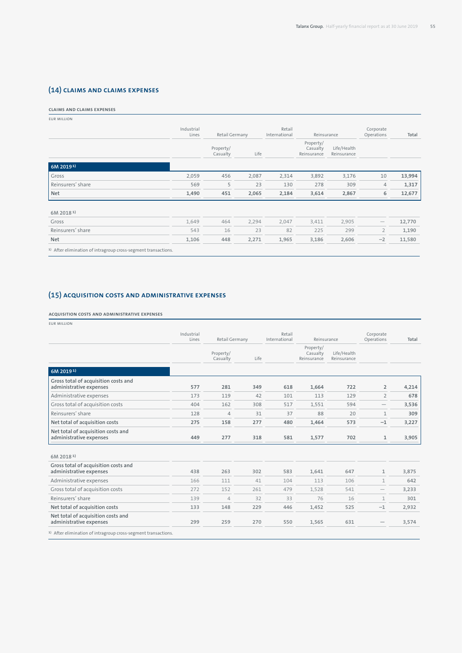# **(14) Claims and claims expenses**

# **Claims and claims expenses**

| <b>EUR MILLION</b>   |                     |                       |       |                         |                                      |                            |                         |        |
|----------------------|---------------------|-----------------------|-------|-------------------------|--------------------------------------|----------------------------|-------------------------|--------|
|                      | Industrial<br>Lines | Retail Germany        |       | Retail<br>International | Reinsurance                          |                            | Corporate<br>Operations | Total  |
|                      |                     | Property/<br>Casualty | Life  |                         | Property/<br>Casualty<br>Reinsurance | Life/Health<br>Reinsurance |                         |        |
| 6M 2019 <sup>1</sup> |                     |                       |       |                         |                                      |                            |                         |        |
| Gross                | 2,059               | 456                   | 2,087 | 2,314                   | 3,892                                | 3,176                      | 10                      | 13,994 |
| Reinsurers' share    | 569                 | 5                     | 23    | 130                     | 278                                  | 309                        | 4                       | 1,317  |
| Net                  | 1,490               | 451                   | 2,065 | 2,184                   | 3,614                                | 2,867                      | 6                       | 12,677 |
| 6M 2018 <sup>1</sup> |                     |                       |       |                         |                                      |                            |                         |        |
| Gross                | 1,649               | 464                   | 2,294 | 2,047                   | 3,411                                | 2,905                      |                         | 12,770 |
| Reinsurers' share    | 543                 | 16                    | 23    | 82                      | 225                                  | 299                        | $\overline{2}$          | 1,190  |
| Net                  | 1,106               | 448                   | 2,271 | 1,965                   | 3,186                                | 2,606                      | $-2$                    | 11,580 |

1) After elimination of intragroup cross-segment transactions.

# **(15) Acquisition costs and administrative expenses**

# **Acquisition costs and administrative expenses**

EUR million

|                                                                 | Industrial<br>Lines | Retail Germany        |      | Retail<br>International | Reinsurance                          |                            | Corporate<br>Operations  | Total |
|-----------------------------------------------------------------|---------------------|-----------------------|------|-------------------------|--------------------------------------|----------------------------|--------------------------|-------|
|                                                                 |                     | Property/<br>Casualty | Life |                         | Property/<br>Casualty<br>Reinsurance | Life/Health<br>Reinsurance |                          |       |
| 6M 2019 <sup>1</sup>                                            |                     |                       |      |                         |                                      |                            |                          |       |
| Gross total of acquisition costs and<br>administrative expenses | 577                 | 281                   | 349  | 618                     | 1,664                                | 722                        | $\overline{2}$           | 4,214 |
| Administrative expenses                                         | 173                 | 119                   | 42   | 101                     | 113                                  | 129                        | $\overline{2}$           | 678   |
| Gross total of acquisition costs                                | 404                 | 162                   | 308  | 517                     | 1,551                                | 594                        | $\overline{\phantom{m}}$ | 3,536 |
| Reinsurers' share                                               | 128                 | $\overline{4}$        | 31   | 37                      | 88                                   | 20                         | $\mathbf 1$              | 309   |
| Net total of acquisition costs                                  | 275                 | 158                   | 277  | 480                     | 1,464                                | 573                        | $-1$                     | 3,227 |
| Net total of acquisition costs and<br>administrative expenses   | 449                 | 277                   | 318  | 581                     | 1,577                                | 702                        | $\mathbf{1}$             | 3,905 |
| 6M 2018 <sup>1</sup>                                            |                     |                       |      |                         |                                      |                            |                          |       |
| Gross total of acquisition costs and<br>administrative expenses | 438                 | 263                   | 302  | 583                     | 1,641                                | 647                        | 1                        | 3,875 |
| Administrative expenses                                         | 166                 | 111                   | 41   | 104                     | 113                                  | 106                        | $\mathbf{1}$             | 642   |
| Gross total of acquisition costs                                | 272                 | 152                   | 261  | 479                     | 1,528                                | 541                        | $\overline{\phantom{0}}$ | 3,233 |
| Reinsurers' share                                               | 139                 | $\overline{4}$        | 32   | 33                      | 76                                   | 16                         | 1                        | 301   |
| Net total of acquisition costs                                  | 133                 | 148                   | 229  | 446                     | 1,452                                | 525                        | $-1$                     | 2,932 |
| Net total of acquisition costs and<br>administrative expenses   | 299                 | 259                   | 270  | 550                     | 1,565                                | 631                        |                          | 3,574 |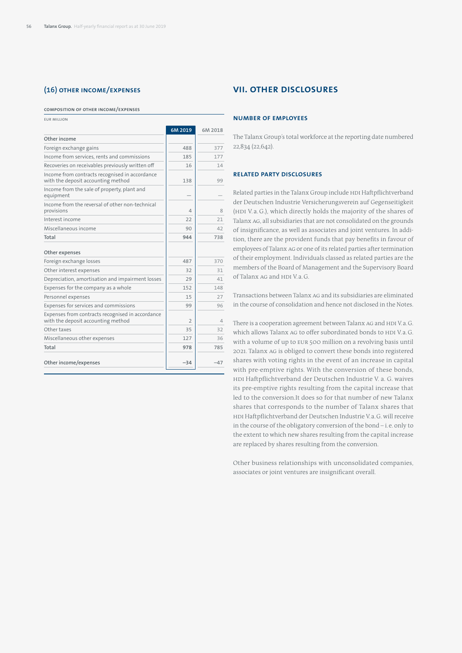# **(16) Other income/expenses**

#### **Composition of other income/expenses**

EUR million

|                                                                                        | 6M 2019        | 6M 2018 |
|----------------------------------------------------------------------------------------|----------------|---------|
| Other income                                                                           |                |         |
| Foreign exchange gains                                                                 | 488            | 377     |
| Income from services, rents and commissions                                            | 185            | 177     |
| Recoveries on receivables previously written off                                       | 16             | 14      |
| Income from contracts recognised in accordance<br>with the deposit accounting method   | 138            | 99      |
| Income from the sale of property, plant and<br>equipment                               |                |         |
| Income from the reversal of other non-technical<br>provisions                          | 4              | 8       |
| Interest income                                                                        | 22             | 21      |
| Miscellaneous income                                                                   | 90             | 42      |
| Total                                                                                  | 944            | 738     |
| Other expenses                                                                         |                |         |
| Foreign exchange losses                                                                | 487            | 370     |
| Other interest expenses                                                                | 32             | 31      |
| Depreciation, amortisation and impairment losses                                       | 29             | 41      |
| Expenses for the company as a whole                                                    | 152            | 148     |
| Personnel expenses                                                                     | 15             | 27      |
| Expenses for services and commissions                                                  | 99             | 96      |
| Expenses from contracts recognised in accordance<br>with the deposit accounting method | $\overline{2}$ | 4       |
| Othertaxes                                                                             | 35             | 32      |
| Miscellaneous other expenses                                                           | 127            | 36      |
| Total                                                                                  | 978            | 785     |
| Other income/expenses                                                                  | $-34$          | $-47$   |

# **VII. Other disclosures**

### **Number of employees**

The Talanx Group's total workforce at the reporting date numbered 22,834 (22,642).

### **Related party disclosures**

Related parties in the Talanx Group include HDI Haftpflichtverband der Deutschen Industrie Versicherungsverein auf Gegenseitigkeit (HDI V. a. G.), which directly holds the majority of the shares of Talanx AG, all subsidiaries that are not consolidated on the grounds of insignificance, as well as associates and joint ventures. In addition, there are the provident funds that pay benefits in favour of employees of Talanx AG or one of its related parties after termination of their employment. Individuals classed as related parties are the members of the Board of Management and the Supervisory Board of Talanx AG and HDI V.a.G.

Transactions between Talanx AG and its subsidiaries are eliminated in the course of consolidation and hence not disclosed in the Notes.

There is a cooperation agreement between Talanx AG and HDI V.a.G. which allows Talanx AG to offer subordinated bonds to HDI V.a.G. with a volume of up to EUR 500 million on a revolving basis until 2021. Talanx AG is obliged to convert these bonds into registered shares with voting rights in the event of an increase in capital with pre-emptive rights. With the conversion of these bonds, HDI Haftpflichtverband der Deutschen Industrie V. a. G. waives its pre-emptive rights resulting from the capital increase that led to the conversion.It does so for that number of new Talanx shares that corresponds to the number of Talanx shares that HDI Haftpflichtverband der Deutschen Industrie V.a.G. will receive in the course of the obligatory conversion of the bond – i.e. only to the extent to which new shares resulting from the capital increase are replaced by shares resulting from the conversion.

Other business relationships with unconsolidated companies, associates or joint ventures are insignificant overall.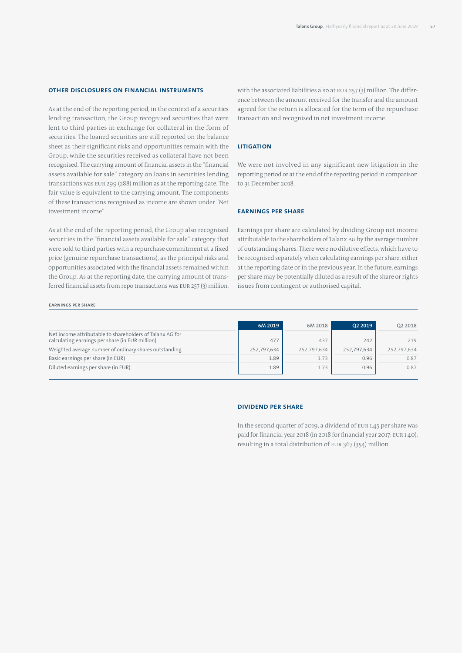# **Other disclosures on financial instruments**

As at the end of the reporting period, in the context of a securities lending transaction, the Group recognised securities that were lent to third parties in exchange for collateral in the form of securities. The loaned securities are still reported on the balance sheet as their significant risks and opportunities remain with the Group, while the securities received as collateral have not been recognised. The carrying amount of financial assets in the "financial assets available for sale" category on loans in securities lending transactions was EUR 299 (288) million as at the reporting date. The fair value is equivalent to the carrying amount. The components of these transactions recognised as income are shown under "Net investment income".

As at the end of the reporting period, the Group also recognised securities in the "financial assets available for sale" category that were sold to third parties with a repurchase commitment at a fixed price (genuine repurchase transactions), as the principal risks and opportunities associated with the financial assets remained within the Group. As at the reporting date, the carrying amount of transferred financial assets from repo transactions was EUR 257 (3) million, with the associated liabilities also at EUR 257 (3) million. The difference between the amount received for the transfer and the amount agreed for the return is allocated for the term of the repurchase transaction and recognised in net investment income.

## **Litigation**

We were not involved in any significant new litigation in the reporting period or at the end of the reporting period in comparison to 31 December 2018.

## **Earnings per share**

Earnings per share are calculated by dividing Group net income attributable to the shareholders of Talanx AG by the average number of outstanding shares. There were no dilutive effects, which have to be recognised separately when calculating earnings per share, either at the reporting date or in the previous year. In the future, earnings per share may be potentially diluted as a result of the share or rights issues from contingent or authorised capital.

#### **Earnings per share**

|                                                                                                             | 6M 2019     | 6M 2018     | 02 2019     | Q2 2018     |
|-------------------------------------------------------------------------------------------------------------|-------------|-------------|-------------|-------------|
| Net income attributable to shareholders of Talanx AG for<br>calculating earnings per share (in EUR million) | 477         | 437         | 242         | 219         |
| Weighted average number of ordinary shares outstanding                                                      | 252,797,634 | 252.797.634 | 252,797,634 | 252.797.634 |
| Basic earnings per share (in EUR)                                                                           | 1.89        | 1.73        | 0.96        | 0.87        |
| Diluted earnings per share (in EUR)                                                                         | 1.89        | 1.73        | 0.96        | 0.87        |

### **DIVIDEND PER SHARE**

In the second quarter of 2019, a dividend of EUR 1.45 per share was paid for financial year 2018 (in 2018 for financial year 2017: EUR 1.40), resulting in a total distribution of EUR 367 (354) million.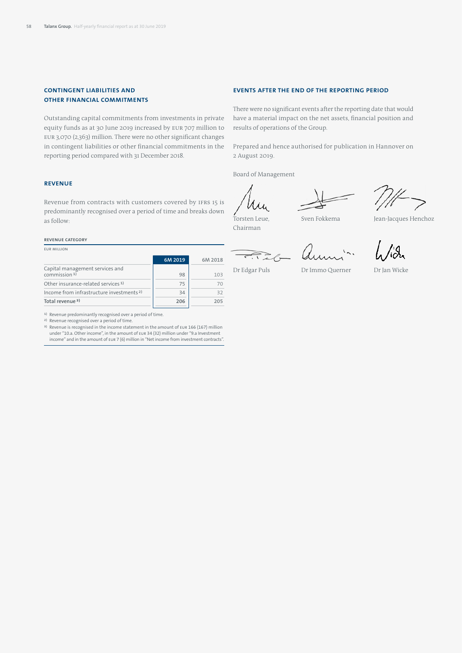# **Contingent liabilities and other financial commitments**

Outstanding capital commitments from investments in private equity funds as at 30 June 2019 increased by EUR 707 million to EUR 3,070 (2,363) million. There were no other significant changes in contingent liabilities or other financial commitments in the reporting period compared with 31 December 2018.

# **Revenue**

Revenue from contracts with customers covered by IFRS 15 is predominantly recognised over a period of time and breaks down as follow:

#### **Revenue category**

EUR million

|                                                      | 6M 2019 | 6M 2018 |
|------------------------------------------------------|---------|---------|
| Capital management services and<br>commission $1$ )  | 98      | 103     |
| Other insurance-related services <sup>1)</sup>       | 75      |         |
| Income from infrastructure investments <sup>2)</sup> | 34      | 32      |
| Total revenue <sup>3)</sup>                          | 206     | 205     |

1) Revenue predominantly recognised over a period of time.

<sup>2)</sup> Revenue recognised over a period of time.<br><sup>3)</sup> Revenue is recognised in the income statement in the amount of EUR 166 (167) million under "10.a. Other income", in the amount of EUR 34 (32) million under "9.a Investment income" and in the amount of EUR 7 (6) million in "Net income from investment contracts".

### **Events after the end of the reporting period**

There were no significant events after the reporting date that would have a material impact on the net assets, financial position and results of operations of the Group.

Prepared and hence authorised for publication in Hannover on 2 August 2019.

Board of Management

Torsten Leue, Chairman

Sven Fokkema Jean-Jacques Henchoz

ai

 $\overrightarrow{C_{1}}\overrightarrow{a}_{0}$ Dr Edgar Puls

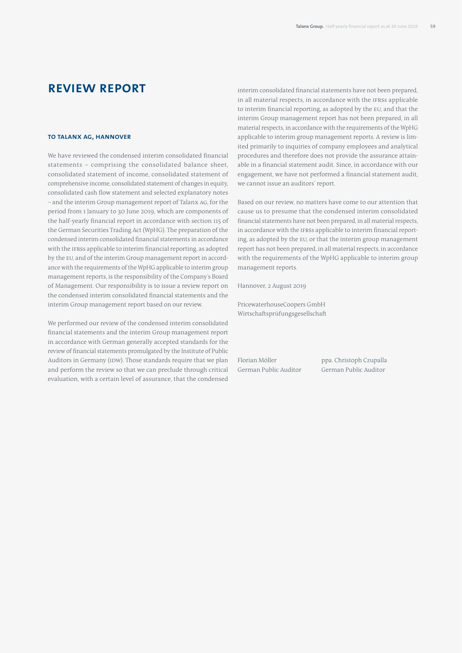# **Review report**

#### **To Talanx AG, Hannover**

We have reviewed the condensed interim consolidated financial statements – comprising the consolidated balance sheet, consolidated statement of income, consolidated statement of comprehensive income, consolidated statement of changes in equity, consolidated cash flow statement and selected explanatory notes – and the interim Group management report of Talanx AG, for the period from 1 January to 30 June 2019, which are components of the half-yearly financial report in accordance with section 115 of the German Securities Trading Act (WpHG). The preparation of the condensed interim consolidated financial statements in accordance with the IFRSs applicable to interim financial reporting, as adopted by the EU, and of the interim Group management report in accordance with the requirements of the WpHG applicable to interim group management reports, is the responsibility of the Company's Board of Management. Our responsibility is to issue a review report on the condensed interim consolidated financial statements and the interim Group management report based on our review.

We performed our review of the condensed interim consolidated financial statements and the interim Group management report in accordance with German generally accepted standards for the review of financial statements promulgated by the Institute of Public Auditors in Germany (IDW). Those standards require that we plan and perform the review so that we can preclude through critical evaluation, with a certain level of assurance, that the condensed

interim consolidated financial statements have not been prepared, in all material respects, in accordance with the IFRSs applicable to interim financial reporting, as adopted by the EU, and that the interim Group management report has not been prepared, in all material respects, in accordance with the requirements of the WpHG applicable to interim group management reports. A review is limited primarily to inquiries of company employees and analytical procedures and therefore does not provide the assurance attainable in a financial statement audit. Since, in accordance with our engagement, we have not performed a financial statement audit, we cannot issue an auditors' report.

Based on our review, no matters have come to our attention that cause us to presume that the condensed interim consolidated financial statements have not been prepared, in all material respects, in accordance with the IFRSs applicable to interim financial reporting, as adopted by the EU, or that the interim group management report has not been prepared, in all material respects, in accordance with the requirements of the WpHG applicable to interim group management reports.

Hannover, 2 August 2019

PricewaterhouseCoopers GmbH Wirtschaftsprüfungsgesellschaft

German Public Auditor German Public Auditor

Florian Möller ppa. Christoph Czupalla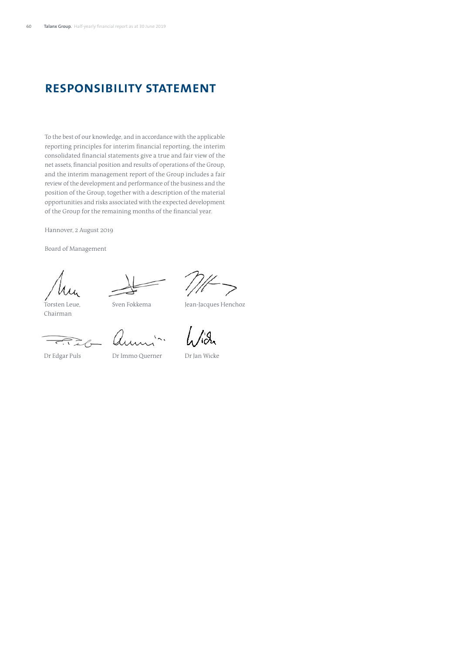# **Responsibility statement**

To the best of our knowledge, and in accordance with the applicable reporting principles for interim financial reporting, the interim consolidated financial statements give a true and fair view of the net assets, financial position and results of operations of the Group, and the interim management report of the Group includes a fair review of the development and performance of the business and the position of the Group, together with a description of the material opportunities and risks associated with the expected development of the Group for the remaining months of the financial year.

Hannover, 2 August 2019

Board of Management

Torsten Leue,

Chairman

Sven Fokkema Jean-Jacques Henchoz

Dr Edgar Puls

Dr Immo Querner Dr Jan Wicke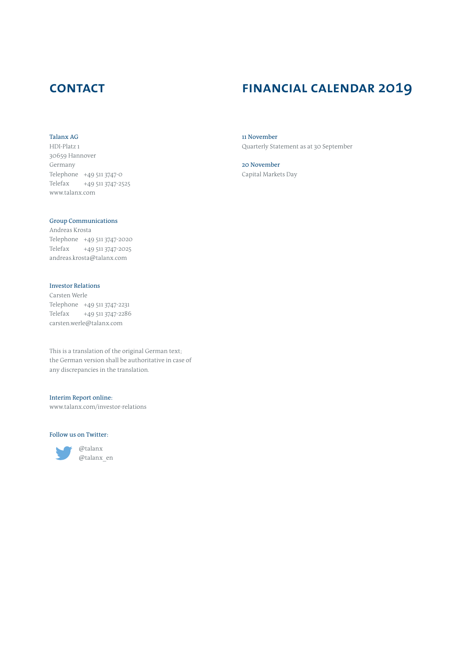# **contact**

## Talanx AG

HDI-Platz 1 30659 Hannover Germany Telephone +49 511 3747-0 Telefax +49 511 3747-2525 www.talanx.com

# Group Communications

Andreas Krosta Telephone +49 511 3747-2020 Telefax +49 511 3747-2025 andreas.krosta@talanx.com

# Investor Relations

Carsten Werle Telephone +49 511 3747-2231 Telefax +49 511 3747-2286 carsten.werle@talanx.com

This is a translation of the original German text; the German version shall be authoritative in case of any discrepancies in the translation.

# Interim Report online:

www.talanx.com/investor-relations

#### Follow us on Twitter:



@talanx @talanx\_en

# **financial calendar 2019**

11 November Quarterly Statement as at 30 September

20 November Capital Markets Day